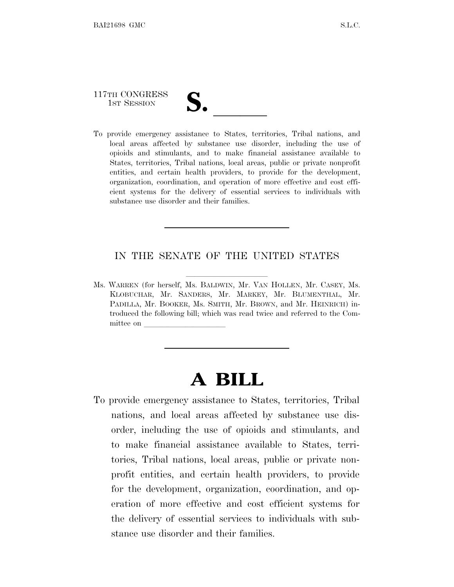# 117TH CONGRESS

117TH CONGRESS<br>
1ST SESSION<br>
To provide emergency assistance to States, territories, Tribal nations, and local areas affected by substance use disorder, including the use of opioids and stimulants, and to make financial assistance available to States, territories, Tribal nations, local areas, public or private nonprofit entities, and certain health providers, to provide for the development, organization, coordination, and operation of more effective and cost efficient systems for the delivery of essential services to individuals with substance use disorder and their families.

#### IN THE SENATE OF THE UNITED STATES

Ms. WARREN (for herself, Ms. BALDWIN, Mr. VAN HOLLEN, Mr. CASEY, Ms. KLOBUCHAR, Mr. SANDERS, Mr. MARKEY, Mr. BLUMENTHAL, Mr. PADILLA, Mr. BOOKER, Ms. SMITH, Mr. BROWN, and Mr. HEINRICH) introduced the following bill; which was read twice and referred to the Committee on

## **A BILL**

To provide emergency assistance to States, territories, Tribal nations, and local areas affected by substance use disorder, including the use of opioids and stimulants, and to make financial assistance available to States, territories, Tribal nations, local areas, public or private nonprofit entities, and certain health providers, to provide for the development, organization, coordination, and operation of more effective and cost efficient systems for the delivery of essential services to individuals with substance use disorder and their families.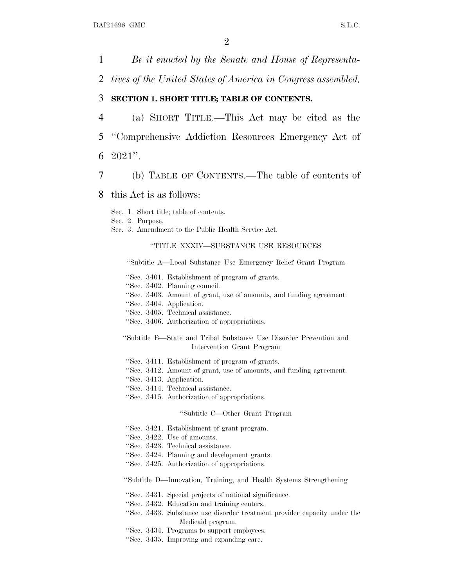*Be it enacted by the Senate and House of Representa- tives of the United States of America in Congress assembled,* **SECTION 1. SHORT TITLE; TABLE OF CONTENTS.** (a) SHORT TITLE.—This Act may be cited as the ''Comprehensive Addiction Resources Emergency Act of 6 2021''. (b) TABLE OF CONTENTS.—The table of contents of this Act is as follows:

Sec. 1. Short title; table of contents.

Sec. 2. Purpose.

Sec. 3. Amendment to the Public Health Service Act.

#### ''TITLE XXXIV—SUBSTANCE USE RESOURCES

''Subtitle A—Local Substance Use Emergency Relief Grant Program

- ''Sec. 3401. Establishment of program of grants.
- ''Sec. 3402. Planning council.
- ''Sec. 3403. Amount of grant, use of amounts, and funding agreement.
- ''Sec. 3404. Application.
- ''Sec. 3405. Technical assistance.
- ''Sec. 3406. Authorization of appropriations.

#### ''Subtitle B—State and Tribal Substance Use Disorder Prevention and Intervention Grant Program

- ''Sec. 3411. Establishment of program of grants.
- ''Sec. 3412. Amount of grant, use of amounts, and funding agreement.
- ''Sec. 3413. Application.
- ''Sec. 3414. Technical assistance.
- ''Sec. 3415. Authorization of appropriations.

#### ''Subtitle C—Other Grant Program

- ''Sec. 3421. Establishment of grant program.
- ''Sec. 3422. Use of amounts.
- ''Sec. 3423. Technical assistance.
- ''Sec. 3424. Planning and development grants.
- ''Sec. 3425. Authorization of appropriations.

''Subtitle D—Innovation, Training, and Health Systems Strengthening

- ''Sec. 3431. Special projects of national significance.
- ''Sec. 3432. Education and training centers.
- ''Sec. 3433. Substance use disorder treatment provider capacity under the Medicaid program.
- ''Sec. 3434. Programs to support employees.
- ''Sec. 3435. Improving and expanding care.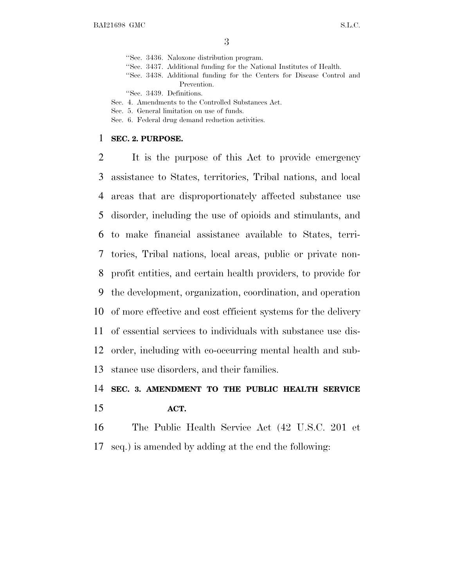''Sec. 3436. Naloxone distribution program.

- ''Sec. 3437. Additional funding for the National Institutes of Health.
- ''Sec. 3438. Additional funding for the Centers for Disease Control and Prevention.

''Sec. 3439. Definitions.

Sec. 4. Amendments to the Controlled Substances Act.

- Sec. 5. General limitation on use of funds.
- Sec. 6. Federal drug demand reduction activities.

#### **SEC. 2. PURPOSE.**

 It is the purpose of this Act to provide emergency assistance to States, territories, Tribal nations, and local areas that are disproportionately affected substance use disorder, including the use of opioids and stimulants, and to make financial assistance available to States, terri- tories, Tribal nations, local areas, public or private non- profit entities, and certain health providers, to provide for the development, organization, coordination, and operation of more effective and cost efficient systems for the delivery of essential services to individuals with substance use dis- order, including with co-occurring mental health and sub-stance use disorders, and their families.

### **SEC. 3. AMENDMENT TO THE PUBLIC HEALTH SERVICE ACT.**

 The Public Health Service Act (42 U.S.C. 201 et seq.) is amended by adding at the end the following: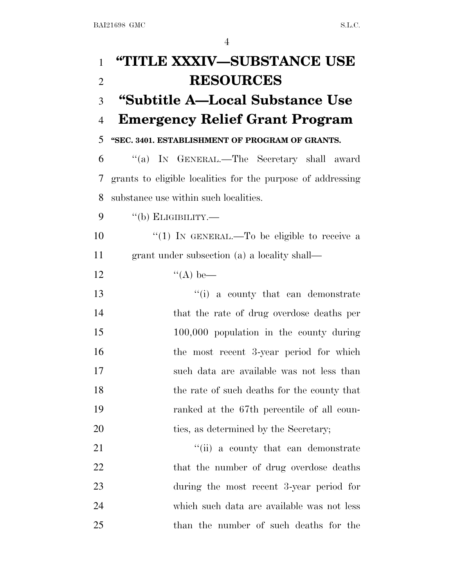| $\mathbf{1}$   | "TITLE XXXIV—SUBSTANCE USE                                  |
|----------------|-------------------------------------------------------------|
| $\overline{2}$ | <b>RESOURCES</b>                                            |
| 3              | "Subtitle A—Local Substance Use                             |
| $\overline{4}$ | <b>Emergency Relief Grant Program</b>                       |
| 5              | "SEC. 3401. ESTABLISHMENT OF PROGRAM OF GRANTS.             |
| 6              | "(a) IN GENERAL.—The Secretary shall award                  |
| 7              | grants to eligible localities for the purpose of addressing |
| 8              | substance use within such localities.                       |
| 9              | $``$ (b) ELIGIBILITY.—                                      |
| 10             | "(1) IN GENERAL.—To be eligible to receive a                |
| 11             | grant under subsection (a) a locality shall—                |
| 12             | $\lq (A)$ be—                                               |
| 13             | "(i) a county that can demonstrate                          |
| 14             | that the rate of drug overdose deaths per                   |
| 15             | $100,000$ population in the county during                   |
| 16             | the most recent 3-year period for which                     |
| 17             | such data are available was not less than                   |
| 18             | the rate of such deaths for the county that                 |
| 19             | ranked at the 67th percentile of all coun-                  |
| 20             | ties, as determined by the Secretary;                       |
| 21             | "(ii) a county that can demonstrate                         |
| 22             | that the number of drug overdose deaths                     |
| 23             | during the most recent 3-year period for                    |
| 24             | which such data are available was not less                  |
| 25             | than the number of such deaths for the                      |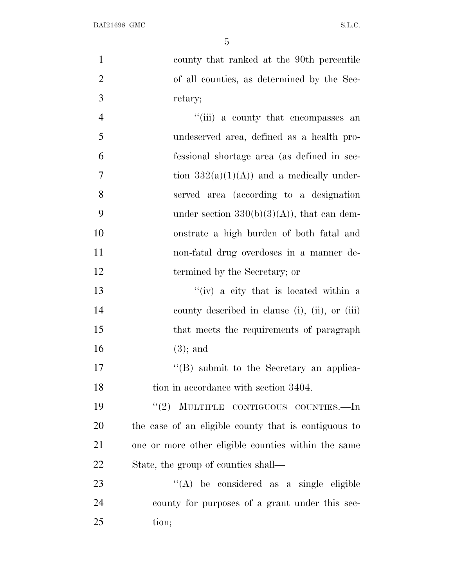county that ranked at the 90th percentile of all counties, as determined by the Sec-3 retary; 4 ''(iii) a county that encompasses an undeserved area, defined as a health pro-fessional shortage area (as defined in sec-

7 tion  $332(a)(1)(A)$  and a medically under-8 served area (according to a designation 9 under section  $330(b)(3)(A)$ , that can dem-10 onstrate a high burden of both fatal and 11 non-fatal drug overdoses in a manner de-

12 termined by the Secretary; or

13 ''(iv) a city that is located within a 14 county described in clause (i), (ii), or (iii) 15 that meets the requirements of paragraph 16 (3); and

17 ''(B) submit to the Secretary an applica-18 tion in accordance with section 3404.

19 "(2) MULTIPLE CONTIGUOUS COUNTIES.—In the case of an eligible county that is contiguous to one or more other eligible counties within the same State, the group of counties shall—

23  $\langle (A) \rangle$  be considered as a single eligible 24 county for purposes of a grant under this sec-25 tion;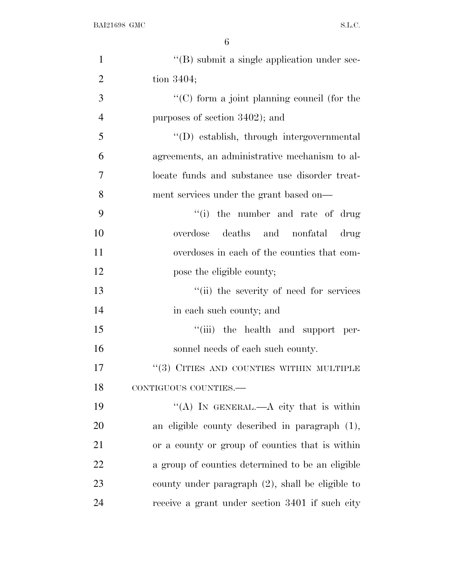| $\mathbf{1}$   | "(B) submit a single application under sec-         |
|----------------|-----------------------------------------------------|
| $\overline{2}$ | tion $3404$ ;                                       |
| 3              | "(C) form a joint planning council (for the         |
| $\overline{4}$ | purposes of section 3402); and                      |
| 5              | "(D) establish, through intergovernmental           |
| 6              | agreements, an administrative mechanism to al-      |
| 7              | locate funds and substance use disorder treat-      |
| 8              | ment services under the grant based on—             |
| 9              | "(i) the number and rate of drug                    |
| 10             | deaths and nonfatal drug<br>overdose                |
| 11             | overdoses in each of the counties that com-         |
| 12             | pose the eligible county;                           |
| 13             | "(ii) the severity of need for services             |
| 14             | in each such county; and                            |
| 15             | "(iii) the health and support per-                  |
| 16             | sonnel needs of each such county.                   |
| 17             | "(3) CITIES AND COUNTIES WITHIN MULTIPLE            |
| 18             | CONTIGUOUS COUNTIES.-                               |
| 19             | "(A) IN GENERAL.—A city that is within              |
| 20             | an eligible county described in paragraph $(1)$ ,   |
| 21             | or a county or group of counties that is within     |
| 22             | a group of counties determined to be an eligible    |
| 23             | county under paragraph $(2)$ , shall be eligible to |
| 24             | receive a grant under section 3401 if such city     |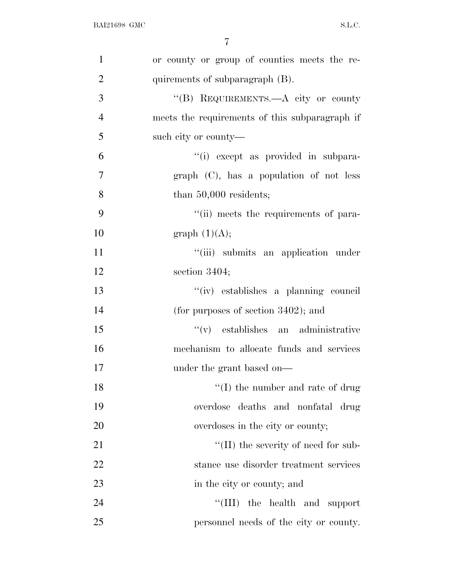| $\mathbf{1}$   | or county or group of counties meets the re-   |
|----------------|------------------------------------------------|
| $\overline{2}$ | quirements of subparagraph (B).                |
| 3              | "(B) REQUIREMENTS.—A city or county            |
| $\overline{4}$ | meets the requirements of this subparagraph if |
| 5              | such city or county—                           |
| 6              | "(i) except as provided in subpara-            |
| 7              | $graph$ (C), has a population of not less      |
| 8              | than $50,000$ residents;                       |
| 9              | "(ii) meets the requirements of para-          |
| 10             | graph $(1)(A);$                                |
| 11             | "(iii) submits an application under            |
| 12             | section 3404;                                  |
| 13             | "(iv) establishes a planning council           |
| 14             | (for purposes of section $3402$ ); and         |
| 15             | $f'(v)$ establishes an administrative          |
| 16             | mechanism to allocate funds and services       |
| 17             | under the grant based on—                      |
| 18             | $\lq\lq$ (I) the number and rate of drug       |
| 19             | overdose deaths and nonfatal drug              |
| 20             | overdoses in the city or county;               |
| 21             | $\lq\lq$ (II) the severity of need for sub-    |
| 22             | stance use disorder treatment services         |
| 23             | in the city or county; and                     |
| 24             | $\lq\lq$ (III) the health and support          |
| 25             | personnel needs of the city or county.         |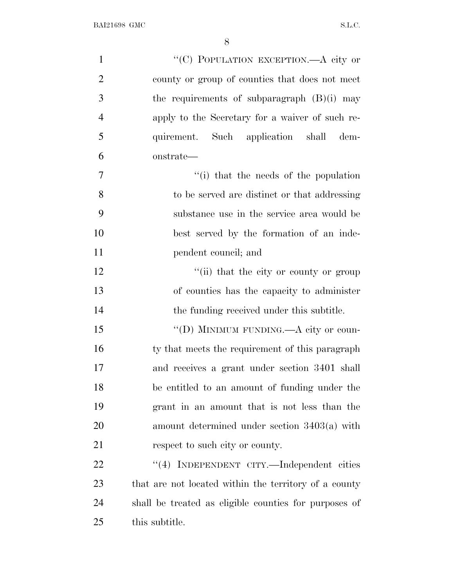| $\mathbf{1}$   | "(C) POPULATION EXCEPTION.—A city or                  |
|----------------|-------------------------------------------------------|
| $\overline{2}$ | county or group of counties that does not meet        |
| 3              | the requirements of subparagraph $(B)(i)$ may         |
| $\overline{4}$ | apply to the Secretary for a waiver of such re-       |
| 5              | quirement. Such application shall<br>dem-             |
| 6              | onstrate—                                             |
| 7              | "(i) that the needs of the population                 |
| 8              | to be served are distinct or that addressing          |
| 9              | substance use in the service area would be            |
| 10             | best served by the formation of an inde-              |
| 11             | pendent council; and                                  |
| 12             | "(ii) that the city or county or group                |
| 13             | of counties has the capacity to administer            |
| 14             | the funding received under this subtitle.             |
| 15             | "(D) MINIMUM FUNDING.—A city or coun-                 |
| 16             | ty that meets the requirement of this paragraph       |
| 17             | and receives a grant under section 3401 shall         |
| 18             | be entitled to an amount of funding under the         |
| 19             | grant in an amount that is not less than the          |
| 20             | amount determined under section $3403(a)$ with        |
| 21             | respect to such city or county.                       |
| 22             | "(4) INDEPENDENT CITY.—Independent cities             |
| 23             | that are not located within the territory of a county |
| 24             | shall be treated as eligible counties for purposes of |
| 25             | this subtitle.                                        |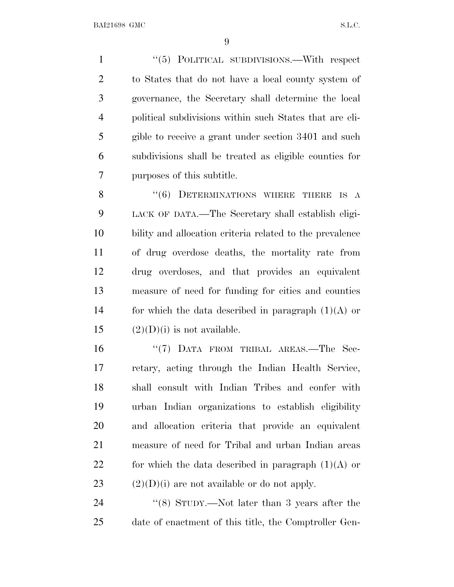1 "(5) POLITICAL SUBDIVISIONS.—With respect to States that do not have a local county system of governance, the Secretary shall determine the local political subdivisions within such States that are eli- gible to receive a grant under section 3401 and such subdivisions shall be treated as eligible counties for purposes of this subtitle.

8 "(6) DETERMINATIONS WHERE THERE IS A LACK OF DATA.—The Secretary shall establish eligi- bility and allocation criteria related to the prevalence of drug overdose deaths, the mortality rate from drug overdoses, and that provides an equivalent measure of need for funding for cities and counties 14 for which the data described in paragraph  $(1)(A)$  or  $(2)(D)(i)$  is not available.

 $\text{``(7)}$  DATA FROM TRIBAL AREAS.—The Sec- retary, acting through the Indian Health Service, shall consult with Indian Tribes and confer with urban Indian organizations to establish eligibility and allocation criteria that provide an equivalent measure of need for Tribal and urban Indian areas 22 for which the data described in paragraph  $(1)(A)$  or  $(2)(D)(i)$  are not available or do not apply.

24 ''(8) STUDY.—Not later than 3 years after the date of enactment of this title, the Comptroller Gen-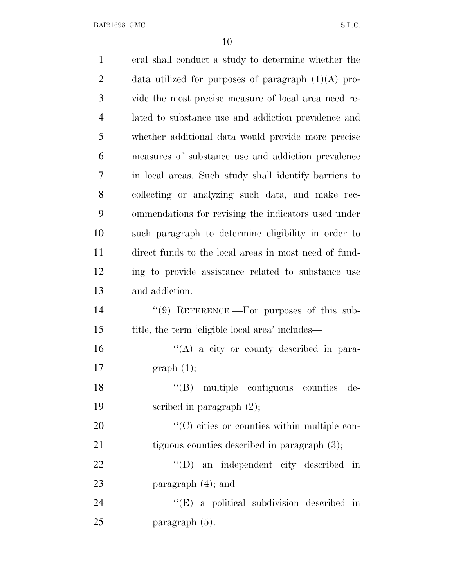| $\mathbf{1}$   | eral shall conduct a study to determine whether the   |
|----------------|-------------------------------------------------------|
| $\overline{2}$ | data utilized for purposes of paragraph $(1)(A)$ pro- |
| 3              | vide the most precise measure of local area need re-  |
| $\overline{4}$ | lated to substance use and addiction prevalence and   |
| 5              | whether additional data would provide more precise    |
| 6              | measures of substance use and addiction prevalence    |
| 7              | in local areas. Such study shall identify barriers to |
| 8              | collecting or analyzing such data, and make rec-      |
| 9              | ommendations for revising the indicators used under   |
| 10             | such paragraph to determine eligibility in order to   |
| 11             | direct funds to the local areas in most need of fund- |
| 12             | ing to provide assistance related to substance use    |
| 13             | and addiction.                                        |
| 14             | "(9) REFERENCE.—For purposes of this sub-             |
| 15             | title, the term 'eligible local area' includes—       |
| 16             | $\lq\lq(A)$ a city or county described in para-       |
| 17             | graph(1);                                             |
| 18             | "(B) multiple contiguous counties de-                 |
| 19             | scribed in paragraph $(2)$ ;                          |
| 20             | "(C) cities or counties within multiple con-          |
| 21             | tiguous counties described in paragraph $(3)$ ;       |
| 22             | $\lq\lq$ (D) an independent city described in         |
| 23             | paragraph $(4)$ ; and                                 |
| 24             | $\lq\lq$ (E) a political subdivision described in     |
| 25             | paragraph (5).                                        |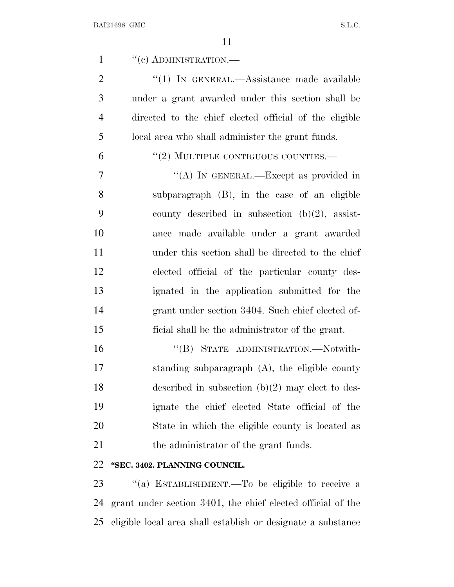| $\mathbf{1}$   | $``(e)$ ADMINISTRATION.—                                     |
|----------------|--------------------------------------------------------------|
| $\overline{2}$ | "(1) IN GENERAL.—Assistance made available                   |
| 3              | under a grant awarded under this section shall be            |
| $\overline{4}$ | directed to the chief elected official of the eligible       |
| 5              | local area who shall administer the grant funds.             |
| 6              | $``(2)$ MULTIPLE CONTIGUOUS COUNTIES.—                       |
| 7              | "(A) IN GENERAL.—Except as provided in                       |
| 8              | subparagraph (B), in the case of an eligible                 |
| 9              | county described in subsection $(b)(2)$ , assist-            |
| 10             | ance made available under a grant awarded                    |
| 11             | under this section shall be directed to the chief            |
| 12             | elected official of the particular county des-               |
| 13             | ignated in the application submitted for the                 |
| 14             | grant under section 3404. Such chief elected of-             |
| 15             | ficial shall be the administrator of the grant.              |
| 16             | "(B) STATE ADMINISTRATION.—Notwith-                          |
| 17             | standing subparagraph $(A)$ , the eligible county            |
| 18             | described in subsection $(b)(2)$ may elect to des-           |
| 19             | ignate the chief elected State official of the               |
| 20             | State in which the eligible county is located as             |
| 21             | the administrator of the grant funds.                        |
| 22             | "SEC. 3402. PLANNING COUNCIL.                                |
| 23             | "(a) ESTABLISHMENT.—To be eligible to receive a              |
| 24             | grant under section 3401, the chief elected official of the  |
| 25             | eligible local area shall establish or designate a substance |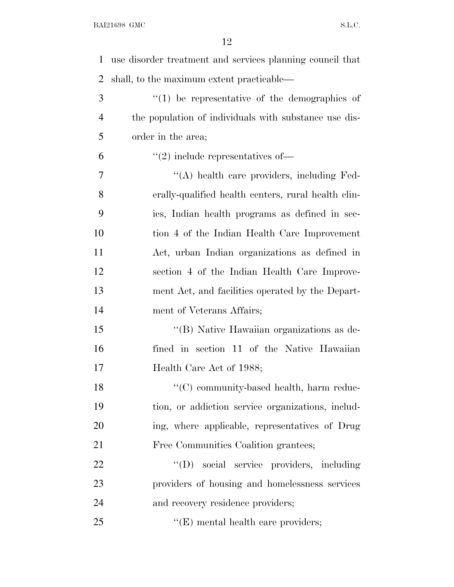| 1              | use disorder treatment and services planning council that |
|----------------|-----------------------------------------------------------|
| $\overline{2}$ | shall, to the maximum extent practicable—                 |
| 3              | $\lq(1)$ be representative of the demographics of         |
| 4              | the population of individuals with substance use dis-     |
| 5              | order in the area;                                        |
| 6              | $\cdot\cdot(2)$ include representatives of —              |
| $\overline{7}$ | "(A) health care providers, including Fed-                |
| 8              | erally-qualified health centers, rural health clin-       |
| 9              | ics, Indian health programs as defined in sec-            |
| 10             | tion 4 of the Indian Health Care Improvement              |
| 11             | Act, urban Indian organizations as defined in             |
| 12             | section 4 of the Indian Health Care Improve-              |
| 13             | ment Act, and facilities operated by the Depart-          |
| 14             | ment of Veterans Affairs;                                 |
| 15             | "(B) Native Hawaiian organizations as de-                 |
| 16             | fined in section 11 of the Native Hawaiian                |
| 17             | Health Care Act of 1988;                                  |
| 18             | "(C) community-based health, harm reduc-                  |
| 19             | tion, or addiction service organizations, includ-         |
| 20             | ing, where applicable, representatives of Drug            |
| 21             | Free Communities Coalition grantees;                      |
| 22             | "(D) social service providers, including                  |
| 23             | providers of housing and homelessness services            |
| 24             | and recovery residence providers;                         |
| 25             | $\lq\lq$ (E) mental health care providers;                |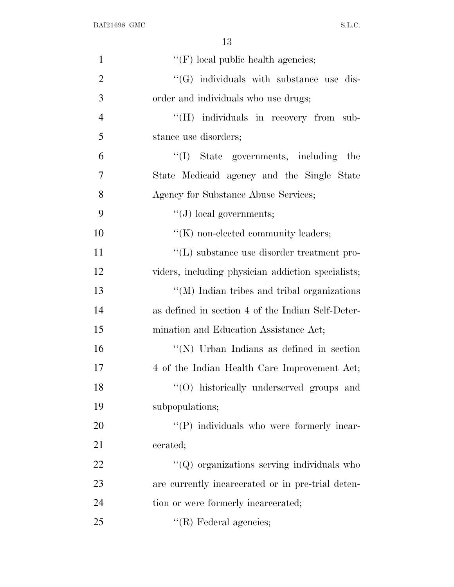| $\mathbf{1}$   | $\lq\lq(F)$ local public health agencies;           |
|----------------|-----------------------------------------------------|
| $\overline{2}$ | $\lq\lq(G)$ individuals with substance use dis-     |
| 3              | order and individuals who use drugs;                |
| $\overline{4}$ | "(H) individuals in recovery from sub-              |
| 5              | stance use disorders;                               |
| 6              | "(I) State governments, including<br>the            |
| 7              | State Medicaid agency and the Single State          |
| 8              | Agency for Substance Abuse Services;                |
| 9              | $\lq\lq (J)$ local governments;                     |
| 10             | $\lq\lq(K)$ non-elected community leaders;          |
| 11             | "(L) substance use disorder treatment pro-          |
| 12             | viders, including physician addiction specialists;  |
| 13             | $\lq\lq$ (M) Indian tribes and tribal organizations |
| 14             | as defined in section 4 of the Indian Self-Deter-   |
| 15             | mination and Education Assistance Act;              |
| 16             | "(N) Urban Indians as defined in section            |
| 17             | 4 of the Indian Health Care Improvement Act;        |
| 18             | "(O) historically underserved groups and            |
| 19             | subpopulations;                                     |
| 20             | "(P) individuals who were formerly incar-           |
| 21             | cerated;                                            |
| 22             | $\lq\lq Q$ organizations serving individuals who    |
| 23             | are currently incarcerated or in pre-trial deten-   |
| 24             | tion or were formerly incarcerated;                 |
| 25             | $\lq\lq$ (R) Federal agencies;                      |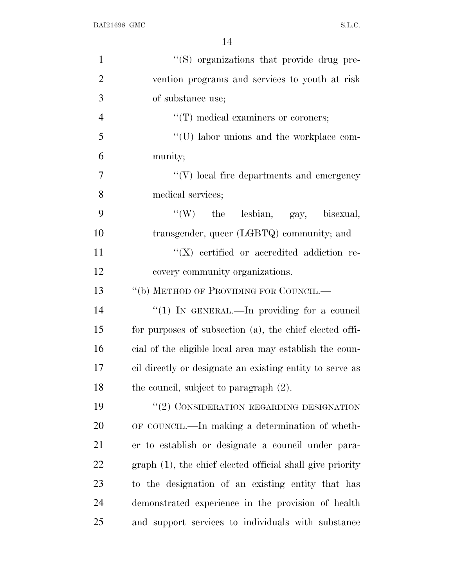| $\mathbf{1}$   | "(S) organizations that provide drug pre-                 |
|----------------|-----------------------------------------------------------|
| $\overline{2}$ | vention programs and services to youth at risk            |
| 3              | of substance use;                                         |
| $\overline{4}$ | "(T) medical examiners or coroners;                       |
| 5              | "(U) labor unions and the workplace com-                  |
| 6              | munity;                                                   |
| $\overline{7}$ | $``(V)$ local fire departments and emergency              |
| 8              | medical services;                                         |
| 9              | "(W) the lesbian, gay, bisexual,                          |
| 10             | transgender, queer (LGBTQ) community; and                 |
| 11             | $\lq\lq (X)$ certified or accredited addiction re-        |
| 12             | covery community organizations.                           |
| 13             | "(b) METHOD OF PROVIDING FOR COUNCIL.—                    |
| 14             | "(1) IN GENERAL.—In providing for a council               |
| 15             | for purposes of subsection (a), the chief elected offi-   |
| 16             | cial of the eligible local area may establish the coun-   |
| 17             | cil directly or designate an existing entity to serve as  |
| 18             | the council, subject to paragraph $(2)$ .                 |
| 19             | "(2) CONSIDERATION REGARDING DESIGNATION                  |
| 20             | OF COUNCIL.—In making a determination of wheth-           |
| 21             | er to establish or designate a council under para-        |
| 22             | graph (1), the chief elected official shall give priority |
| 23             | to the designation of an existing entity that has         |
| 24             | demonstrated experience in the provision of health        |
| 25             | and support services to individuals with substance        |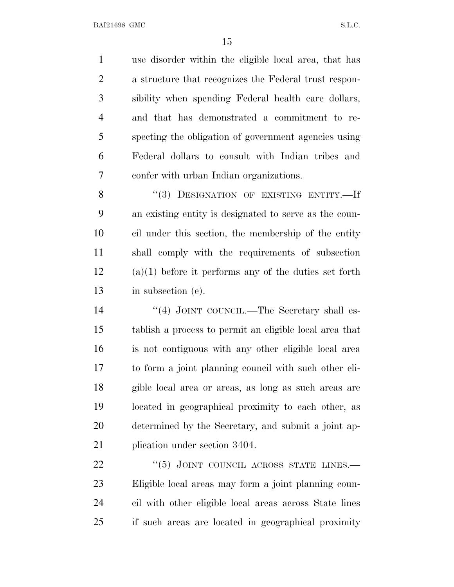use disorder within the eligible local area, that has a structure that recognizes the Federal trust respon- sibility when spending Federal health care dollars, and that has demonstrated a commitment to re- specting the obligation of government agencies using Federal dollars to consult with Indian tribes and confer with urban Indian organizations.

8 "(3) DESIGNATION OF EXISTING ENTITY.—If an existing entity is designated to serve as the coun- cil under this section, the membership of the entity shall comply with the requirements of subsection (a)(1) before it performs any of the duties set forth in subsection (e).

14 "(4) JOINT COUNCIL.—The Secretary shall es- tablish a process to permit an eligible local area that is not contiguous with any other eligible local area to form a joint planning council with such other eli- gible local area or areas, as long as such areas are located in geographical proximity to each other, as determined by the Secretary, and submit a joint ap-plication under section 3404.

22 "(5) JOINT COUNCIL ACROSS STATE LINES. Eligible local areas may form a joint planning coun- cil with other eligible local areas across State lines if such areas are located in geographical proximity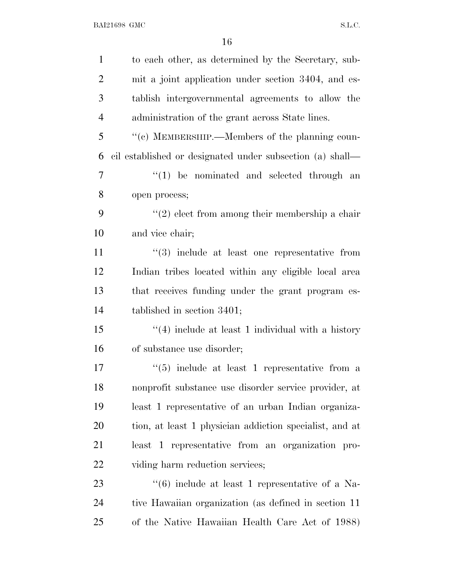| $\mathbf{1}$   | to each other, as determined by the Secretary, sub-             |
|----------------|-----------------------------------------------------------------|
| $\overline{2}$ | mit a joint application under section 3404, and es-             |
| 3              | tablish intergovernmental agreements to allow the               |
| $\overline{4}$ | administration of the grant across State lines.                 |
| 5              | "(c) MEMBERSHIP.—Members of the planning coun-                  |
| 6              | cil established or designated under subsection (a) shall—       |
| 7              | $(1)$ be nominated and selected through an                      |
| 8              | open process;                                                   |
| 9              | $\lq(2)$ elect from among their membership a chair              |
| 10             | and vice chair;                                                 |
| 11             | $(3)$ include at least one representative from                  |
| 12             | Indian tribes located within any eligible local area            |
| 13             | that receives funding under the grant program es-               |
| 14             | tablished in section $3401$ ;                                   |
| 15             | $\lq(4)$ include at least 1 individual with a history           |
| 16             | of substance use disorder;                                      |
| 17             | $\cdot\cdot\cdot(5)$ include at least 1 representative from a   |
| 18             | nonprofit substance use disorder service provider, at           |
| 19             | least 1 representative of an urban Indian organiza-             |
| 20             | tion, at least 1 physician addiction specialist, and at         |
| 21             | least 1 representative from an organization pro-                |
| 22             | viding harm reduction services;                                 |
| 23             | $\cdot\cdot\cdot(6)$ include at least 1 representative of a Na- |
| 24             | tive Hawaiian organization (as defined in section 11            |
| 25             | of the Native Hawaiian Health Care Act of 1988)                 |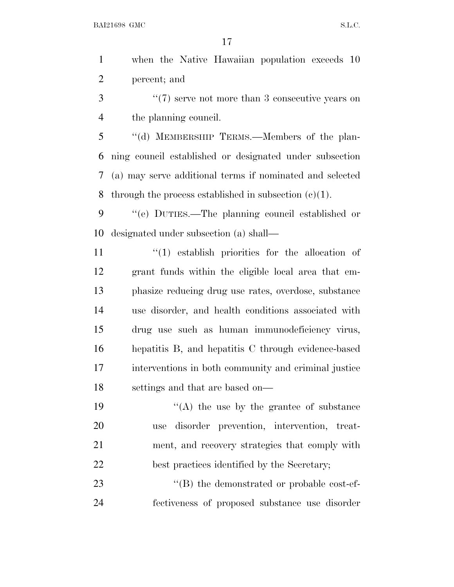when the Native Hawaiian population exceeds 10 percent; and 3 <sup>"</sup>(7) serve not more than 3 consecutive years on the planning council. ''(d) MEMBERSHIP TERMS.—Members of the plan- ning council established or designated under subsection (a) may serve additional terms if nominated and selected 8 through the process established in subsection  $(c)(1)$ . ''(e) DUTIES.—The planning council established or designated under subsection (a) shall—  $\frac{1}{2}$  (1) establish priorities for the allocation of grant funds within the eligible local area that em- phasize reducing drug use rates, overdose, substance use disorder, and health conditions associated with drug use such as human immunodeficiency virus, hepatitis B, and hepatitis C through evidence-based interventions in both community and criminal justice settings and that are based on—  $"$ (A) the use by the grantee of substance use disorder prevention, intervention, treat- ment, and recovery strategies that comply with best practices identified by the Secretary;  $\langle$  (B) the demonstrated or probable cost-ef-fectiveness of proposed substance use disorder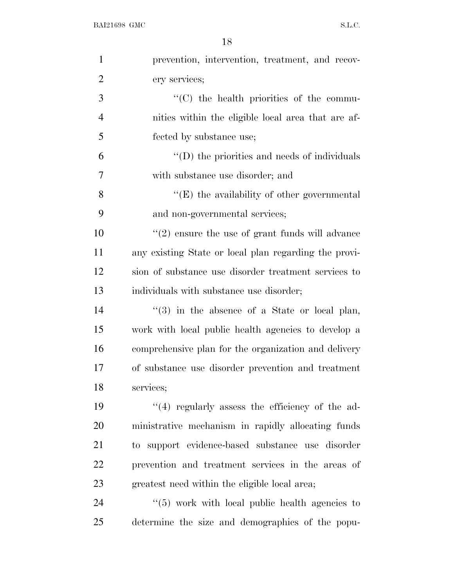| $\mathbf{1}$   | prevention, intervention, treatment, and recov-       |
|----------------|-------------------------------------------------------|
| $\overline{2}$ | ery services;                                         |
| 3              | "(C) the health priorities of the commu-              |
| $\overline{4}$ | nities within the eligible local area that are af-    |
| 5              | fected by substance use;                              |
| 6              | $\lq\lq$ (D) the priorities and needs of individuals  |
| $\overline{7}$ | with substance use disorder; and                      |
| 8              | $\lq\lq(E)$ the availability of other governmental    |
| 9              | and non-governmental services;                        |
| 10             | $\lq(2)$ ensure the use of grant funds will advance   |
| 11             | any existing State or local plan regarding the provi- |
| 12             | sion of substance use disorder treatment services to  |
| 13             | individuals with substance use disorder;              |
| 14             | $(3)$ in the absence of a State or local plan,        |
| 15             | work with local public health agencies to develop a   |
| 16             | comprehensive plan for the organization and delivery  |
| 17             | of substance use disorder prevention and treatment    |
| 18             | services;                                             |
| 19             | $(4)$ regularly assess the efficiency of the ad-      |
| 20             | ministrative mechanism in rapidly allocating funds    |
| 21             | to support evidence-based substance use disorder      |
| 22             | prevention and treatment services in the areas of     |
| 23             | greatest need within the eligible local area;         |
| 24             | $\lq(5)$ work with local public health agencies to    |
| 25             | determine the size and demographics of the popu-      |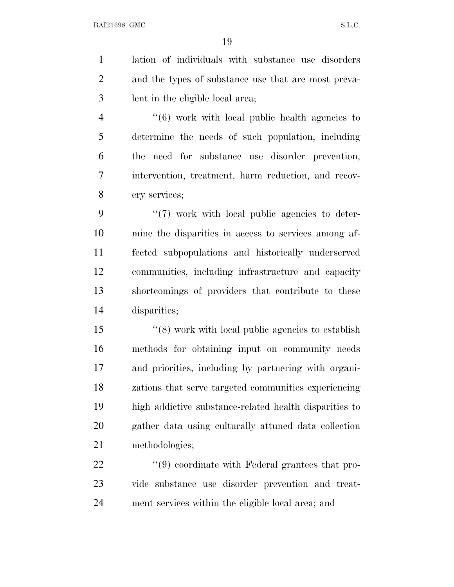lation of individuals with substance use disorders and the types of substance use that are most preva- lent in the eligible local area; ''(6) work with local public health agencies to

 determine the needs of such population, including the need for substance use disorder prevention, intervention, treatment, harm reduction, and recov-ery services;

 $9 \t\t\t\t\t\t''(7)$  work with local public agencies to deter- mine the disparities in access to services among af- fected subpopulations and historically underserved communities, including infrastructure and capacity shortcomings of providers that contribute to these disparities;

 ''(8) work with local public agencies to establish methods for obtaining input on community needs and priorities, including by partnering with organi- zations that serve targeted communities experiencing high addictive substance-related health disparities to gather data using culturally attuned data collection methodologies;

22  $(9)$  coordinate with Federal grantees that pro- vide substance use disorder prevention and treat-ment services within the eligible local area; and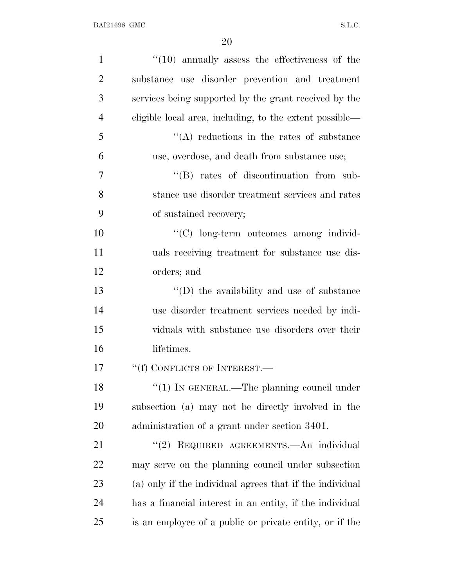| $\mathbf{1}$   | $"(10)$ annually assess the effectiveness of the         |
|----------------|----------------------------------------------------------|
| $\overline{2}$ | substance use disorder prevention and treatment          |
| 3              | services being supported by the grant received by the    |
| $\overline{4}$ | eligible local area, including, to the extent possible—  |
| 5              | $\lq\lq$ reductions in the rates of substance            |
| 6              | use, overdose, and death from substance use;             |
| 7              | "(B) rates of discontinuation from sub-                  |
| 8              | stance use disorder treatment services and rates         |
| 9              | of sustained recovery;                                   |
| 10             | "(C) long-term outcomes among individ-                   |
| 11             | uals receiving treatment for substance use dis-          |
| 12             | orders; and                                              |
| 13             | $\lq\lq$ the availability and use of substance           |
| 14             | use disorder treatment services needed by indi-          |
| 15             | viduals with substance use disorders over their          |
| 16             | lifetimes.                                               |
| 17             | "(f) CONFLICTS OF INTEREST.—                             |
| 18             | "(1) IN GENERAL.—The planning council under              |
| 19             | subsection (a) may not be directly involved in the       |
| 20             | administration of a grant under section 3401.            |
| 21             | "(2) REQUIRED AGREEMENTS.—An individual                  |
| 22             | may serve on the planning council under subsection       |
| 23             | (a) only if the individual agrees that if the individual |
| 24             | has a financial interest in an entity, if the individual |
| 25             | is an employee of a public or private entity, or if the  |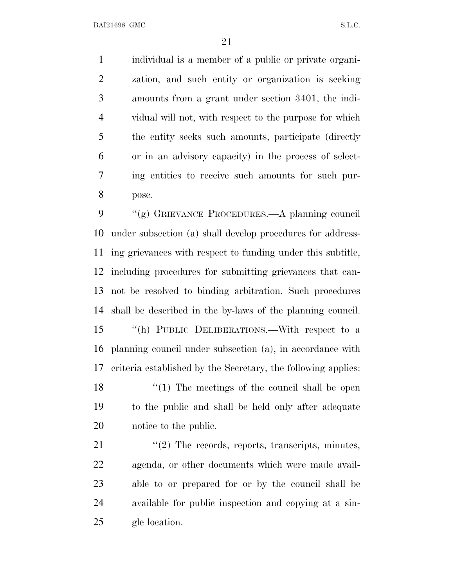individual is a member of a public or private organi- zation, and such entity or organization is seeking amounts from a grant under section 3401, the indi- vidual will not, with respect to the purpose for which the entity seeks such amounts, participate (directly or in an advisory capacity) in the process of select- ing entities to receive such amounts for such pur-pose.

 ''(g) GRIEVANCE PROCEDURES.—A planning council under subsection (a) shall develop procedures for address- ing grievances with respect to funding under this subtitle, including procedures for submitting grievances that can- not be resolved to binding arbitration. Such procedures shall be described in the by-laws of the planning council. ''(h) PUBLIC DELIBERATIONS.—With respect to a planning council under subsection (a), in accordance with criteria established by the Secretary, the following applies: 18 ''(1) The meetings of the council shall be open to the public and shall be held only after adequate notice to the public.

21 ''(2) The records, reports, transcripts, minutes, agenda, or other documents which were made avail- able to or prepared for or by the council shall be available for public inspection and copying at a sin-gle location.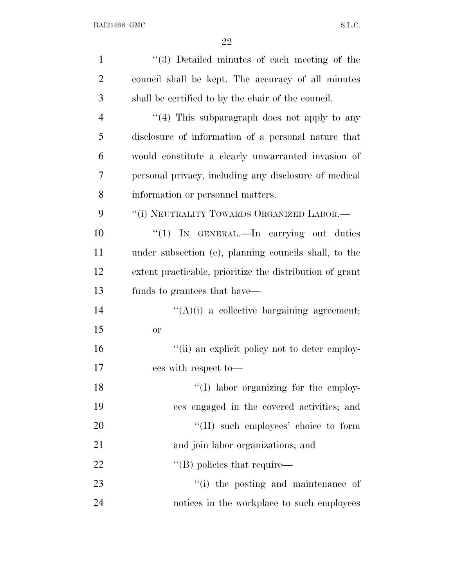| $\mathbf{1}$   | "(3) Detailed minutes of each meeting of the             |
|----------------|----------------------------------------------------------|
| $\overline{2}$ | council shall be kept. The accuracy of all minutes       |
| 3              | shall be certified to by the chair of the council.       |
| $\overline{4}$ | $\lq(4)$ This subparagraph does not apply to any         |
| 5              | disclosure of information of a personal nature that      |
| 6              | would constitute a clearly unwarranted invasion of       |
| 7              | personal privacy, including any disclosure of medical    |
| 8              | information or personnel matters.                        |
| 9              | "(i) NEUTRALITY TOWARDS ORGANIZED LABOR.—                |
| 10             | " $(1)$ IN GENERAL.—In carrying out duties               |
| 11             | under subsection (e), planning councils shall, to the    |
| 12             | extent practicable, prioritize the distribution of grant |
| 13             | funds to grantees that have—                             |
| 14             | $\lq\lq(A)(i)$ a collective bargaining agreement;        |
| 15             | <b>or</b>                                                |
| 16             | "(ii) an explicit policy not to deter employ-            |
| 17             | ees with respect to-                                     |
| 18             | "(I) labor organizing for the employ-                    |
| 19             | ees engaged in the covered activities; and               |
| 20             | "(II) such employees' choice to form                     |
| 21             | and join labor organizations; and                        |
| 22             | $\lq\lq$ (B) policies that require—                      |
| 23             | "(i) the posting and maintenance of                      |
| 24             | notices in the workplace to such employees               |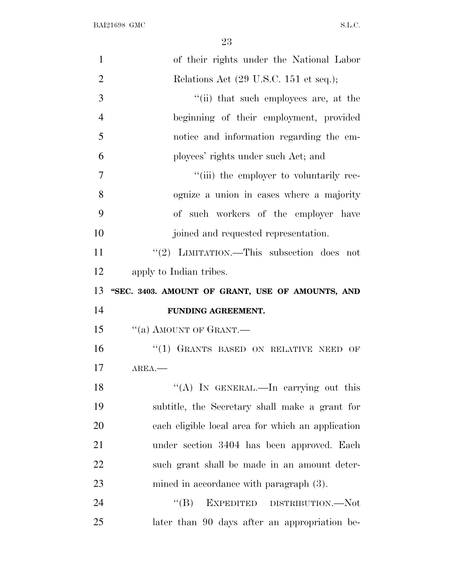| $\mathbf{1}$   | of their rights under the National Labor          |
|----------------|---------------------------------------------------|
| $\overline{2}$ | Relations Act (29 U.S.C. 151 et seq.);            |
| 3              | "(ii) that such employees are, at the             |
| 4              | beginning of their employment, provided           |
| 5              | notice and information regarding the em-          |
| 6              | ployees' rights under such Act; and               |
| 7              | "(iii) the employer to voluntarily rec-           |
| 8              | ognize a union in cases where a majority          |
| 9              | of such workers of the employer have              |
| 10             | joined and requested representation.              |
| 11             | "(2) LIMITATION.—This subsection does not         |
| 12             | apply to Indian tribes.                           |
| 13             | "SEC. 3403. AMOUNT OF GRANT, USE OF AMOUNTS, AND  |
| 14             | FUNDING AGREEMENT.                                |
|                |                                                   |
| 15             | "(a) AMOUNT OF GRANT.                             |
| 16             | "(1) GRANTS BASED ON RELATIVE NEED OF             |
| 17             | $AREA$ .                                          |
| 18             | "(A) IN GENERAL.—In carrying out this             |
| 19             | subtitle, the Secretary shall make a grant for    |
| 20             | each eligible local area for which an application |
| 21             | under section 3404 has been approved. Each        |
| 22             | such grant shall be made in an amount deter-      |
| 23             | mined in accordance with paragraph $(3)$ .        |
| 24             | EXPEDITED DISTRIBUTION.—Not<br>$\lq\lq (B)$       |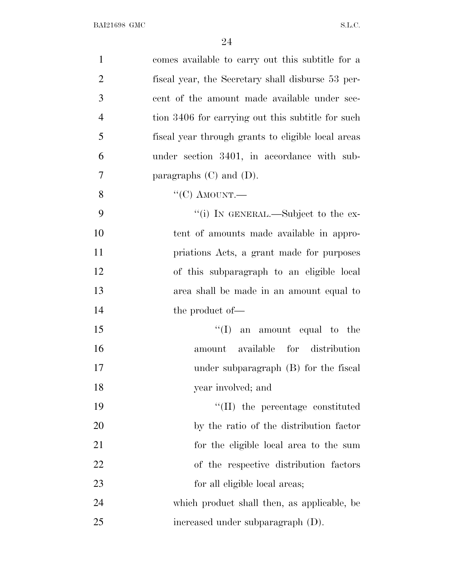| $\mathbf{1}$   | comes available to carry out this subtitle for a   |
|----------------|----------------------------------------------------|
| $\overline{2}$ | fiscal year, the Secretary shall disburse 53 per-  |
| 3              | cent of the amount made available under sec-       |
| $\overline{4}$ | tion 3406 for carrying out this subtitle for such  |
| 5              | fiscal year through grants to eligible local areas |
| 6              | under section 3401, in accordance with sub-        |
| 7              | paragraphs $(C)$ and $(D)$ .                       |
| 8              | " $(C)$ AMOUNT.—                                   |
| 9              | "(i) IN GENERAL.—Subject to the ex-                |
| 10             | tent of amounts made available in appro-           |
| 11             | priations Acts, a grant made for purposes          |
| 12             | of this subparagraph to an eligible local          |
| 13             | area shall be made in an amount equal to           |
| 14             | the product of—                                    |
| 15             | $\lq\lq$ (I) an amount equal to the                |
| 16             | amount available for distribution                  |
| 17             | under subparagraph $(B)$ for the fiscal            |
| 18             | year involved; and                                 |
| 19             | $\lq\lq$ (II) the percentage constituted           |
| 20             | by the ratio of the distribution factor            |
| 21             | for the eligible local area to the sum             |
| 22             | of the respective distribution factors             |
| 23             | for all eligible local areas;                      |
| 24             | which product shall then, as applicable, be        |
| 25             | increased under subparagraph (D).                  |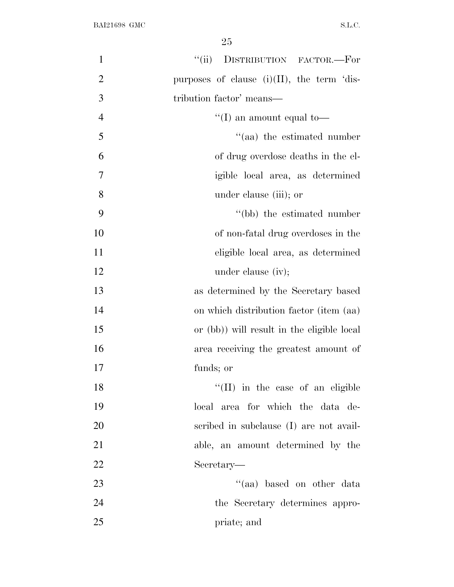| $\mathbf{1}$   | DISTRIBUTION FACTOR.-For<br>``(ii)            |
|----------------|-----------------------------------------------|
| $\overline{2}$ | purposes of clause $(i)(II)$ , the term 'dis- |
| 3              | tribution factor' means—                      |
| $\overline{4}$ | "(I) an amount equal to-                      |
| 5              | "(aa) the estimated number                    |
| 6              | of drug overdose deaths in the el-            |
| 7              | igible local area, as determined              |
| 8              | under clause (iii); or                        |
| 9              | "(bb) the estimated number                    |
| 10             | of non-fatal drug overdoses in the            |
| 11             | eligible local area, as determined            |
| 12             | under clause (iv);                            |
| 13             | as determined by the Secretary based          |
| 14             | on which distribution factor (item (aa)       |
| 15             | or (bb)) will result in the eligible local    |
| 16             | area receiving the greatest amount of         |
| 17             | funds; or                                     |
| 18             | "(II) in the case of an eligible              |
| 19             | local area for which the data de-             |
| 20             | scribed in subclause (I) are not avail-       |
| 21             | able, an amount determined by the             |
| 22             | Secretary—                                    |
| 23             | "(aa) based on other data                     |
| 24             | the Secretary determines appro-               |
| 25             | priate; and                                   |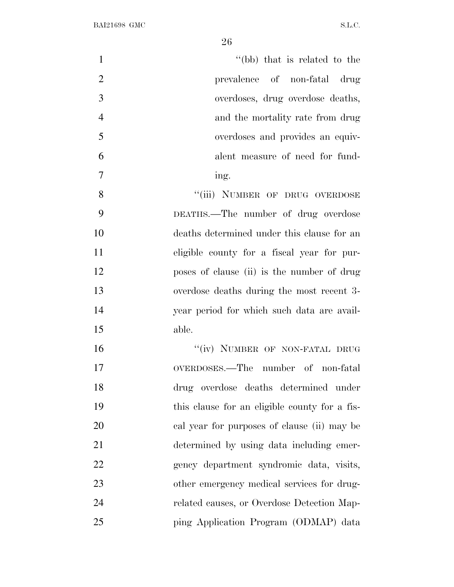| $\mathbf{1}$                                        | "(bb) that is related to the     |
|-----------------------------------------------------|----------------------------------|
| $\overline{2}$                                      | prevalence of non-fatal drug     |
| 3                                                   | overdoses, drug overdose deaths, |
| $\overline{4}$                                      | and the mortality rate from drug |
| 5                                                   | overdoses and provides an equiv- |
| 6                                                   | alent measure of need for fund-  |
| 7<br>ing.                                           |                                  |
| 8<br>"(iii) NUMBER OF DRUG OVERDOSE                 |                                  |
| 9<br>DEATHS.—The number of drug overdose            |                                  |
| 10<br>deaths determined under this clause for an    |                                  |
| 11<br>eligible county for a fiscal year for pur-    |                                  |
| 12<br>poses of clause (ii) is the number of drug    |                                  |
| 13<br>overdose deaths during the most recent 3-     |                                  |
| 14<br>year period for which such data are avail-    |                                  |
| 15<br>able.                                         |                                  |
| "(iv) NUMBER OF NON-FATAL DRUG<br>16                |                                  |
| 17<br>OVERDOSES.—The number of non-fatal            |                                  |
| 18<br>drug overdose deaths determined under         |                                  |
| 19<br>this clause for an eligible county for a fis- |                                  |
| 20<br>cal year for purposes of clause (ii) may be   |                                  |
| 21<br>determined by using data including emer-      |                                  |
| 22<br>gency department syndromic data, visits,      |                                  |
| 23<br>other emergency medical services for drug-    |                                  |
| 24<br>related causes, or Overdose Detection Map-    |                                  |
| 25<br>ping Application Program (ODMAP) data         |                                  |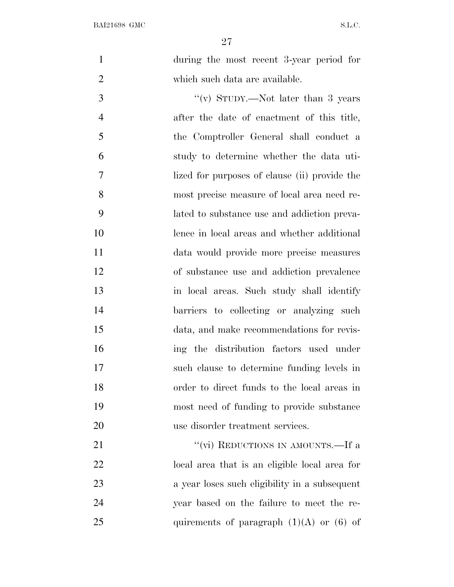during the most recent 3-year period for which such data are available.

 $''(v)$  STUDY.—Not later than 3 years after the date of enactment of this title, the Comptroller General shall conduct a study to determine whether the data uti- lized for purposes of clause (ii) provide the most precise measure of local area need re- lated to substance use and addiction preva- lence in local areas and whether additional data would provide more precise measures of substance use and addiction prevalence in local areas. Such study shall identify 14 barriers to collecting or analyzing such data, and make recommendations for revis- ing the distribution factors used under such clause to determine funding levels in order to direct funds to the local areas in most need of funding to provide substance use disorder treatment services.

21 ''(vi) REDUCTIONS IN AMOUNTS.—If a local area that is an eligible local area for a year loses such eligibility in a subsequent year based on the failure to meet the re-25 quirements of paragraph  $(1)(A)$  or  $(6)$  of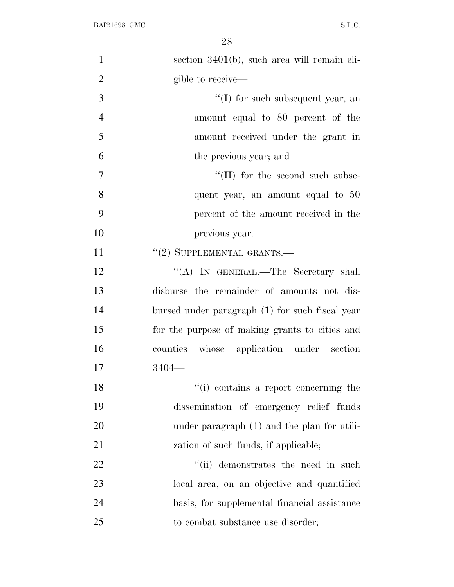| $\mathbf{1}$   | section 3401(b), such area will remain eli-     |
|----------------|-------------------------------------------------|
| $\overline{2}$ | gible to receive—                               |
| 3              | $\lq\lq$ (I) for such subsequent year, an       |
| $\overline{4}$ | amount equal to 80 percent of the               |
| 5              | amount received under the grant in              |
| 6              | the previous year; and                          |
| $\overline{7}$ | "(II) for the second such subse-                |
| 8              | quent year, an amount equal to 50               |
| 9              | percent of the amount received in the           |
| 10             | previous year.                                  |
| 11             | $"(2)$ SUPPLEMENTAL GRANTS.—                    |
| 12             | "(A) IN GENERAL.—The Secretary shall            |
| 13             | disburse the remainder of amounts not dis-      |
| 14             | bursed under paragraph (1) for such fiscal year |
| 15             | for the purpose of making grants to cities and  |
| 16             | counties whose application under section        |
| 17             | $3404-$                                         |
| 18             | "(i) contains a report concerning the           |
| 19             | dissemination of emergency relief funds         |
| 20             | under paragraph (1) and the plan for utili-     |
| 21             | zation of such funds, if applicable;            |
| 22             | "(ii) demonstrates the need in such             |
| 23             | local area, on an objective and quantified      |
| 24             | basis, for supplemental financial assistance    |
| 25             | to combat substance use disorder;               |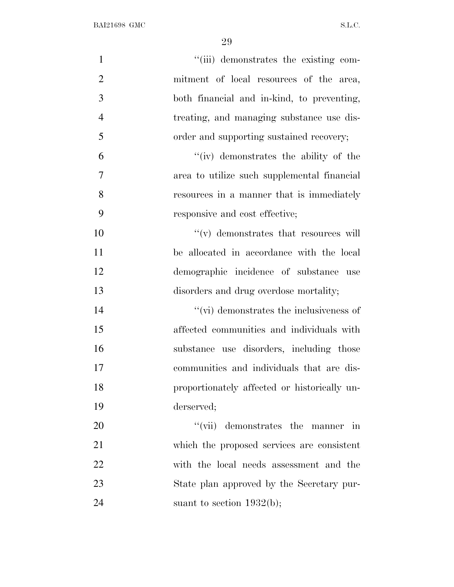| $\mathbf{1}$   | "(iii) demonstrates the existing com-        |
|----------------|----------------------------------------------|
| $\overline{2}$ | mitment of local resources of the area,      |
| 3              | both financial and in-kind, to preventing,   |
| $\overline{4}$ | treating, and managing substance use dis-    |
| 5              | order and supporting sustained recovery;     |
| 6              | "(iv) demonstrates the ability of the        |
| $\tau$         | area to utilize such supplemental financial  |
| 8              | resources in a manner that is immediately    |
| 9              | responsive and cost effective;               |
| 10             | $\lq\lq$ demonstrates that resources will    |
| 11             | be allocated in accordance with the local    |
| 12             | demographic incidence of substance use       |
| 13             | disorders and drug overdose mortality;       |
| 14             | "(vi) demonstrates the inclusiveness of      |
| 15             | affected communities and individuals with    |
| 16             | substance use disorders, including those     |
| 17             | communities and individuals that are dis-    |
| 18             | proportionately affected or historically un- |
| 19             | derserved;                                   |
| 20             | "(vii) demonstrates the manner in            |
| 21             | which the proposed services are consistent   |
| 22             | with the local needs assessment and the      |
| 23             | State plan approved by the Secretary pur-    |
| 24             | suant to section $1932(b)$ ;                 |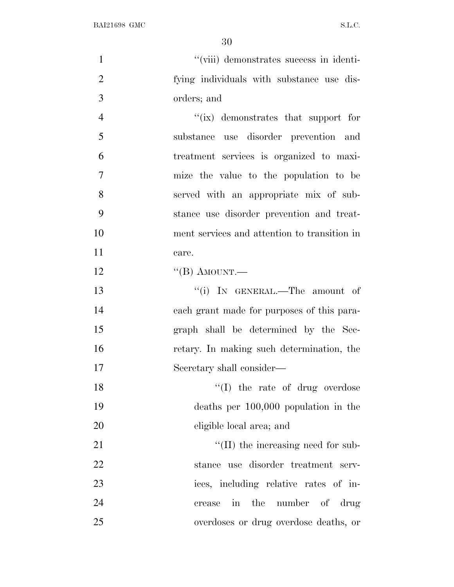| $\mathbf{1}$   | "(viii) demonstrates success in identi-             |
|----------------|-----------------------------------------------------|
| $\overline{2}$ | fying individuals with substance use dis-           |
| 3              | orders; and                                         |
| $\overline{4}$ | "(ix) demonstrates that support for                 |
| 5              | substance use disorder prevention and               |
| 6              | treatment services is organized to maxi-            |
| 7              | mize the value to the population to be              |
| 8              | served with an appropriate mix of sub-              |
| 9              | stance use disorder prevention and treat-           |
| 10             | ment services and attention to transition in        |
| 11             | care.                                               |
| 12             | $\lq\lq (B)$ AMOUNT.—                               |
| 13             | "(i) IN GENERAL.—The amount of                      |
| 14             | each grant made for purposes of this para-          |
| 15             | graph shall be determined by the Sec-               |
| 16             | retary. In making such determination, the           |
| 17             | Secretary shall consider—                           |
| 18             | $\lq\lq$ (I) the rate of drug overdose              |
| 19             | deaths per $100,000$ population in the              |
| 20             | eligible local area; and                            |
| 21             | $\lq\lq$ (II) the increasing need for sub-          |
| 22             | stance use disorder treatment serv-                 |
| 23             | ices, including relative rates of in-               |
| 24             | the number of drug<br>$\operatorname{in}$<br>crease |
| 25             | overdoses or drug overdose deaths, or               |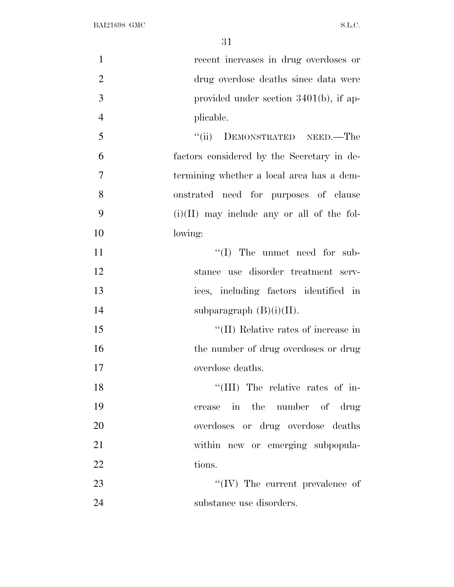| $\mathbf{1}$   | recent increases in drug overdoses or        |
|----------------|----------------------------------------------|
| $\overline{2}$ | drug overdose deaths since data were         |
| 3              | provided under section $3401(b)$ , if ap-    |
| $\overline{4}$ | plicable.                                    |
| 5              | ``(ii)<br>DEMONSTRATED NEED.—The             |
| 6              | factors considered by the Secretary in de-   |
| 7              | termining whether a local area has a dem-    |
| 8              | onstrated need for purposes of clause        |
| 9              | $(i)(II)$ may include any or all of the fol- |
| 10             | lowing:                                      |
| 11             | $\lq\lq$ (I) The unmet need for sub-         |
| 12             | stance use disorder treatment serv-          |
| 13             | ices, including factors identified in        |
| 14             | subparagraph $(B)(i)(II)$ .                  |
| 15             | "(II) Relative rates of increase in          |
| 16             | the number of drug overdoses or drug         |
| 17             | overdose deaths.                             |
| 18             | "(III) The relative rates of in-             |
| 19             | crease in the number of drug                 |
| 20             | overdoses or drug overdose deaths            |
| 21             | within new or emerging subpopula-            |
| 22             | tions.                                       |
| 23             | $\lq\lq$ (IV) The current prevalence of      |
| 24             | substance use disorders.                     |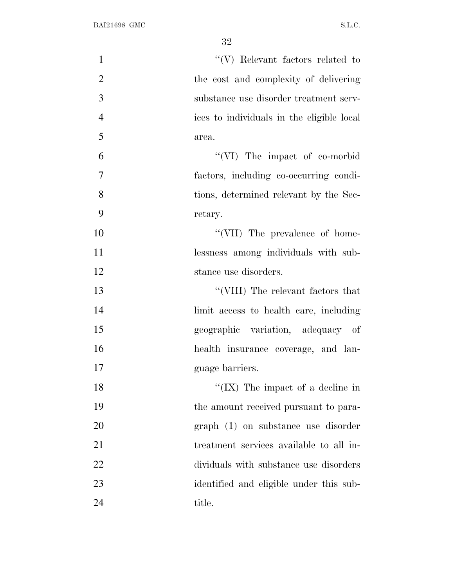| $\mathbf{1}$   | $``(V)$ Relevant factors related to       |
|----------------|-------------------------------------------|
| $\overline{2}$ | the cost and complexity of delivering     |
| 3              | substance use disorder treatment serv-    |
| $\overline{4}$ | ices to individuals in the eligible local |
| 5              | area.                                     |
| 6              | "(VI) The impact of co-morbid             |
| $\overline{7}$ | factors, including co-occurring condi-    |
| 8              | tions, determined relevant by the Sec-    |
| 9              | retary.                                   |
| 10             | "(VII) The prevalence of home-            |
| 11             | lessness among individuals with sub-      |
| 12             | stance use disorders.                     |
| 13             | "(VIII) The relevant factors that         |
| 14             | limit access to health care, including    |
| 15             | geographic variation, adequacy of         |
| 16             | health insurance coverage, and lan-       |
| 17             | guage barriers.                           |
| 18             | "(IX) The impact of a decline in          |
| 19             | the amount received pursuant to para-     |
| 20             | graph (1) on substance use disorder       |
| 21             | treatment services available to all in-   |
| 22             | dividuals with substance use disorders    |
| 23             | identified and eligible under this sub-   |
| 24             | title.                                    |
|                |                                           |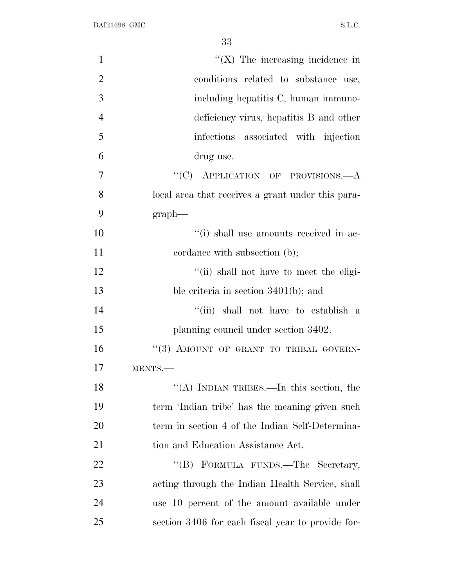| $\mathbf{1}$   | $\lq\lq$ (X) The increasing incidence in          |
|----------------|---------------------------------------------------|
| $\overline{2}$ | conditions related to substance use,              |
| 3              | including hepatitis C, human immuno-              |
| $\overline{4}$ | deficiency virus, hepatitis B and other           |
| 5              | infections associated with injection              |
| 6              | drug use.                                         |
| $\overline{7}$ | "(C) APPLICATION OF PROVISIONS.—A                 |
| 8              | local area that receives a grant under this para- |
| 9              | $graph$ —                                         |
| 10             | "(i) shall use amounts received in ac-            |
| 11             | cordance with subsection (b);                     |
| 12             | "(ii) shall not have to meet the eligi-           |
| 13             | ble criteria in section $3401(b)$ ; and           |
| 14             | "(iii) shall not have to establish a              |
| 15             | planning council under section 3402.              |
| 16             | "(3) AMOUNT OF GRANT TO TRIBAL GOVERN-            |
| 17             | MENTS.-                                           |
| 18             | "(A) INDIAN TRIBES.—In this section, the          |
| 19             | term 'Indian tribe' has the meaning given such    |
| 20             | term in section 4 of the Indian Self-Determina-   |
| 21             | tion and Education Assistance Act.                |
| 22             | "(B) FORMULA FUNDS.—The Secretary,                |
| 23             | acting through the Indian Health Service, shall   |
| 24             | use 10 percent of the amount available under      |
| 25             | section 3406 for each fiscal year to provide for- |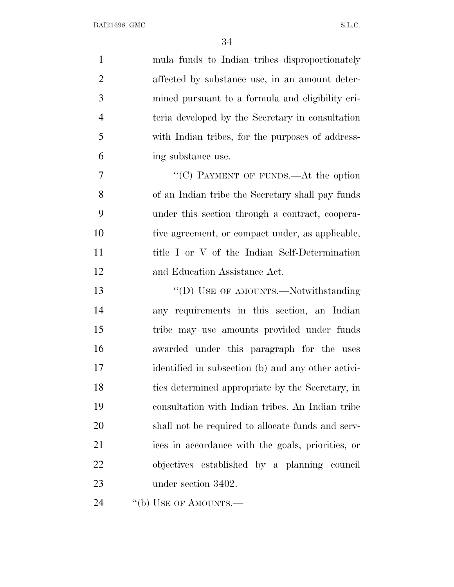| $\mathbf{1}$   | mula funds to Indian tribes disproportionately     |
|----------------|----------------------------------------------------|
| $\overline{2}$ | affected by substance use, in an amount deter-     |
| 3              | mined pursuant to a formula and eligibility cri-   |
| $\overline{4}$ | teria developed by the Secretary in consultation   |
| 5              | with Indian tribes, for the purposes of address-   |
| 6              | ing substance use.                                 |
| 7              | "(C) PAYMENT OF FUNDS.—At the option               |
| 8              | of an Indian tribe the Secretary shall pay funds   |
| 9              | under this section through a contract, coopera-    |
| 10             | tive agreement, or compact under, as applicable,   |
| 11             | title I or V of the Indian Self-Determination      |
| 12             | and Education Assistance Act.                      |
| 13             | "(D) USE OF AMOUNTS.—Notwithstanding               |
| 14             | any requirements in this section, an Indian        |
| 15             | tribe may use amounts provided under funds         |
| 16             | awarded under this paragraph for the uses          |
| 17             | identified in subsection (b) and any other activi- |
| 18             | ties determined appropriate by the Secretary, in   |
| 19             | consultation with Indian tribes. An Indian tribe   |
| 20             | shall not be required to allocate funds and serv-  |
| 21             | ices in accordance with the goals, priorities, or  |
| 22             | objectives established by a planning council       |
| 23             | under section 3402.                                |
| 24             | "(b) USE OF AMOUNTS.—                              |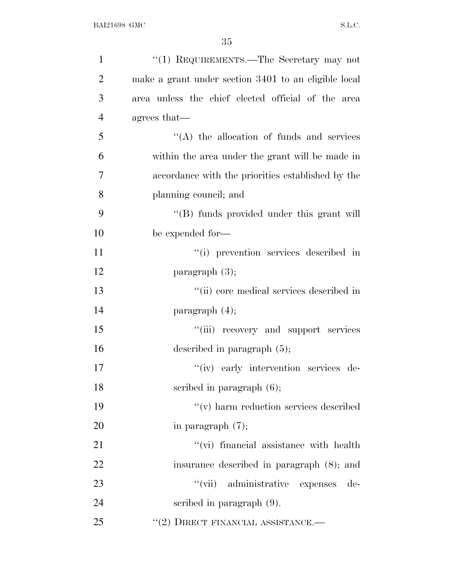| $\mathbf{1}$   | "(1) REQUIREMENTS.—The Secretary may not             |
|----------------|------------------------------------------------------|
| $\overline{2}$ | make a grant under section 3401 to an eligible local |
| 3              | area unless the chief elected official of the area   |
| $\overline{4}$ | agrees that—                                         |
| 5              | $\lq\lq$ the allocation of funds and services        |
| 6              | within the area under the grant will be made in      |
| $\tau$         | accordance with the priorities established by the    |
| 8              | planning council; and                                |
| 9              | "(B) funds provided under this grant will            |
| 10             | be expended for-                                     |
| 11             | "(i) prevention services described in                |
| 12             | paragraph $(3)$ ;                                    |
| 13             | "(ii) core medical services described in             |
| 14             | paragraph $(4)$ ;                                    |
| 15             | "(iii) recovery and support services                 |
| 16             | described in paragraph $(5)$ ;                       |
| 17             | "(iv) early intervention services de-                |
| 18             | scribed in paragraph $(6)$ ;                         |
| 19             | $\mathcal{C}(v)$ harm reduction services described   |
| 20             | in paragraph $(7)$ ;                                 |
| 21             | "(vi) financial assistance with health               |
| 22             | insurance described in paragraph (8); and            |
| 23             | "(vii) administrative expenses<br>de-                |
| 24             | scribed in paragraph $(9)$ .                         |
| 25             | $``(2)$ DIRECT FINANCIAL ASSISTANCE.—                |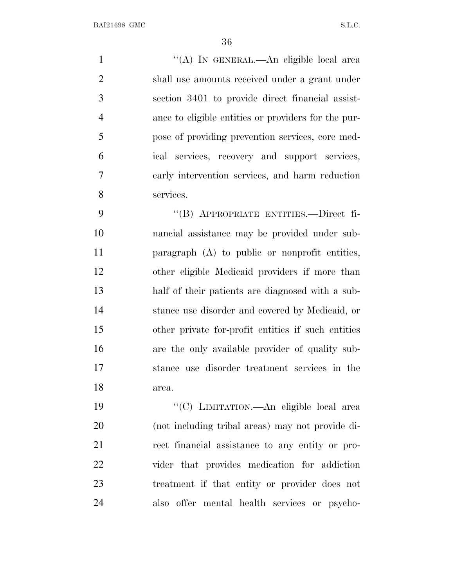1 "(A) In GENERAL.—An eligible local area shall use amounts received under a grant under section 3401 to provide direct financial assist- ance to eligible entities or providers for the pur- pose of providing prevention services, core med- ical services, recovery and support services, early intervention services, and harm reduction services.

 ''(B) APPROPRIATE ENTITIES.—Direct fi- nancial assistance may be provided under sub- paragraph (A) to public or nonprofit entities, other eligible Medicaid providers if more than half of their patients are diagnosed with a sub- stance use disorder and covered by Medicaid, or other private for-profit entities if such entities are the only available provider of quality sub- stance use disorder treatment services in the area.

 ''(C) LIMITATION.—An eligible local area (not including tribal areas) may not provide di- rect financial assistance to any entity or pro- vider that provides medication for addiction treatment if that entity or provider does not also offer mental health services or psycho-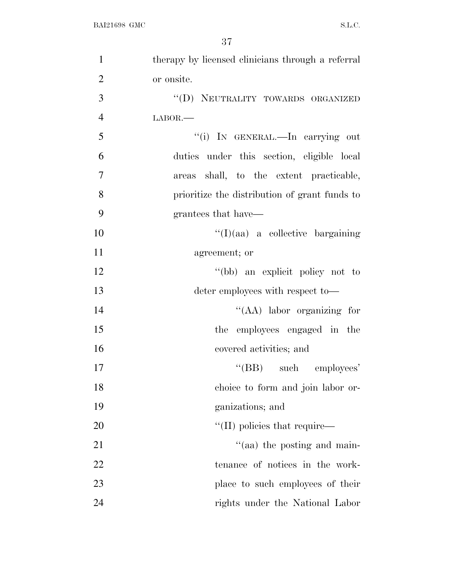| $\mathbf{1}$   | therapy by licensed clinicians through a referral |
|----------------|---------------------------------------------------|
| $\overline{2}$ | or onsite.                                        |
| 3              | "(D) NEUTRALITY TOWARDS ORGANIZED                 |
| $\overline{4}$ | $LABOR$ .                                         |
| 5              | "(i) IN GENERAL.—In carrying out                  |
| 6              | duties under this section, eligible local         |
| 7              | areas shall, to the extent practicable,           |
| 8              | prioritize the distribution of grant funds to     |
| 9              | grantees that have—                               |
| 10             | $\lq\lq$ (I)(aa) a collective bargaining          |
| 11             | agreement; or                                     |
| 12             | "(bb) an explicit policy not to                   |
| 13             | deter employees with respect to-                  |
| 14             | "(AA) labor organizing for                        |
| 15             | the employees engaged in the                      |
| 16             | covered activities; and                           |
| 17             | "(BB) such employees'                             |
| 18             | choice to form and join labor or-                 |
| 19             | ganizations; and                                  |
| 20             | $\lq$ (II) policies that require—                 |
| 21             | $\cdot$ (aa) the posting and main-                |
| 22             | tenance of notices in the work-                   |
| 23             | place to such employees of their                  |
| 24             | rights under the National Labor                   |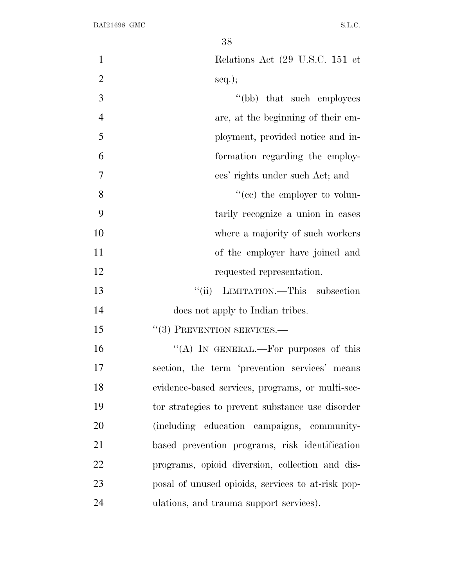| $\mathbf{1}$   | Relations Act (29 U.S.C. 151 et                   |
|----------------|---------------------------------------------------|
| $\overline{2}$ | $seq.$ ;                                          |
| 3              | "(bb) that such employees                         |
| $\overline{4}$ | are, at the beginning of their em-                |
| 5              | ployment, provided notice and in-                 |
| 6              | formation regarding the employ-                   |
| $\overline{7}$ | ees' rights under such Act; and                   |
| 8              | "(cc) the employer to volun-                      |
| 9              | tarily recognize a union in cases                 |
| 10             | where a majority of such workers                  |
| 11             | of the employer have joined and                   |
| 12             | requested representation.                         |
| 13             | "(ii) LIMITATION.—This subsection                 |
| 14             | does not apply to Indian tribes.                  |
| 15             | $``(3)$ PREVENTION SERVICES.—                     |
| 16             | "(A) IN GENERAL.—For purposes of this             |
| 17             | section, the term 'prevention services' means     |
| 18             | evidence-based services, programs, or multi-sec-  |
| 19             | tor strategies to prevent substance use disorder  |
| 20             | (including education campaigns, community-        |
| 21             | based prevention programs, risk identification    |
| 22             | programs, opioid diversion, collection and dis-   |
| 23             | posal of unused opioids, services to at-risk pop- |
| 24             | ulations, and trauma support services).           |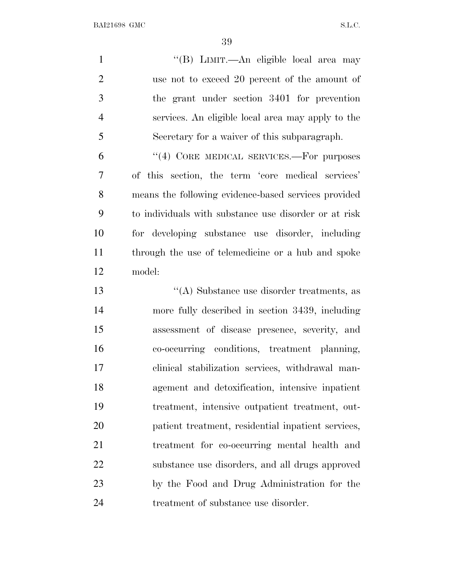| $\mathbf{1}$   | "(B) LIMIT.—An eligible local area may                |
|----------------|-------------------------------------------------------|
| $\overline{2}$ | use not to exceed 20 percent of the amount of         |
| 3              | the grant under section 3401 for prevention           |
| $\overline{4}$ | services. An eligible local area may apply to the     |
| 5              | Secretary for a waiver of this subparagraph.          |
| 6              | "(4) CORE MEDICAL SERVICES.—For purposes              |
| 7              | of this section, the term 'core medical services'     |
| 8              | means the following evidence-based services provided  |
| 9              | to individuals with substance use disorder or at risk |
| 10             | for developing substance use disorder, including      |
| 11             | through the use of telemedicine or a hub and spoke    |
| 12             | model:                                                |
| 13             | "(A) Substance use disorder treatments, as            |
| 14             | more fully described in section 3439, including       |
| 15             | assessment of disease presence, severity, and         |
| 16             | co-occurring conditions, treatment planning,          |
| 17             | clinical stabilization services, withdrawal man-      |
| 18             | agement and detoxification, intensive inpatient       |
| 19             | treatment, intensive outpatient treatment, out-       |
| 20             | patient treatment, residential inpatient services,    |
| 21             | treatment for co-occurring mental health and          |
| 22             | substance use disorders, and all drugs approved       |
| 23             | by the Food and Drug Administration for the           |

treatment of substance use disorder.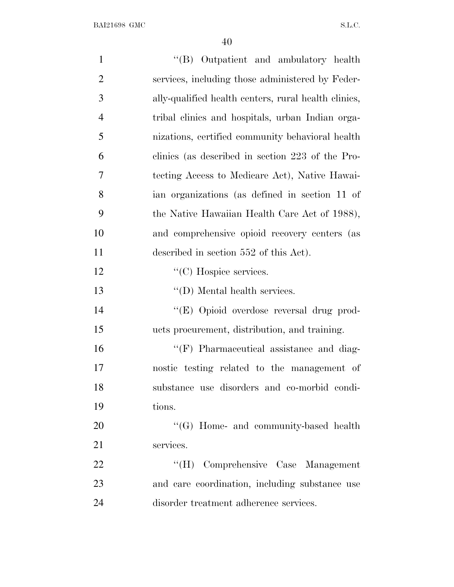| $\mathbf{1}$   | "(B) Outpatient and ambulatory health                |
|----------------|------------------------------------------------------|
| $\overline{2}$ | services, including those administered by Feder-     |
| 3              | ally-qualified health centers, rural health clinics, |
| $\overline{4}$ | tribal clinics and hospitals, urban Indian orga-     |
| 5              | nizations, certified community behavioral health     |
| 6              | clinics (as described in section 223 of the Pro-     |
| 7              | tecting Access to Medicare Act), Native Hawai-       |
| 8              | ian organizations (as defined in section 11 of       |
| 9              | the Native Hawaiian Health Care Act of 1988),        |
| 10             | and comprehensive opioid recovery centers (as        |
| 11             | described in section 552 of this Act).               |
| 12             | $\lq\lq$ (C) Hospice services.                       |
| 13             | $\lq\lq$ (D) Mental health services.                 |
| 14             | "(E) Opioid overdose reversal drug prod-             |
| 15             | ucts procurement, distribution, and training.        |
| 16             | $\lq\lq(F)$ Pharmaceutical assistance and diag-      |
| 17             | nostic testing related to the management of          |
| 18             | substance use disorders and co-morbid condi-         |
| 19             | tions.                                               |
| 20             | $\lq\lq (G)$ Home- and community-based health        |
| 21             | services.                                            |
| 22             | "(H) Comprehensive Case Management                   |
| 23             | and care coordination, including substance use       |
| 24             | disorder treatment adherence services.               |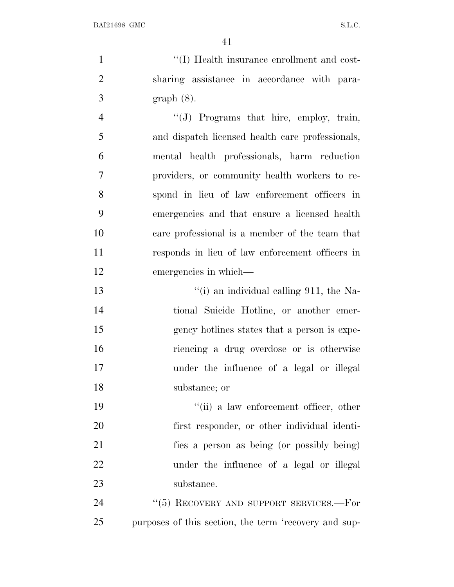$\frac{1}{1}$  ''(I) Health insurance enrollment and cost- sharing assistance in accordance with para- graph (8). ''(J) Programs that hire, employ, train,

 and dispatch licensed health care professionals, mental health professionals, harm reduction providers, or community health workers to re- spond in lieu of law enforcement officers in emergencies and that ensure a licensed health care professional is a member of the team that responds in lieu of law enforcement officers in emergencies in which—

 ''(i) an individual calling 911, the Na- tional Suicide Hotline, or another emer- gency hotlines states that a person is expe- riencing a drug overdose or is otherwise under the influence of a legal or illegal substance; or

 ''(ii) a law enforcement officer, other first responder, or other individual identi- fies a person as being (or possibly being) under the influence of a legal or illegal substance.

24 "(5) RECOVERY AND SUPPORT SERVICES.—For purposes of this section, the term 'recovery and sup-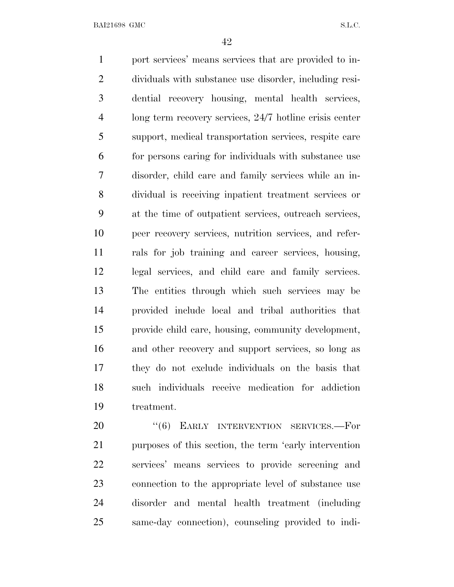port services' means services that are provided to in- dividuals with substance use disorder, including resi- dential recovery housing, mental health services, long term recovery services, 24/7 hotline crisis center support, medical transportation services, respite care for persons caring for individuals with substance use disorder, child care and family services while an in- dividual is receiving inpatient treatment services or at the time of outpatient services, outreach services, peer recovery services, nutrition services, and refer- rals for job training and career services, housing, legal services, and child care and family services. The entities through which such services may be provided include local and tribal authorities that provide child care, housing, community development, and other recovery and support services, so long as they do not exclude individuals on the basis that such individuals receive medication for addiction treatment.

20 "(6) EARLY INTERVENTION SERVICES.-- For purposes of this section, the term 'early intervention services' means services to provide screening and connection to the appropriate level of substance use disorder and mental health treatment (including same-day connection), counseling provided to indi-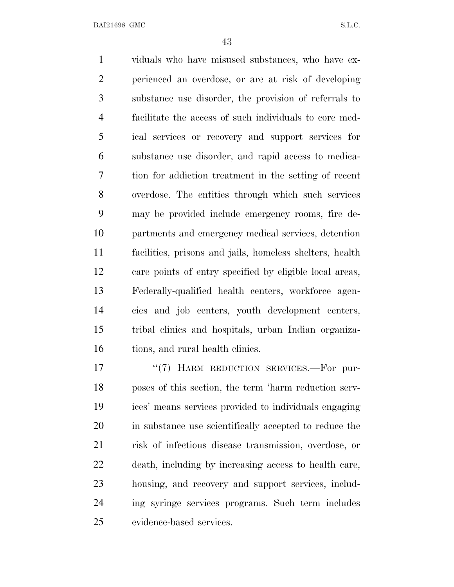viduals who have misused substances, who have ex- perienced an overdose, or are at risk of developing substance use disorder, the provision of referrals to facilitate the access of such individuals to core med- ical services or recovery and support services for substance use disorder, and rapid access to medica- tion for addiction treatment in the setting of recent overdose. The entities through which such services may be provided include emergency rooms, fire de- partments and emergency medical services, detention facilities, prisons and jails, homeless shelters, health care points of entry specified by eligible local areas, Federally-qualified health centers, workforce agen- cies and job centers, youth development centers, tribal clinics and hospitals, urban Indian organiza-16 tions, and rural health clinics.

17 "(7) HARM REDUCTION SERVICES.—For pur- poses of this section, the term 'harm reduction serv- ices' means services provided to individuals engaging in substance use scientifically accepted to reduce the risk of infectious disease transmission, overdose, or death, including by increasing access to health care, housing, and recovery and support services, includ- ing syringe services programs. Such term includes evidence-based services.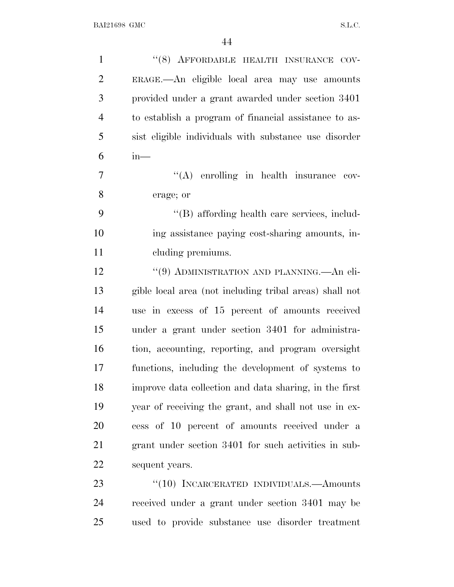| $\mathbf{1}$   | "(8) AFFORDABLE HEALTH INSURANCE COV-                   |
|----------------|---------------------------------------------------------|
| $\overline{2}$ | ERAGE.—An eligible local area may use amounts           |
| 3              | provided under a grant awarded under section 3401       |
| $\overline{4}$ | to establish a program of financial assistance to as-   |
| 5              | sist eligible individuals with substance use disorder   |
| 6              | $in-$                                                   |
| 7              | $\lq\lq$ enrolling in health insurance cov-             |
| 8              | erage; or                                               |
| 9              | "(B) affording health care services, includ-            |
| 10             | ing assistance paying cost-sharing amounts, in-         |
| 11             | cluding premiums.                                       |
| 12             | "(9) ADMINISTRATION AND PLANNING.—An eli-               |
| 13             | gible local area (not including tribal areas) shall not |
| 14             | use in excess of 15 percent of amounts received         |
| 15             | under a grant under section 3401 for administra-        |
| 16             | tion, accounting, reporting, and program oversight      |
| 17             | functions, including the development of systems to      |
| 18             | improve data collection and data sharing, in the first  |
| 19             | year of receiving the grant, and shall not use in ex-   |
| 20             | cess of 10 percent of amounts received under a          |
| 21             | grant under section 3401 for such activities in sub-    |
| 22             | sequent years.                                          |
| 23             | "(10) INCARCERATED INDIVIDUALS.—Amounts                 |
| 24             | received under a grant under section 3401 may be        |
| 25             | used to provide substance use disorder treatment        |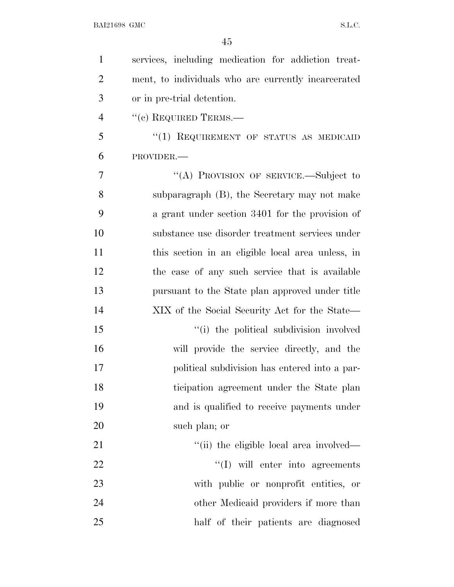| $\mathbf{1}$   | services, including medication for addiction treat- |
|----------------|-----------------------------------------------------|
| $\overline{2}$ | ment, to individuals who are currently incarcerated |
| 3              | or in pre-trial detention.                          |
| $\overline{4}$ | $``(c)$ REQUIRED TERMS.—                            |
| 5              | "(1) REQUIREMENT OF STATUS AS MEDICAID              |
| 6              | PROVIDER.-                                          |
| 7              | "(A) PROVISION OF SERVICE.—Subject to               |
| 8              | subparagraph (B), the Secretary may not make        |
| 9              | a grant under section 3401 for the provision of     |
| 10             | substance use disorder treatment services under     |
| 11             | this section in an eligible local area unless, in   |
| 12             | the case of any such service that is available      |
| 13             | pursuant to the State plan approved under title     |
| 14             | XIX of the Social Security Act for the State—       |
| 15             | "(i) the political subdivision involved             |
| 16             | will provide the service directly, and the          |
| 17             | political subdivision has entered into a par-       |
| 18             | ticipation agreement under the State plan           |
| 19             | and is qualified to receive payments under          |
| 20             | such plan; or                                       |
| 21             | "(ii) the eligible local area involved—             |
| 22             | $\lq\lq$ will enter into agreements                 |
| 23             | with public or nonprofit entities, or               |
| 24             | other Medicaid providers if more than               |
| 25             | half of their patients are diagnosed                |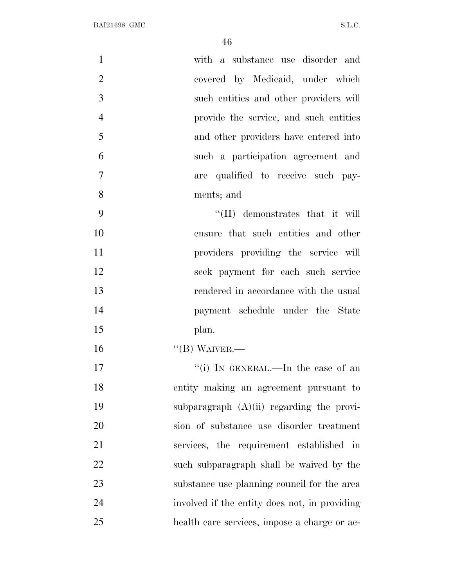| $\mathbf{1}$   | with a substance use disorder and             |
|----------------|-----------------------------------------------|
| $\overline{2}$ | covered by Medicaid, under which              |
| 3              | such entities and other providers will        |
| $\overline{4}$ | provide the service, and such entities        |
| 5              | and other providers have entered into         |
| 6              | such a participation agreement and            |
| 7              | are qualified to receive such pay-            |
| 8              | ments; and                                    |
| 9              | $\lq\lq$ (II) demonstrates that it will       |
| 10             | ensure that such entities and other           |
| 11             | providers providing the service will          |
| 12             | seek payment for each such service            |
| 13             | rendered in accordance with the usual         |
| 14             | payment schedule under the State              |
| 15             | plan.                                         |
| 16             | $\lq\lq (B)$ WAIVER.—                         |
| 17             | "(i) IN GENERAL.—In the case of an            |
| 18             | entity making an agreement pursuant to        |
| 19             | subparagraph $(A)(ii)$ regarding the provi-   |
| 20             | sion of substance use disorder treatment      |
| 21             | services, the requirement established in      |
| 22             | such subparagraph shall be waived by the      |
| 23             | substance use planning council for the area   |
| 24             | involved if the entity does not, in providing |
| 25             | health care services, impose a charge or ac-  |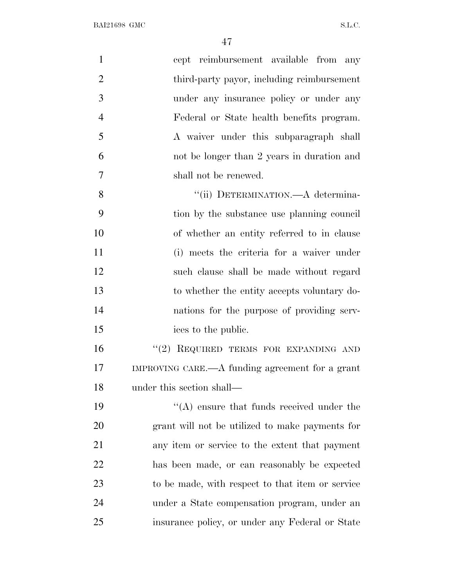| $\mathbf{1}$   | cept reimbursement available from any            |
|----------------|--------------------------------------------------|
| $\overline{2}$ | third-party payor, including reimbursement       |
| 3              | under any insurance policy or under any          |
| $\overline{4}$ | Federal or State health benefits program.        |
| 5              | A waiver under this subparagraph shall           |
| 6              | not be longer than 2 years in duration and       |
| $\overline{7}$ | shall not be renewed.                            |
| 8              | "(ii) DETERMINATION.—A determina-                |
| 9              | tion by the substance use planning council       |
| 10             | of whether an entity referred to in clause       |
| 11             | (i) meets the criteria for a waiver under        |
| 12             | such clause shall be made without regard         |
| 13             | to whether the entity accepts voluntary do-      |
| 14             | nations for the purpose of providing serv-       |
| 15             | ices to the public.                              |
| 16             | "(2) REQUIRED TERMS FOR EXPANDING AND            |
| 17             | IMPROVING CARE.—A funding agreement for a grant  |
| 18             | under this section shall—                        |
| 19             | $\lq\lq$ ensure that funds received under the    |
| 20             | grant will not be utilized to make payments for  |
| 21             | any item or service to the extent that payment   |
| 22             | has been made, or can reasonably be expected     |
| 23             | to be made, with respect to that item or service |
| 24             | under a State compensation program, under an     |
| 25             | insurance policy, or under any Federal or State  |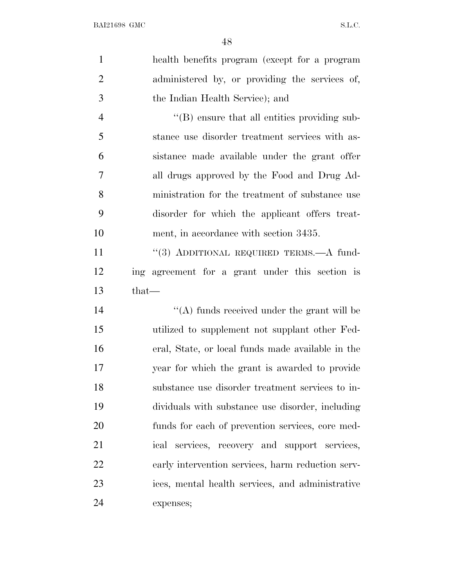| $\mathbf{1}$   | health benefits program (except for a program     |
|----------------|---------------------------------------------------|
| $\overline{2}$ | administered by, or providing the services of,    |
| 3              | the Indian Health Service); and                   |
| $\overline{4}$ | "(B) ensure that all entities providing sub-      |
| 5              | stance use disorder treatment services with as-   |
| 6              | sistance made available under the grant offer     |
| $\overline{7}$ | all drugs approved by the Food and Drug Ad-       |
| 8              | ministration for the treatment of substance use   |
| 9              | disorder for which the applicant offers treat-    |
| 10             | ment, in accordance with section 3435.            |
| 11             | "(3) ADDITIONAL REQUIRED TERMS.-A fund-           |
| 12             | ing agreement for a grant under this section is   |
| 13             | $that-$                                           |
| 14             | $\lq\lq$ funds received under the grant will be   |
| 15             | utilized to supplement not supplant other Fed-    |
| 16             | eral, State, or local funds made available in the |
| 17             | year for which the grant is awarded to provide    |
| 18             | substance use disorder treatment services to in-  |
| 19             | dividuals with substance use disorder, including  |
| 20             | funds for each of prevention services, core med-  |
| 21             | ical services, recovery and support services,     |
| 22             | early intervention services, harm reduction serv- |
| 23             | ices, mental health services, and administrative  |
| 24             | expenses;                                         |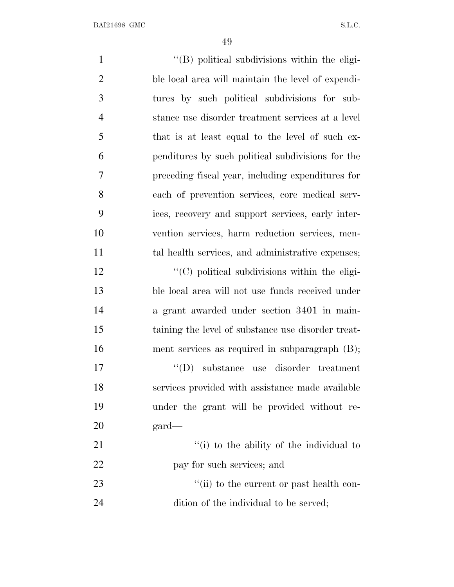$\langle (B)$  political subdivisions within the eligi- ble local area will maintain the level of expendi- tures by such political subdivisions for sub- stance use disorder treatment services at a level that is at least equal to the level of such ex- penditures by such political subdivisions for the preceding fiscal year, including expenditures for each of prevention services, core medical serv- ices, recovery and support services, early inter- vention services, harm reduction services, men-11 tal health services, and administrative expenses;  $\cdot$  (C) political subdivisions within the eligi- ble local area will not use funds received under a grant awarded under section 3401 in main- taining the level of substance use disorder treat- ment services as required in subparagraph (B); ''(D) substance use disorder treatment services provided with assistance made available under the grant will be provided without re- gard— 21 ''(i) to the ability of the individual to 22 pay for such services; and 23 ''(ii) to the current or past health con-dition of the individual to be served;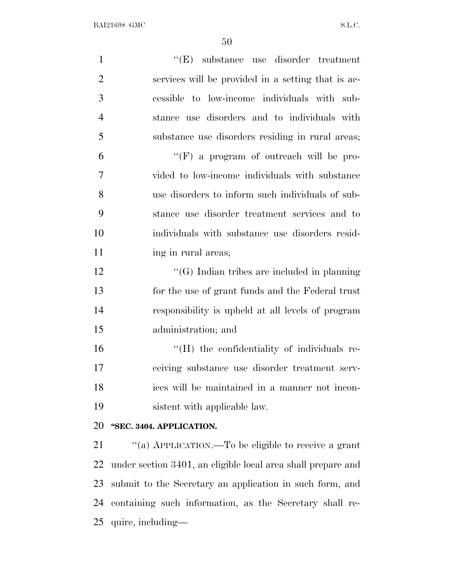| $\mathbf{1}$   | $\lq\lq(E)$ substance use disorder treatment                 |
|----------------|--------------------------------------------------------------|
| $\overline{2}$ | services will be provided in a setting that is ac-           |
| 3              | cessible to low-income individuals with sub-                 |
| $\overline{4}$ | stance use disorders and to individuals with                 |
| 5              | substance use disorders residing in rural areas;             |
| 6              | $\lq\lq(F)$ a program of outreach will be pro-               |
| $\overline{7}$ | vided to low-income individuals with substance               |
| 8              | use disorders to inform such individuals of sub-             |
| 9              | stance use disorder treatment services and to                |
| 10             | individuals with substance use disorders resid-              |
| 11             | ing in rural areas;                                          |
| 12             | $\lq\lq(G)$ Indian tribes are included in planning           |
| 13             | for the use of grant funds and the Federal trust             |
| 14             | responsibility is upheld at all levels of program            |
| 15             | administration; and                                          |
| 16             | "(H) the confidentiality of individuals re-                  |
| 17             | ceiving substance use disorder treatment serv-               |
| 18             | ices will be maintained in a manner not incon-               |
| 19             | sistent with applicable law.                                 |
| 20             | "SEC. 3404. APPLICATION.                                     |
| 21             | "(a) APPLICATION.—To be eligible to receive a grant          |
| 22             | under section 3401, an eligible local area shall prepare and |
| 23             | submit to the Secretary an application in such form, and     |
| 24             | containing such information, as the Secretary shall re-      |
|                |                                                              |

quire, including—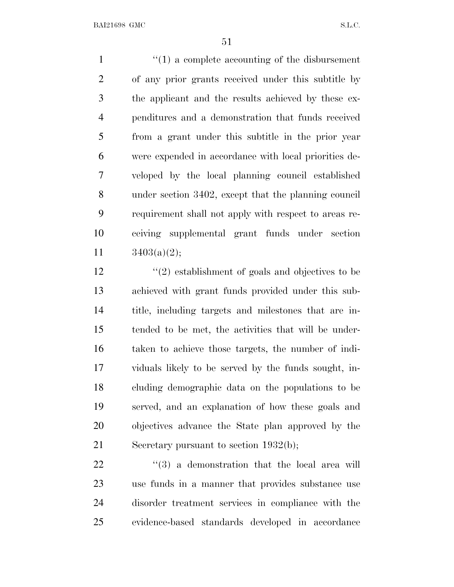$\frac{1}{1}$  <sup>(1)</sup> a complete accounting of the disbursement of any prior grants received under this subtitle by the applicant and the results achieved by these ex- penditures and a demonstration that funds received from a grant under this subtitle in the prior year were expended in accordance with local priorities de- veloped by the local planning council established under section 3402, except that the planning council requirement shall not apply with respect to areas re- ceiving supplemental grant funds under section  $3403(a)(2);$ 

 ''(2) establishment of goals and objectives to be achieved with grant funds provided under this sub- title, including targets and milestones that are in- tended to be met, the activities that will be under- taken to achieve those targets, the number of indi- viduals likely to be served by the funds sought, in- cluding demographic data on the populations to be served, and an explanation of how these goals and objectives advance the State plan approved by the Secretary pursuant to section 1932(b);

  $(3)$  a demonstration that the local area will use funds in a manner that provides substance use disorder treatment services in compliance with the evidence-based standards developed in accordance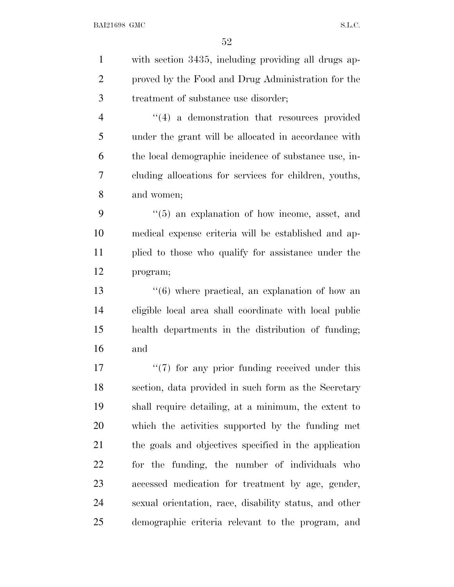with section 3435, including providing all drugs ap- proved by the Food and Drug Administration for the treatment of substance use disorder; 4 ''(4) a demonstration that resources provided under the grant will be allocated in accordance with the local demographic incidence of substance use, in- cluding allocations for services for children, youths, and women; ''(5) an explanation of how income, asset, and medical expense criteria will be established and ap- plied to those who qualify for assistance under the program; 13 ''(6) where practical, an explanation of how an eligible local area shall coordinate with local public health departments in the distribution of funding; and  $\frac{17}{7}$  ''(7) for any prior funding received under this section, data provided in such form as the Secretary shall require detailing, at a minimum, the extent to which the activities supported by the funding met the goals and objectives specified in the application for the funding, the number of individuals who

 accessed medication for treatment by age, gender, sexual orientation, race, disability status, and other demographic criteria relevant to the program, and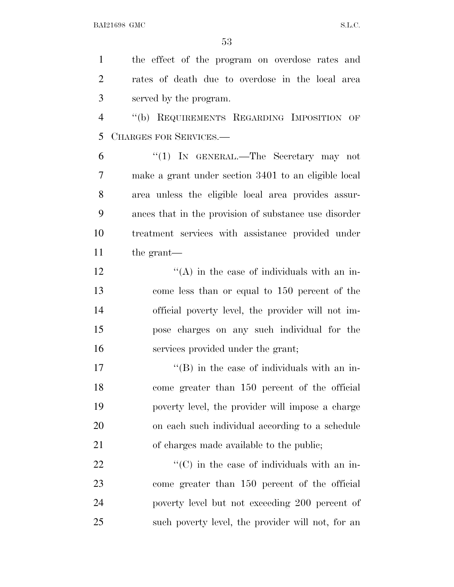the effect of the program on overdose rates and rates of death due to overdose in the local area served by the program. ''(b) REQUIREMENTS REGARDING IMPOSITION OF CHARGES FOR SERVICES.— ''(1) IN GENERAL.—The Secretary may not make a grant under section 3401 to an eligible local area unless the eligible local area provides assur- ances that in the provision of substance use disorder treatment services with assistance provided under the grant—  $\mathcal{L}^{\prime\prime}(A)$  in the case of individuals with an in- come less than or equal to 150 percent of the official poverty level, the provider will not im- pose charges on any such individual for the services provided under the grant;  $\langle G \rangle$  in the case of individuals with an in- come greater than 150 percent of the official poverty level, the provider will impose a charge on each such individual according to a schedule of charges made available to the public;

 $\langle ^{\prime}(C) \rangle$  in the case of individuals with an in- come greater than 150 percent of the official poverty level but not exceeding 200 percent of such poverty level, the provider will not, for an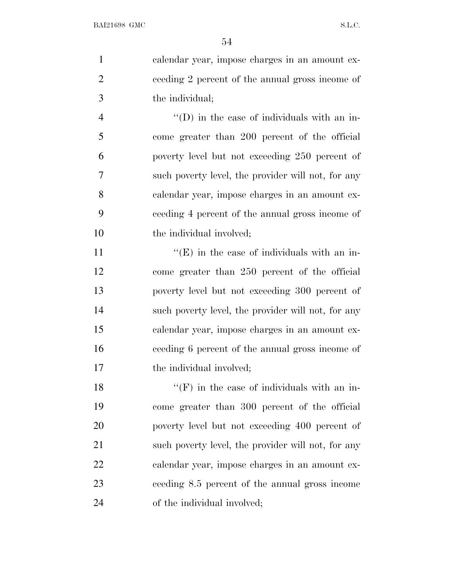| $\mathbf{1}$   | calendar year, impose charges in an amount ex-      |
|----------------|-----------------------------------------------------|
| $\overline{2}$ | ceeding 2 percent of the annual gross income of     |
| 3              | the individual;                                     |
| $\overline{4}$ | $\lq\lq$ (D) in the case of individuals with an in- |
| 5              | come greater than 200 percent of the official       |
| 6              | poverty level but not exceeding 250 percent of      |
| 7              | such poverty level, the provider will not, for any  |
| 8              | calendar year, impose charges in an amount ex-      |
| 9              | ceeding 4 percent of the annual gross income of     |
| 10             | the individual involved;                            |
| 11             | $\lq\lq(E)$ in the case of individuals with an in-  |
| 12             | come greater than 250 percent of the official       |
| 13             | poverty level but not exceeding 300 percent of      |
| 14             | such poverty level, the provider will not, for any  |
| 1 <sup>2</sup> | aalan Jan oraan (1999) ah ah maa in ah amaant ah.   |

 calendar year, impose charges in an amount ex- ceeding 6 percent of the annual gross income of 17 the individual involved;

 $"({\rm F})$  in the case of individuals with an in- come greater than 300 percent of the official poverty level but not exceeding 400 percent of such poverty level, the provider will not, for any calendar year, impose charges in an amount ex- ceeding 8.5 percent of the annual gross income of the individual involved;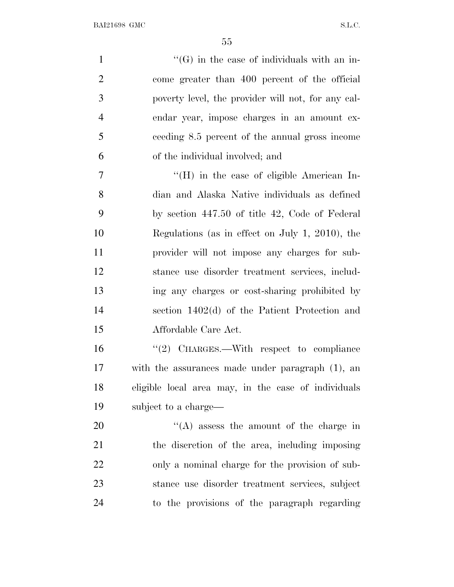| $\mathbf{1}$   | $\lq\lq(G)$ in the case of individuals with an in-  |
|----------------|-----------------------------------------------------|
| $\overline{2}$ | come greater than 400 percent of the official       |
| 3              | poverty level, the provider will not, for any cal-  |
| $\overline{4}$ | endar year, impose charges in an amount ex-         |
| 5              | ceeding 8.5 percent of the annual gross income      |
| 6              | of the individual involved; and                     |
| 7              | $\rm{``(H)}$ in the case of eligible American In-   |
| 8              | dian and Alaska Native individuals as defined       |
| 9              | by section 447.50 of title 42, Code of Federal      |
| 10             | Regulations (as in effect on July 1, 2010), the     |
| 11             | provider will not impose any charges for sub-       |
| 12             | stance use disorder treatment services, includ-     |
| 13             | ing any charges or cost-sharing prohibited by       |
| 14             | section $1402(d)$ of the Patient Protection and     |
| 15             | Affordable Care Act.                                |
| 16             | "(2) CHARGES.—With respect to compliance            |
| 17             | with the assurances made under paragraph (1), an    |
| 18             | eligible local area may, in the case of individuals |
| 19             | subject to a charge—                                |
| 20             | $\lq\lq$ assess the amount of the charge in         |
| 21             | the discretion of the area, including imposing      |
| 22             | only a nominal charge for the provision of sub-     |
| 23             | stance use disorder treatment services, subject     |
| 24             | to the provisions of the paragraph regarding        |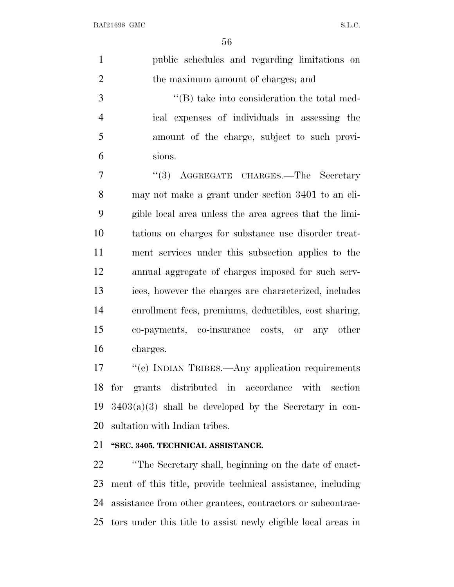| $\mathbf{1}$   | public schedules and regarding limitations on                  |
|----------------|----------------------------------------------------------------|
| $\overline{2}$ | the maximum amount of charges; and                             |
| 3              | $\lq\lq$ take into consideration the total med-                |
| $\overline{4}$ | ical expenses of individuals in assessing the                  |
| 5              | amount of the charge, subject to such provi-                   |
| 6              | sions.                                                         |
| 7              | "(3) AGGREGATE CHARGES.-The Secretary                          |
| 8              | may not make a grant under section 3401 to an eli-             |
| 9              | gible local area unless the area agrees that the limi-         |
| 10             | tations on charges for substance use disorder treat-           |
| 11             | ment services under this subsection applies to the             |
| 12             | annual aggregate of charges imposed for such serv-             |
| 13             | ices, however the charges are characterized, includes          |
| 14             | enrollment fees, premiums, deductibles, cost sharing,          |
| 15             | co-payments, co-insurance costs, or any other                  |
| 16             | charges.                                                       |
| 17             | $\frac{u_{(a)}}{b}$ INDIAN TEIERS Any application requirements |

 ''(c) INDIAN TRIBES.—Any application requirements for grants distributed in accordance with section  $3403(a)(3)$  shall be developed by the Secretary in con-sultation with Indian tribes.

## **''SEC. 3405. TECHNICAL ASSISTANCE.**

 ''The Secretary shall, beginning on the date of enact- ment of this title, provide technical assistance, including assistance from other grantees, contractors or subcontrac-tors under this title to assist newly eligible local areas in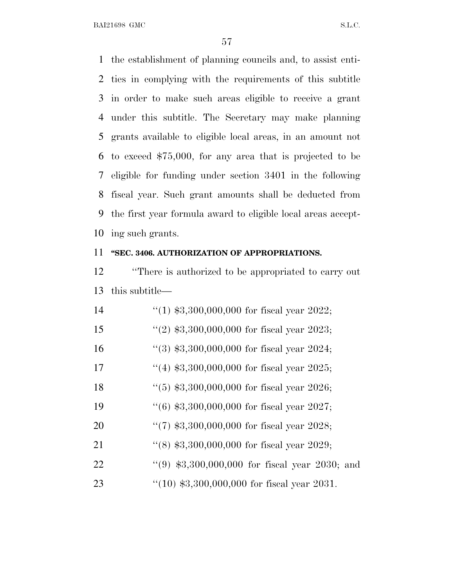the establishment of planning councils and, to assist enti- ties in complying with the requirements of this subtitle in order to make such areas eligible to receive a grant under this subtitle. The Secretary may make planning grants available to eligible local areas, in an amount not to exceed \$75,000, for any area that is projected to be eligible for funding under section 3401 in the following fiscal year. Such grant amounts shall be deducted from the first year formula award to eligible local areas accept-ing such grants.

## **''SEC. 3406. AUTHORIZATION OF APPROPRIATIONS.**

 ''There is authorized to be appropriated to carry out this subtitle—

| 14 | "(1) $$3,300,000,000$ for fiscal year 2022;     |
|----|-------------------------------------------------|
| 15 | $(2)$ \$3,300,000,000 for fiscal year 2023;     |
| 16 | $\lq(3)$ \$3,300,000,000 for fiscal year 2024;  |
| 17 | $(4)$ \$3,300,000,000 for fiscal year 2025;     |
| 18 | $(5)$ \$3,300,000,000 for fiscal year 2026;     |
| 19 | $(6)$ \$3,300,000,000 for fiscal year 2027;     |
| 20 | $\lq(7)$ \$3,300,000,000 for fiscal year 2028;  |
| 21 | $\lq(8)$ \$3,300,000,000 for fiscal year 2029;  |
| 22 | $(9)$ \$3,300,000,000 for fiscal year 2030; and |
| 23 | $(10)$ \$3,300,000,000 for fiscal year 2031.    |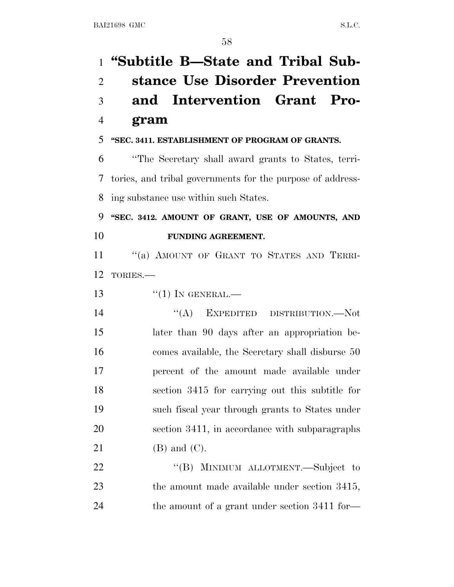**''Subtitle B—State and Tribal Sub- stance Use Disorder Prevention and Intervention Grant Pro- gram ''SEC. 3411. ESTABLISHMENT OF PROGRAM OF GRANTS.** ''The Secretary shall award grants to States, terri- tories, and tribal governments for the purpose of address- ing substance use within such States. **''SEC. 3412. AMOUNT OF GRANT, USE OF AMOUNTS, AND FUNDING AGREEMENT.** 11 "(a) AMOUNT OF GRANT TO STATES AND TERRI- TORIES.—  $\frac{1}{1}$  IN GENERAL. 14 "(A) EXPEDITED DISTRIBUTION.—Not later than 90 days after an appropriation be- comes available, the Secretary shall disburse 50 percent of the amount made available under section 3415 for carrying out this subtitle for such fiscal year through grants to States under section 3411, in accordance with subparagraphs (B) and (C). 22 "(B) MINIMUM ALLOTMENT.—Subject to 23 the amount made available under section 3415, the amount of a grant under section 3411 for—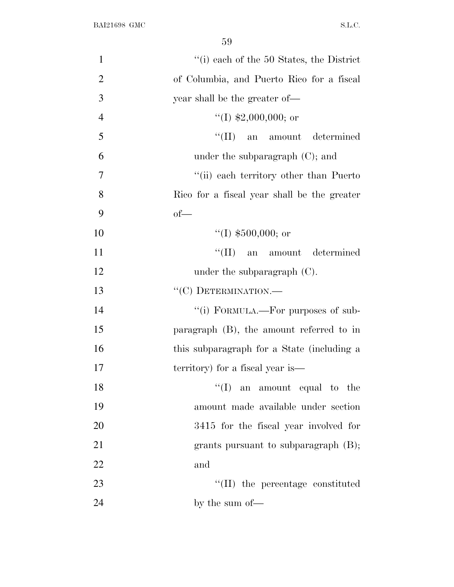| $\mathbf{1}$   | $``(i)$ each of the 50 States, the District |
|----------------|---------------------------------------------|
| $\overline{2}$ | of Columbia, and Puerto Rico for a fiscal   |
| 3              | year shall be the greater of—               |
| $\overline{4}$ | "(I) $$2,000,000$ ; or                      |
| 5              | ``(II)<br>an amount determined              |
| 6              | under the subparagraph $(C)$ ; and          |
| 7              | "(ii) each territory other than Puerto      |
| 8              | Rico for a fiscal year shall be the greater |
| 9              | $of$ —                                      |
| 10             | "(I) $$500,000$ ; or                        |
| 11             | ``(II)<br>an amount determined              |
| 12             | under the subparagraph $(C)$ .              |
| 13             | "(C) DETERMINATION.-                        |
| 14             | "(i) FORMULA.—For purposes of sub-          |
| 15             | paragraph $(B)$ , the amount referred to in |
| 16             | this subparagraph for a State (including a  |
| 17             | territory) for a fiscal year is—            |
| 18             | ``(I)<br>an amount equal to the             |
| 19             | amount made available under section         |
| 20             | 3415 for the fiscal year involved for       |
| 21             | grants pursuant to subparagraph $(B)$ ;     |
| 22             | and                                         |
| 23             | $\lq\lq$ (II) the percentage constituted    |
| 24             | by the sum of—                              |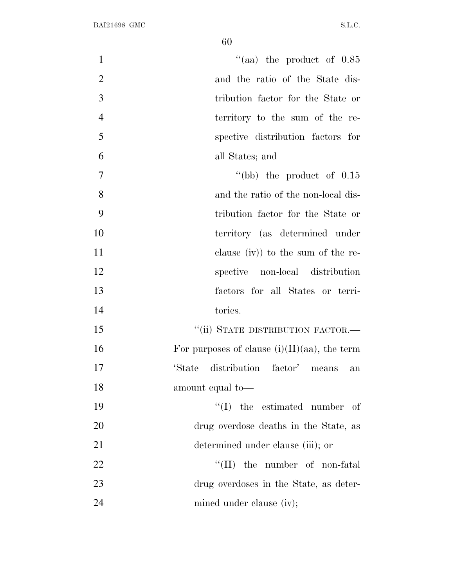| $\mathbf{1}$   | "(aa) the product of $0.85$                     |
|----------------|-------------------------------------------------|
| $\overline{2}$ | and the ratio of the State dis-                 |
| 3              | tribution factor for the State or               |
| $\overline{4}$ | territory to the sum of the re-                 |
| 5              | spective distribution factors for               |
| 6              | all States; and                                 |
| $\tau$         | "(bb) the product of $0.15$                     |
| 8              | and the ratio of the non-local dis-             |
| 9              | tribution factor for the State or               |
| 10             | territory (as determined under                  |
| 11             | clause (iv)) to the sum of the re-              |
| 12             | spective non-local distribution                 |
| 13             | factors for all States or terri-                |
| 14             | tories.                                         |
| 15             | "(ii) STATE DISTRIBUTION FACTOR.-               |
| 16             | For purposes of clause $(i)(II)(aa)$ , the term |
| 17             | 'State distribution factor' means<br>an         |
| 18             | amount equal to-                                |
| 19             | $\lq\lq$ (I) the estimated number of            |
| 20             | drug overdose deaths in the State, as           |
| 21             | determined under clause (iii); or               |
| 22             | $\lq\lq$ (II) the number of non-fatal           |
| 23             | drug overdoses in the State, as deter-          |
| 24             | mined under clause (iv);                        |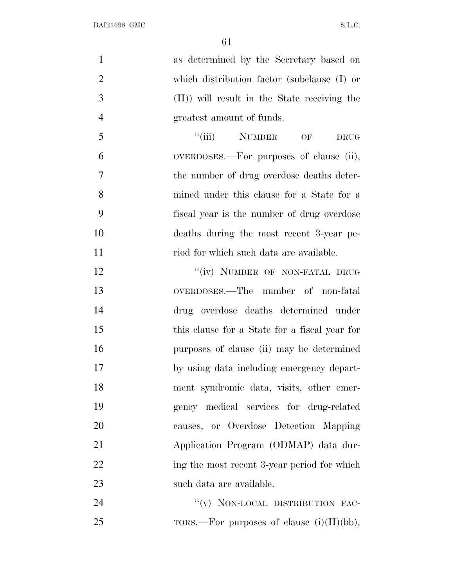| $\mathbf{1}$   | as determined by the Secretary based on       |
|----------------|-----------------------------------------------|
| $\overline{2}$ | which distribution factor (subclause (I) or   |
| 3              | (II)) will result in the State receiving the  |
| $\overline{4}$ | greatest amount of funds.                     |
| 5              | "(iii) NUMBER OF<br><b>DRUG</b>               |
| 6              | OVERDOSES.—For purposes of clause (ii),       |
| $\overline{7}$ | the number of drug overdose deaths deter-     |
| 8              | mined under this clause for a State for a     |
| 9              | fiscal year is the number of drug overdose    |
| 10             | deaths during the most recent 3-year pe-      |
| 11             | riod for which such data are available.       |
| 12             | "(iv) NUMBER OF NON-FATAL DRUG                |
| 13             | OVERDOSES.—The number of non-fatal            |
| 14             | drug overdose deaths determined under         |
| 15             | this clause for a State for a fiscal year for |
| 16             | purposes of clause (ii) may be determined     |
| 17             | by using data including emergency depart-     |
| 18             | ment syndromic data, visits, other emer-      |
| 19             | gency medical services for drug-related       |
| 20             | causes, or Overdose Detection Mapping         |
| 21             | Application Program (ODMAP) data dur-         |
| 22             | ing the most recent 3-year period for which   |
| 23             | such data are available.                      |
| 24             | "(v) NON-LOCAL DISTRIBUTION FAC-              |
| 25             | TORS.—For purposes of clause $(i)(II)(bb)$ ,  |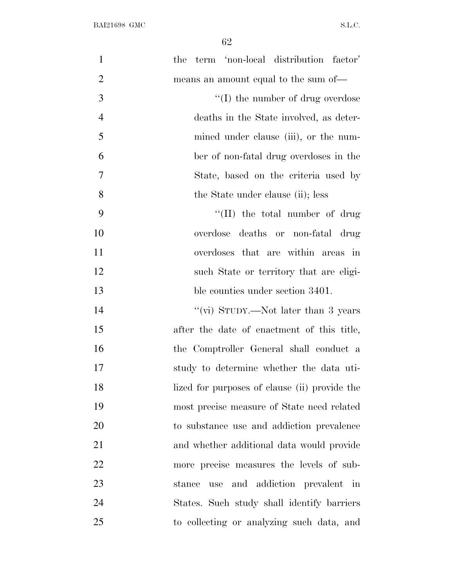| $\mathbf{1}$   | term 'non-local distribution factor'<br>the   |
|----------------|-----------------------------------------------|
| $\overline{2}$ | means an amount equal to the sum of—          |
| 3              | $\lq\lq$ (I) the number of drug overdose      |
| $\overline{4}$ | deaths in the State involved, as deter-       |
| 5              | mined under clause (iii), or the num-         |
| 6              | ber of non-fatal drug overdoses in the        |
| 7              | State, based on the criteria used by          |
| 8              | the State under clause (ii); less             |
| 9              | $\lq\lq$ (II) the total number of drug        |
| 10             | overdose deaths or non-fatal drug             |
| 11             | overdoses that are within areas in            |
| 12             | such State or territory that are eligi-       |
| 13             | ble counties under section 3401.              |
| 14             | "(vi) STUDY.—Not later than 3 years           |
| 15             | after the date of enactment of this title,    |
| 16             | the Comptroller General shall conduct a       |
| 17             | study to determine whether the data uti-      |
| 18             | lized for purposes of clause (ii) provide the |
| 19             | most precise measure of State need related    |
| 20             | to substance use and addiction prevalence     |
| 21             | and whether additional data would provide     |
| 22             | more precise measures the levels of sub-      |
| 23             | use and addiction prevalent in<br>stance      |
| 24             | States. Such study shall identify barriers    |
| 25             | to collecting or analyzing such data, and     |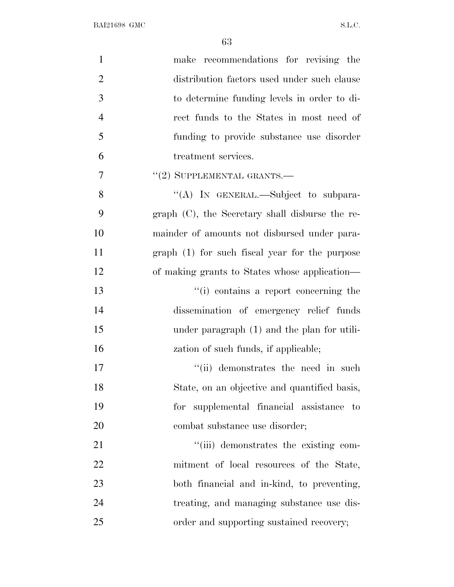| $\mathbf{1}$   | make recommendations for revising the              |
|----------------|----------------------------------------------------|
| $\overline{2}$ | distribution factors used under such clause        |
| 3              | to determine funding levels in order to di-        |
| $\overline{4}$ | rect funds to the States in most need of           |
| 5              | funding to provide substance use disorder          |
| 6              | treatment services.                                |
| 7              | $"(2)$ SUPPLEMENTAL GRANTS.—                       |
| 8              | "(A) IN GENERAL.—Subject to subpara-               |
| 9              | graph $(C)$ , the Secretary shall disburse the re- |
| 10             | mainder of amounts not disbursed under para-       |
| 11             | graph (1) for such fiscal year for the purpose     |
| 12             | of making grants to States whose application—      |
| 13             | "(i) contains a report concerning the              |
| 14             | dissemination of emergency relief funds            |
| 15             | under paragraph (1) and the plan for utili-        |
| 16             | zation of such funds, if applicable;               |
| 17             | "(ii) demonstrates the need in such                |
| 18             | State, on an objective and quantified basis,       |
| 19             | for supplemental financial assistance to           |
| 20             | combat substance use disorder;                     |
| 21             | "(iii) demonstrates the existing com-              |
| 22             | mitment of local resources of the State,           |
| 23             | both financial and in-kind, to preventing,         |
| 24             | treating, and managing substance use dis-          |
| 25             | order and supporting sustained recovery;           |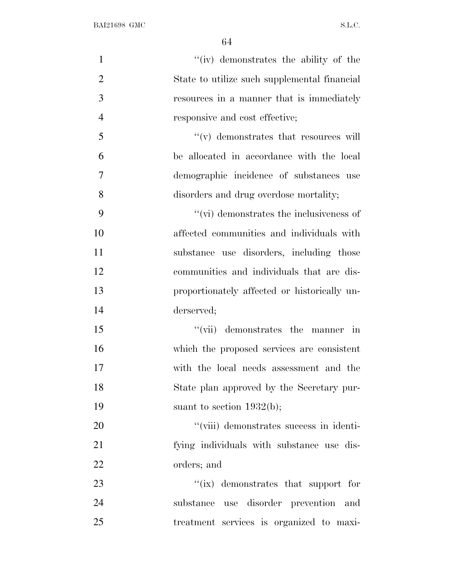| $\mathbf{1}$   | "(iv) demonstrates the ability of the           |
|----------------|-------------------------------------------------|
| $\overline{2}$ | State to utilize such supplemental financial    |
| 3              | resources in a manner that is immediately       |
| $\overline{4}$ | responsive and cost effective;                  |
| 5              | $\lq\lq$ demonstrates that resources will       |
| 6              | be allocated in accordance with the local       |
| $\overline{7}$ | demographic incidence of substances use         |
| 8              | disorders and drug overdose mortality;          |
| 9              | $\lq\lq$ (vi) demonstrates the inclusiveness of |
| 10             | affected communities and individuals with       |
| 11             | substance use disorders, including those        |
| 12             | communities and individuals that are dis-       |
| 13             | proportionately affected or historically un-    |
| 14             | derserved;                                      |
| 15             | "(vii) demonstrates the manner in               |
| 16             | which the proposed services are consistent      |
| 17             | with the local needs assessment and the         |
| 18             | State plan approved by the Secretary pur-       |
| 19             | suant to section $1932(b)$ ;                    |
| 20             | "(viii) demonstrates success in identi-         |
| 21             | fying individuals with substance use dis-       |
| 22             | orders; and                                     |
| 23             | "(ix) demonstrates that support for             |
| 24             | substance use disorder prevention and           |
| 25             | treatment services is organized to maxi-        |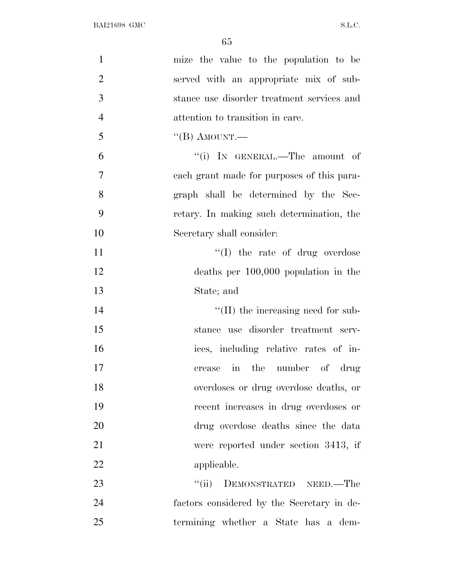| $\mathbf{1}$   | mize the value to the population to be     |
|----------------|--------------------------------------------|
| $\overline{2}$ | served with an appropriate mix of sub-     |
| 3              | stance use disorder treatment services and |
| $\overline{4}$ | attention to transition in care.           |
| 5              | $\lq$ <sup>"</sup> (B) AMOUNT.—            |
| 6              | "(i) IN GENERAL.—The amount of             |
| 7              | each grant made for purposes of this para- |
| 8              | graph shall be determined by the Sec-      |
| 9              | retary. In making such determination, the  |
| 10             | Secretary shall consider:                  |
| 11             | "(I) the rate of drug overdose             |
| 12             | deaths per $100,000$ population in the     |
| 13             | State; and                                 |
| 14             | $\lq\lq$ (II) the increasing need for sub- |
| 15             | stance use disorder treatment serv-        |
| 16             | ices, including relative rates of in-      |
| 17             | in the number of drug<br>crease            |
| 18             | overdoses or drug overdose deaths, or      |
| 19             | recent increases in drug overdoses or      |
| 20             | drug overdose deaths since the data        |
| 21             | were reported under section 3413, if       |
| 22             | applicable.                                |
| 23             | ``(ii)<br>DEMONSTRATED NEED.—The           |
| 24             | factors considered by the Secretary in de- |
| 25             | termining whether a State has a dem-       |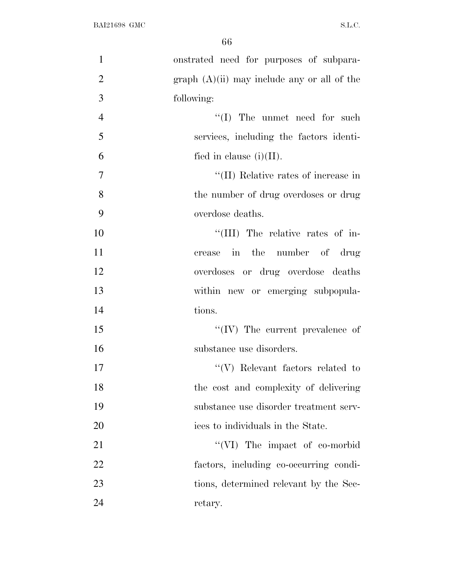| $\mathbf{1}$   | onstrated need for purposes of subpara-       |
|----------------|-----------------------------------------------|
| $\overline{2}$ | $graph (A)(ii)$ may include any or all of the |
| 3              | following:                                    |
| $\overline{4}$ | $\lq\lq$ (I) The unmet need for such          |
| 5              | services, including the factors identi-       |
| 6              | fied in clause $(i)(II)$ .                    |
| $\tau$         | "(II) Relative rates of increase in           |
| 8              | the number of drug overdoses or drug          |
| 9              | overdose deaths.                              |
| 10             | "(III) The relative rates of in-              |
| 11             | crease in the number of drug                  |
| 12             | overdoses or drug overdose deaths             |
| 13             | within new or emerging subpopula-             |
| 14             | tions.                                        |
| 15             | $``(IV)$ The current prevalence of            |
| 16             | substance use disorders.                      |
| 17             | $\lq\lq(V)$ Relevant factors related to       |
| 18             | the cost and complexity of delivering         |
| 19             | substance use disorder treatment serv-        |
| 20             | ices to individuals in the State.             |
| 21             | $\lq\lq$ (VI) The impact of co-morbid         |
| 22             | factors, including co-occurring condi-        |
| 23             | tions, determined relevant by the Sec-        |
| 24             | retary.                                       |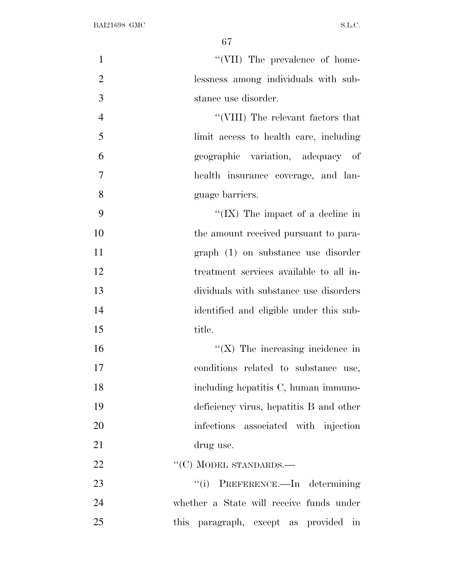| $\mathbf{1}$   | "(VII) The prevalence of home-           |
|----------------|------------------------------------------|
| $\overline{2}$ | lessness among individuals with sub-     |
| 3              | stance use disorder.                     |
| $\overline{4}$ | "(VIII) The relevant factors that        |
| 5              | limit access to health care, including   |
| 6              | geographic variation, adequacy of        |
| 7              | health insurance coverage, and lan-      |
| 8              | guage barriers.                          |
| 9              | "(IX) The impact of a decline in         |
| 10             | the amount received pursuant to para-    |
| 11             | graph (1) on substance use disorder      |
| 12             | treatment services available to all in-  |
| 13             | dividuals with substance use disorders   |
| 14             | identified and eligible under this sub-  |
| 15             | title.                                   |
| 16             | $\lq (X)$ The increasing incidence in    |
| 17             | conditions related to substance use,     |
| 18             | including hepatitis C, human immuno-     |
| 19             | deficiency virus, hepatitis B and other  |
| 20             | infections associated with injection     |
| 21             | drug use.                                |
| 22             | $``(C)$ MODEL STANDARDS.—                |
| 23             | ``(i)<br>PREFERENCE.—In determining      |
| 24             | whether a State will receive funds under |
| 25             | this paragraph, except as provided in    |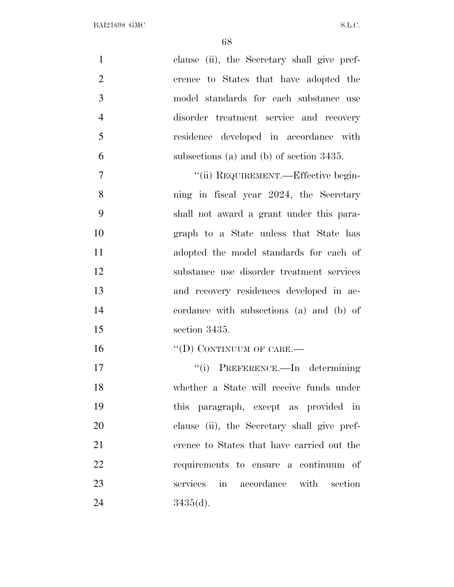| $\mathbf{1}$   | clause (ii), the Secretary shall give pref- |
|----------------|---------------------------------------------|
| $\overline{2}$ | erence to States that have adopted the      |
| 3              | model standards for each substance use      |
| $\overline{4}$ | disorder treatment service and recovery     |
| 5              | residence developed in accordance with      |
| 6              | subsections (a) and (b) of section $3435$ . |
| $\overline{7}$ | "(ii) REQUIREMENT.—Effective begin-         |
| 8              | ning in fiscal year 2024, the Secretary     |
| 9              | shall not award a grant under this para-    |
| 10             | graph to a State unless that State has      |
| 11             | adopted the model standards for each of     |
| 12             | substance use disorder treatment services   |
| 13             | and recovery residences developed in ac-    |
| 14             | cordance with subsections (a) and (b) of    |
| 15             | section 3435.                               |
| 16             | "(D) CONTINUUM OF CARE.—                    |
| 17             | "(i) PREFERENCE.—In determining             |
| 18             | whether a State will receive funds under    |
| 19             | this paragraph, except as provided in       |
| 20             | clause (ii), the Secretary shall give pref- |
| 21             | erence to States that have carried out the  |
| 22             | requirements to ensure a continuum of       |
| 23             | services in accordance with section         |
| 24             | 3435(d).                                    |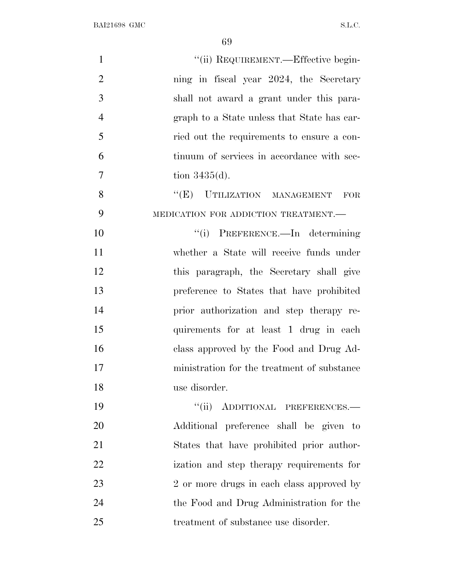| $\mathbf{1}$   | "(ii) REQUIREMENT.—Effective begin-         |
|----------------|---------------------------------------------|
| $\overline{2}$ | ning in fiscal year 2024, the Secretary     |
| 3              | shall not award a grant under this para-    |
| $\overline{4}$ | graph to a State unless that State has car- |
| 5              | ried out the requirements to ensure a con-  |
| 6              | tinuum of services in accordance with sec-  |
| 7              | tion $3435(d)$ .                            |
| 8              | "(E) UTILIZATION MANAGEMENT FOR             |
| 9              | MEDICATION FOR ADDICTION TREATMENT.-        |
| 10             | "(i) PREFERENCE.—In determining             |
| 11             | whether a State will receive funds under    |
| 12             | this paragraph, the Secretary shall give    |
| 13             | preference to States that have prohibited   |
| 14             | prior authorization and step therapy re-    |
| 15             | quirements for at least 1 drug in each      |
| 16             | class approved by the Food and Drug Ad-     |
| 17             | ministration for the treatment of substance |
| 18             | use disorder.                               |
| 19             | "(ii) ADDITIONAL PREFERENCES.—              |
| 20             | Additional preference shall be given to     |
| 21             | States that have prohibited prior author-   |
| 22             | ization and step therapy requirements for   |
| 23             | 2 or more drugs in each class approved by   |
| 24             | the Food and Drug Administration for the    |
| 25             | treatment of substance use disorder.        |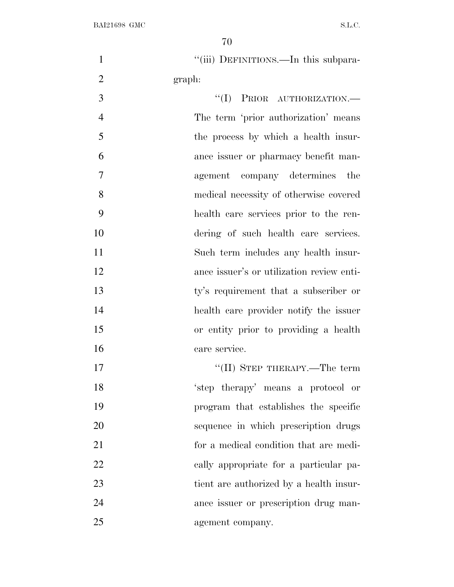1 "(iii) DEFINITIONS.—In this subpara-graph:

 $\text{``(I)}$  PRIOR AUTHORIZATION.— The term 'prior authorization' means the process by which a health insur- ance issuer or pharmacy benefit man- agement company determines the medical necessity of otherwise covered health care services prior to the ren- dering of such health care services. Such term includes any health insur- ance issuer's or utilization review enti- ty's requirement that a subscriber or health care provider notify the issuer or entity prior to providing a health care service.

 ''(II) STEP THERAPY.—The term 'step therapy' means a protocol or program that establishes the specific sequence in which prescription drugs for a medical condition that are medi- cally appropriate for a particular pa- tient are authorized by a health insur- ance issuer or prescription drug man-agement company.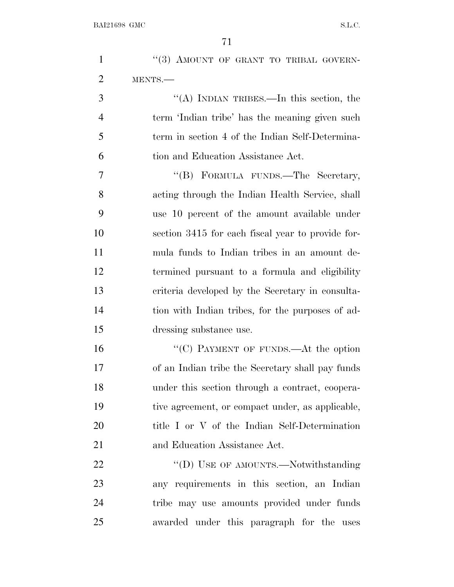| $\mathbf{1}$   | "(3) AMOUNT OF GRANT TO TRIBAL GOVERN-            |
|----------------|---------------------------------------------------|
| $\overline{2}$ | MENTS.                                            |
| 3              | "(A) INDIAN TRIBES.—In this section, the          |
| 4              | term 'Indian tribe' has the meaning given such    |
| 5              | term in section 4 of the Indian Self-Determina-   |
| 6              | tion and Education Assistance Act.                |
| 7              | "(B) FORMULA FUNDS.—The Secretary,                |
| 8              | acting through the Indian Health Service, shall   |
| 9              | use 10 percent of the amount available under      |
| 10             | section 3415 for each fiscal year to provide for- |
| 11             | mula funds to Indian tribes in an amount de-      |
| 12             | termined pursuant to a formula and eligibility    |
| 13             | criteria developed by the Secretary in consulta-  |
| 14             | tion with Indian tribes, for the purposes of ad-  |
| 15             | dressing substance use.                           |
| 16             | "(C) PAYMENT OF FUNDS.—At the option              |
| 17             | of an Indian tribe the Secretary shall pay funds  |
| 18             | under this section through a contract, coopera-   |
| 19             | tive agreement, or compact under, as applicable,  |
| 20             | title I or V of the Indian Self-Determination     |
| 21             | and Education Assistance Act.                     |
| 22             | "(D) USE OF AMOUNTS.—Notwithstanding              |
| 23             | any requirements in this section, an Indian       |
| 24             | tribe may use amounts provided under funds        |
| 25             | awarded under this paragraph for the uses         |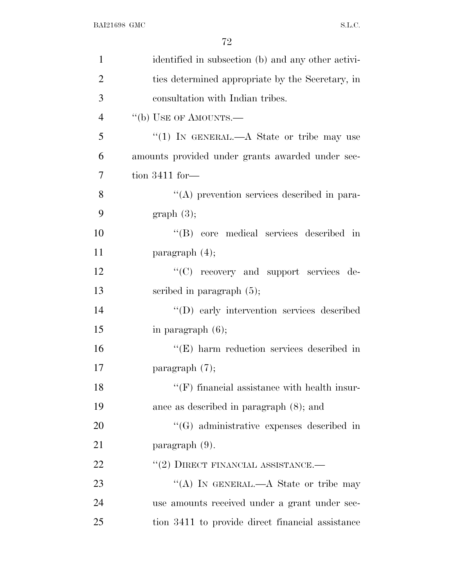| $\mathbf{1}$   | identified in subsection (b) and any other activi-  |
|----------------|-----------------------------------------------------|
| $\overline{2}$ | ties determined appropriate by the Secretary, in    |
| 3              | consultation with Indian tribes.                    |
| $\overline{4}$ | "(b) USE OF AMOUNTS.—                               |
| 5              | "(1) IN GENERAL.— $A$ State or tribe may use        |
| 6              | amounts provided under grants awarded under sec-    |
| 7              | tion $3411$ for-                                    |
| 8              | "(A) prevention services described in para-         |
| 9              | graph(3);                                           |
| 10             | "(B) core medical services described in             |
| 11             | paragraph $(4)$ ;                                   |
| 12             | "(C) recovery and support services de-              |
| 13             | scribed in paragraph $(5)$ ;                        |
| 14             | "(D) early intervention services described          |
| 15             | in paragraph $(6)$ ;                                |
| 16             | $\lq\lq$ (E) harm reduction services described in   |
| 17             | paragraph $(7)$ ;                                   |
| 18             | $\lq\lq(F)$ financial assistance with health insur- |
| 19             | ance as described in paragraph $(8)$ ; and          |
| 20             | $\cdot$ (G) administrative expenses described in    |
| 21             | paragraph $(9)$ .                                   |
| 22             | $``(2)$ DIRECT FINANCIAL ASSISTANCE.—               |
| 23             | "(A) IN GENERAL.—A State or tribe may               |
| 24             | use amounts received under a grant under sec-       |
| 25             | tion 3411 to provide direct financial assistance    |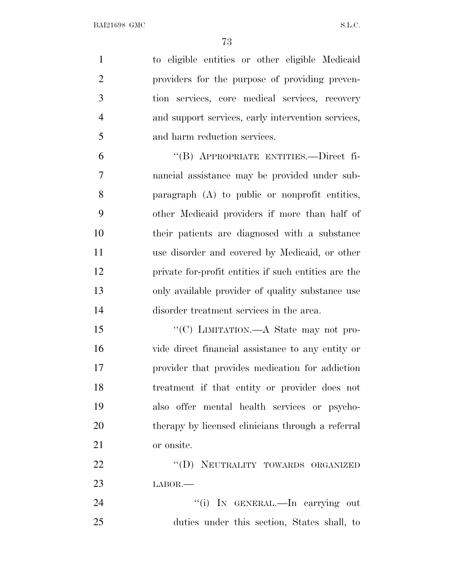to eligible entities or other eligible Medicaid providers for the purpose of providing preven- tion services, core medical services, recovery and support services, early intervention services, and harm reduction services.

 ''(B) APPROPRIATE ENTITIES.—Direct fi- nancial assistance may be provided under sub- paragraph (A) to public or nonprofit entities, other Medicaid providers if more than half of their patients are diagnosed with a substance use disorder and covered by Medicaid, or other private for-profit entities if such entities are the only available provider of quality substance use disorder treatment services in the area.

15 "'(C) LIMITATION.—A State may not pro- vide direct financial assistance to any entity or provider that provides medication for addiction treatment if that entity or provider does not also offer mental health services or psycho- therapy by licensed clinicians through a referral or onsite.

22 "(D) NEUTRALITY TOWARDS ORGANIZED LABOR.—

24  $\text{``(i)}$  In GENERAL.—In carrying out duties under this section, States shall, to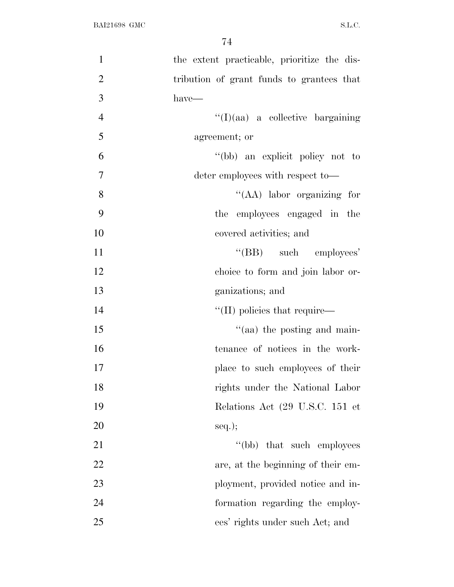| $\mathbf{1}$   | the extent practicable, prioritize the dis- |
|----------------|---------------------------------------------|
| $\overline{2}$ | tribution of grant funds to grantees that   |
| 3              | $have-$                                     |
| $\overline{4}$ | $\lq\lq$ (I)(aa) a collective bargaining    |
| 5              | agreement; or                               |
| 6              | "(bb) an explicit policy not to             |
| $\tau$         | deter employees with respect to—            |
| 8              | "(AA) labor organizing for                  |
| 9              | the employees engaged in the                |
| 10             | covered activities; and                     |
| 11             | $\lq\lq(BB)$ such employees'                |
| 12             | choice to form and join labor or-           |
| 13             | ganizations; and                            |
| 14             | $\lq$ (II) policies that require—           |
| 15             | $\cdot$ (aa) the posting and main-          |
| 16             | tenance of notices in the work-             |
| 17             | place to such employees of their            |
| 18             | rights under the National Labor             |
| 19             | Relations Act (29 U.S.C. 151 et             |
| 20             | $seq.$ ;                                    |
| 21             | "(bb) that such employees                   |
| 22             | are, at the beginning of their em-          |
| 23             | ployment, provided notice and in-           |
| 24             | formation regarding the employ-             |
| 25             | ees' rights under such Act; and             |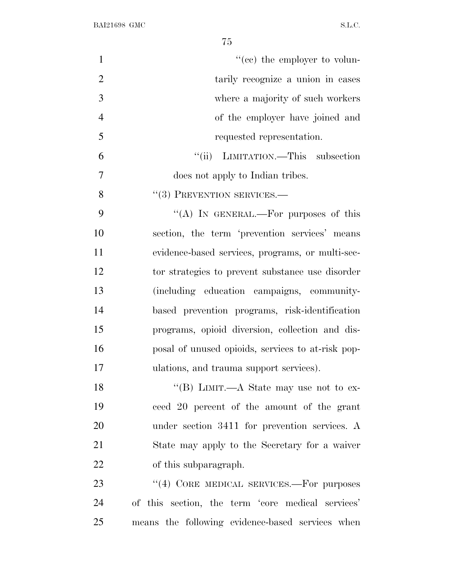| $\mathbf{1}$   | $f''(ce)$ the employer to volun-                  |
|----------------|---------------------------------------------------|
| $\overline{2}$ | tarily recognize a union in cases                 |
| 3              | where a majority of such workers                  |
| $\overline{4}$ | of the employer have joined and                   |
| 5              | requested representation.                         |
| 6              | "(ii) LIMITATION.—This subsection                 |
| $\overline{7}$ | does not apply to Indian tribes.                  |
| 8              | $``(3)$ PREVENTION SERVICES.—                     |
| 9              | "(A) IN GENERAL.—For purposes of this             |
| 10             | section, the term 'prevention services' means     |
| 11             | evidence-based services, programs, or multi-sec-  |
| 12             | tor strategies to prevent substance use disorder  |
| 13             | (including education campaigns, community-        |
| 14             | based prevention programs, risk-identification    |
| 15             | programs, opioid diversion, collection and dis-   |
| 16             | posal of unused opioids, services to at-risk pop- |
| 17             | ulations, and trauma support services).           |
| 18             | "(B) LIMIT.—A State may use not to ex-            |
| 19             | ceed 20 percent of the amount of the grant        |
| 20             | under section 3411 for prevention services. A     |
| 21             | State may apply to the Secretary for a waiver     |
| 22             | of this subparagraph.                             |
| 23             | "(4) CORE MEDICAL SERVICES.—For purposes          |
| 24             | of this section, the term 'core medical services' |
| 25             | means the following evidence-based services when  |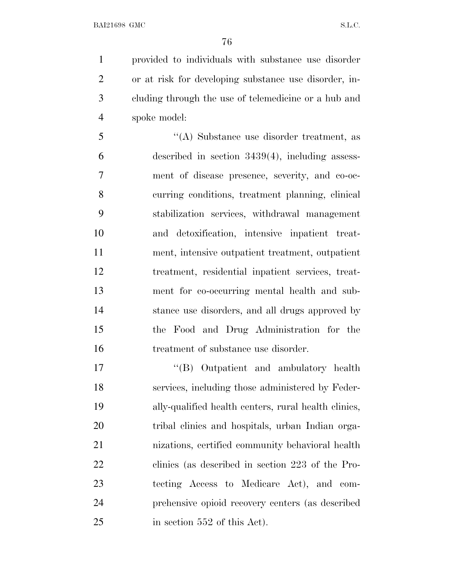provided to individuals with substance use disorder or at risk for developing substance use disorder, in- cluding through the use of telemedicine or a hub and spoke model:

 ''(A) Substance use disorder treatment, as described in section 3439(4), including assess- ment of disease presence, severity, and co-oc- curring conditions, treatment planning, clinical stabilization services, withdrawal management and detoxification, intensive inpatient treat- ment, intensive outpatient treatment, outpatient treatment, residential inpatient services, treat- ment for co-occurring mental health and sub- stance use disorders, and all drugs approved by the Food and Drug Administration for the 16 treatment of substance use disorder.

17 ''(B) Outpatient and ambulatory health services, including those administered by Feder- ally-qualified health centers, rural health clinics, tribal clinics and hospitals, urban Indian orga- nizations, certified community behavioral health clinics (as described in section 223 of the Pro- tecting Access to Medicare Act), and com- prehensive opioid recovery centers (as described 25 in section 552 of this Act).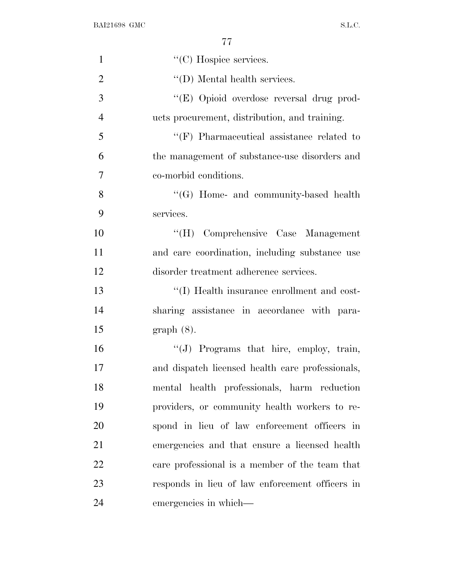| $\mathbf{1}$   | "(C) Hospice services.                           |
|----------------|--------------------------------------------------|
| $\overline{2}$ | $\lq\lq$ (D) Mental health services.             |
| 3              | "(E) Opioid overdose reversal drug prod-         |
| $\overline{4}$ | ucts procurement, distribution, and training.    |
| 5              | $\lq\lq(F)$ Pharmaceutical assistance related to |
| 6              | the management of substance-use disorders and    |
| $\overline{7}$ | co-morbid conditions.                            |
| 8              | "(G) Home- and community-based health            |
| 9              | services.                                        |
| 10             | "(H) Comprehensive Case Management               |
| 11             | and care coordination, including substance use   |
| 12             | disorder treatment adherence services.           |
| 13             | "(I) Health insurance enrollment and cost-       |
| 14             | sharing assistance in accordance with para-      |
| 15             | $graph(8)$ .                                     |
| 16             | "(J) Programs that hire, employ, train,          |
| 17             | and dispatch licensed health care professionals, |
| 18             | mental health professionals, harm reduction      |
| 19             | providers, or community health workers to re-    |
| 20             | spond in lieu of law enforcement officers in     |
| 21             | emergencies and that ensure a licensed health    |
| 22             | care professional is a member of the team that   |
| 23             | responds in lieu of law enforcement officers in  |
| 24             | emergencies in which—                            |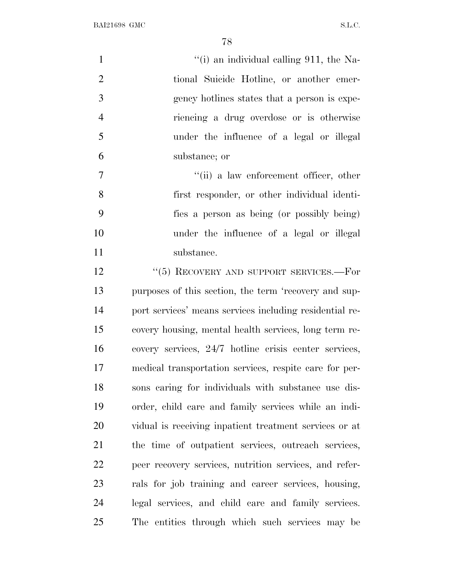| $\mathbf{1}$   | "(i) an individual calling $911$ , the Na-              |
|----------------|---------------------------------------------------------|
| $\overline{2}$ | tional Suicide Hotline, or another emer-                |
| 3              | gency hotlines states that a person is expe-            |
| $\overline{4}$ | riencing a drug overdose or is otherwise                |
| 5              | under the influence of a legal or illegal               |
| 6              | substance; or                                           |
| 7              | "(ii) a law enforcement officer, other                  |
| 8              | first responder, or other individual identi-            |
| 9              | fies a person as being (or possibly being)              |
| 10             | under the influence of a legal or illegal               |
| 11             | substance.                                              |
| 12             | "(5) RECOVERY AND SUPPORT SERVICES.-For                 |
| 13             | purposes of this section, the term 'recovery and sup-   |
| 14             | port services' means services including residential re- |
| 15             | covery housing, mental health services, long term re-   |
| 16             | covery services, 24/7 hotline crisis center services,   |
| 17             | medical transportation services, respite care for per-  |
| 18             | sons caring for individuals with substance use dis-     |
| 19             | order, child care and family services while an indi-    |
| 20             | vidual is receiving inpatient treatment services or at  |
| 21             | the time of outpatient services, outreach services,     |
| 22             | peer recovery services, nutrition services, and refer-  |
| 23             | rals for job training and career services, housing,     |
| 24             | legal services, and child care and family services.     |
| 25             | The entities through which such services may be         |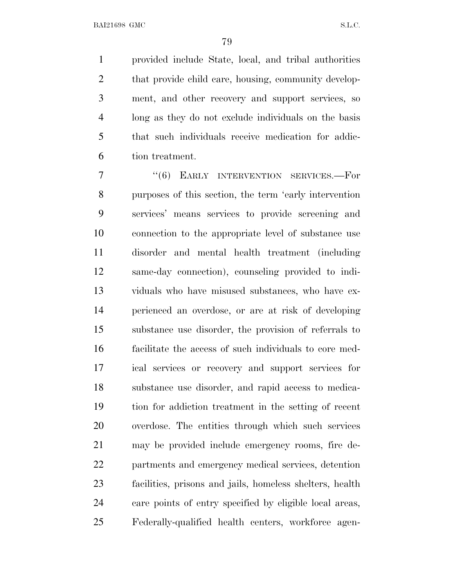provided include State, local, and tribal authorities 2 that provide child care, housing, community develop- ment, and other recovery and support services, so long as they do not exclude individuals on the basis that such individuals receive medication for addic-tion treatment.

7 "(6) EARLY INTERVENTION SERVICES.—For purposes of this section, the term 'early intervention services' means services to provide screening and connection to the appropriate level of substance use disorder and mental health treatment (including same-day connection), counseling provided to indi- viduals who have misused substances, who have ex- perienced an overdose, or are at risk of developing substance use disorder, the provision of referrals to facilitate the access of such individuals to core med- ical services or recovery and support services for substance use disorder, and rapid access to medica- tion for addiction treatment in the setting of recent overdose. The entities through which such services may be provided include emergency rooms, fire de- partments and emergency medical services, detention facilities, prisons and jails, homeless shelters, health care points of entry specified by eligible local areas, Federally-qualified health centers, workforce agen-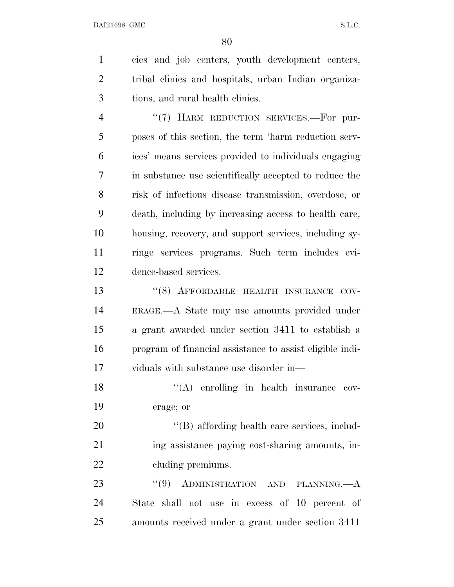cies and job centers, youth development centers,

 tribal clinics and hospitals, urban Indian organiza- tions, and rural health clinics. 4 "(7) HARM REDUCTION SERVICES.—For pur- poses of this section, the term 'harm reduction serv- ices' means services provided to individuals engaging in substance use scientifically accepted to reduce the risk of infectious disease transmission, overdose, or death, including by increasing access to health care, housing, recovery, and support services, including sy- ringe services programs. Such term includes evi- dence-based services. 13 "(8) AFFORDABLE HEALTH INSURANCE COV- ERAGE.—A State may use amounts provided under a grant awarded under section 3411 to establish a program of financial assistance to assist eligible indi- viduals with substance use disorder in— 18 ''(A) enrolling in health insurance cov- erage; or  $\langle G \rangle$  affording health care services, includ- ing assistance paying cost-sharing amounts, in-22 cluding premiums. 23 "(9) ADMINISTRATION AND PLANNING.—A State shall not use in excess of 10 percent of amounts received under a grant under section 3411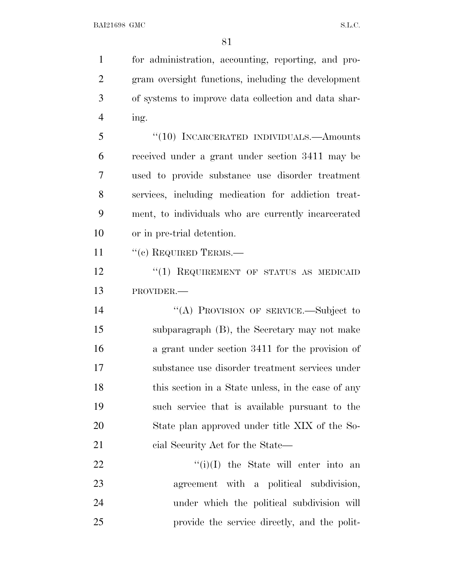for administration, accounting, reporting, and pro- gram oversight functions, including the development of systems to improve data collection and data shar- ing. ''(10) INCARCERATED INDIVIDUALS.—Amounts received under a grant under section 3411 may be used to provide substance use disorder treatment services, including medication for addiction treat- ment, to individuals who are currently incarcerated or in pre-trial detention. 11 "(c) REQUIRED TERMS.— 12 "(1) REQUIREMENT OF STATUS AS MEDICAID PROVIDER.— 14 "(A) PROVISION OF SERVICE.—Subject to subparagraph (B), the Secretary may not make a grant under section 3411 for the provision of substance use disorder treatment services under

 $\frac{f'(i)}{I}$  the State will enter into an agreement with a political subdivision, under which the political subdivision will provide the service directly, and the polit-

18 this section in a State unless, in the case of any

such service that is available pursuant to the

State plan approved under title XIX of the So-

21 cial Security Act for the State—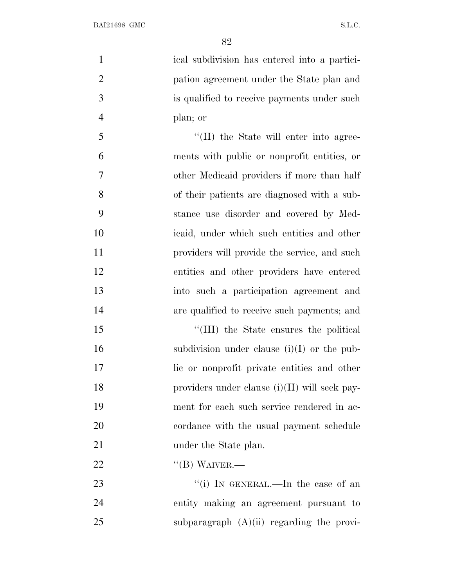| $\mathbf{1}$   | ical subdivision has entered into a partici-  |
|----------------|-----------------------------------------------|
| $\overline{2}$ | pation agreement under the State plan and     |
| 3              | is qualified to receive payments under such   |
| $\overline{4}$ | plan; or                                      |
| 5              | "(II) the State will enter into agree-        |
| 6              | ments with public or nonprofit entities, or   |
| 7              | other Medicaid providers if more than half    |
| 8              | of their patients are diagnosed with a sub-   |
| 9              | stance use disorder and covered by Med-       |
| 10             | icaid, under which such entities and other    |
| 11             | providers will provide the service, and such  |
| 12             | entities and other providers have entered     |
| 13             | into such a participation agreement and       |
| 14             | are qualified to receive such payments; and   |
| 15             | "(III) the State ensures the political        |
| 16             | subdivision under clause $(i)(I)$ or the pub- |
| 17             | lie or nonprofit private entities and other   |
| 18             | providers under clause (i)(II) will seek pay- |
| 19             | ment for each such service rendered in ac-    |
| 20             | cordance with the usual payment schedule      |
| 21             | under the State plan.                         |
| 22             | $\lq\lq (B)$ WAIVER.—                         |
| 23             | "(i) IN GENERAL.—In the case of an            |
| 24             | entity making an agreement pursuant to        |

25 subparagraph (A)(ii) regarding the provi-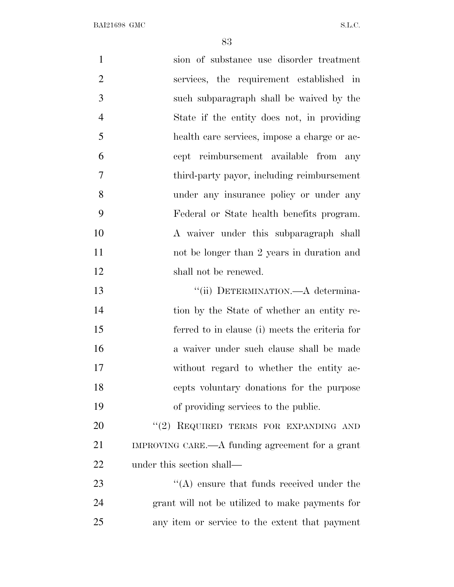| $\mathbf{1}$   | sion of substance use disorder treatment        |
|----------------|-------------------------------------------------|
| $\overline{2}$ | services, the requirement established in        |
| 3              | such subparagraph shall be waived by the        |
| $\overline{4}$ | State if the entity does not, in providing      |
| 5              | health care services, impose a charge or ac-    |
| 6              | cept reimbursement available from<br>any        |
| 7              | third-party payor, including reimbursement      |
| 8              | under any insurance policy or under any         |
| 9              | Federal or State health benefits program.       |
| 10             | A waiver under this subparagraph shall          |
| 11             | not be longer than 2 years in duration and      |
| 12             | shall not be renewed.                           |
| 13             | "(ii) DETERMINATION.—A determina-               |
| 14             | tion by the State of whether an entity re-      |
| 15             | ferred to in clause (i) meets the criteria for  |
| 16             | a waiver under such clause shall be made        |
| 17             | without regard to whether the entity ac-        |
| 18             | cepts voluntary donations for the purpose       |
| 19             | of providing services to the public.            |
| 20             | "(2) REQUIRED TERMS FOR EXPANDING AND           |
| 21             | IMPROVING CARE.—A funding agreement for a grant |
| 22             | under this section shall—                       |
| 23             | $\lq\lq$ ensure that funds received under the   |
| 24             | grant will not be utilized to make payments for |
| 25             | any item or service to the extent that payment  |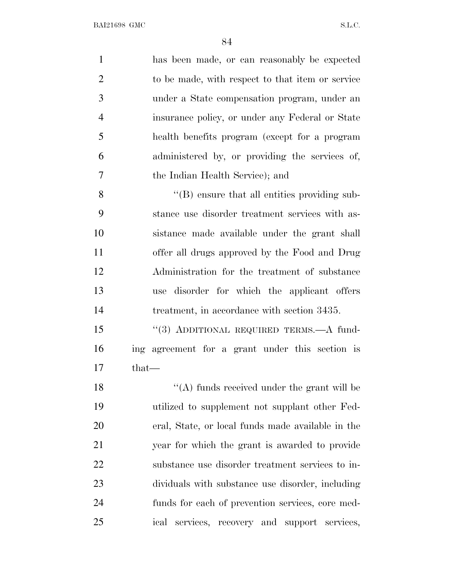| $\mathbf{1}$   | has been made, or can reasonably be expected         |
|----------------|------------------------------------------------------|
| $\overline{2}$ | to be made, with respect to that item or service     |
| 3              | under a State compensation program, under an         |
| $\overline{4}$ | insurance policy, or under any Federal or State      |
| 5              | health benefits program (except for a program        |
| 6              | administered by, or providing the services of,       |
| 7              | the Indian Health Service); and                      |
| 8              | $\lq\lq (B)$ ensure that all entities providing sub- |
| 9              | stance use disorder treatment services with as-      |
| 10             | sistance made available under the grant shall        |
| 11             | offer all drugs approved by the Food and Drug        |
| 12             | Administration for the treatment of substance        |
| 13             | disorder for which the applicant offers<br>use       |
| 14             | treatment, in accordance with section 3435.          |
| 15             | "(3) ADDITIONAL REQUIRED TERMS.-A fund-              |
| 16             | ing agreement for a grant under this section is      |
| 17             | $_{\text{that}}-$                                    |
| 18             | "(A) funds received under the grant will be          |
| 19             | utilized to supplement not supplant other Fed-       |
| 20             | eral, State, or local funds made available in the    |
| 21             | year for which the grant is awarded to provide       |
| 22             | substance use disorder treatment services to in-     |
| 23             | dividuals with substance use disorder, including     |
| 24             | funds for each of prevention services, core med-     |
| 25             | services, recovery and support services,<br>ical     |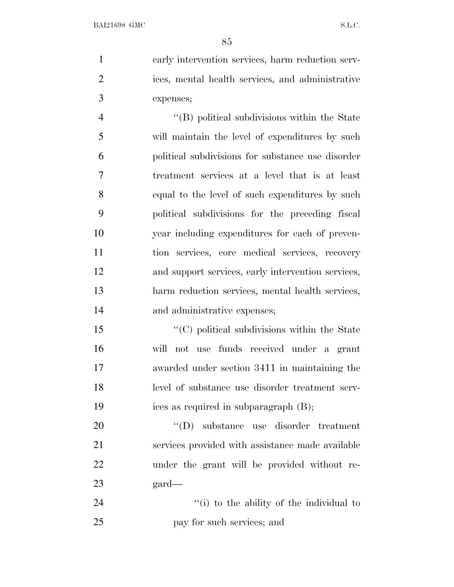early intervention services, harm reduction serv- ices, mental health services, and administrative expenses;

 ''(B) political subdivisions within the State will maintain the level of expenditures by such political subdivisions for substance use disorder treatment services at a level that is at least equal to the level of such expenditures by such political subdivisions for the preceding fiscal year including expenditures for each of preven- tion services, core medical services, recovery and support services, early intervention services, harm reduction services, mental health services, and administrative expenses;

 $\cdot$  (C) political subdivisions within the State will not use funds received under a grant awarded under section 3411 in maintaining the level of substance use disorder treatment serv-ices as required in subparagraph (B);

 $'(D)$  substance use disorder treatment services provided with assistance made available under the grant will be provided without re-gard—

24 ''(i) to the ability of the individual to pay for such services; and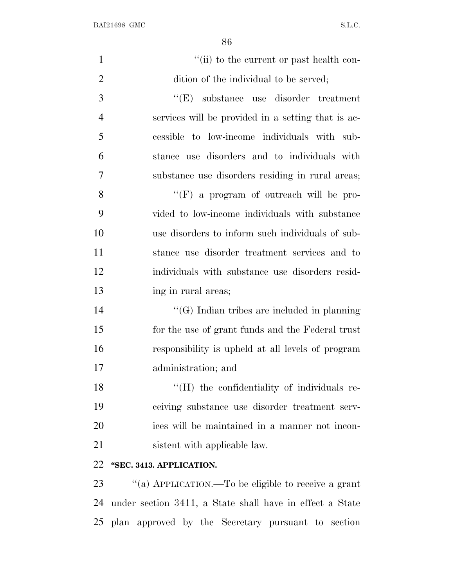| $\mathbf{1}$   | "(ii) to the current or past health con-           |
|----------------|----------------------------------------------------|
| $\overline{2}$ | dition of the individual to be served;             |
| 3              | $\lq\lq(E)$ substance use disorder treatment       |
| $\overline{4}$ | services will be provided in a setting that is ac- |
| 5              | cessible to low-income individuals with sub-       |
| 6              | stance use disorders and to individuals with       |
| 7              | substance use disorders residing in rural areas;   |
| 8              | "(F) a program of outreach will be pro-            |
| 9              | vided to low-income individuals with substance     |
| 10             | use disorders to inform such individuals of sub-   |
| 11             | stance use disorder treatment services and to      |
| 12             | individuals with substance use disorders resid-    |
| 13             | ing in rural areas;                                |
| 14             | "(G) Indian tribes are included in planning        |
| 15             | for the use of grant funds and the Federal trust   |
| 16             | responsibility is upheld at all levels of program  |
| 17             | administration; and                                |
| 18             | "(H) the confidentiality of individuals re-        |
| 19             | ceiving substance use disorder treatment serv-     |
| 20             | ices will be maintained in a manner not incon-     |
| 21             | sistent with applicable law.                       |
| 22             | "SEC. 3413. APPLICATION.                           |
|                |                                                    |

 ''(a) APPLICATION.—To be eligible to receive a grant under section 3411, a State shall have in effect a State plan approved by the Secretary pursuant to section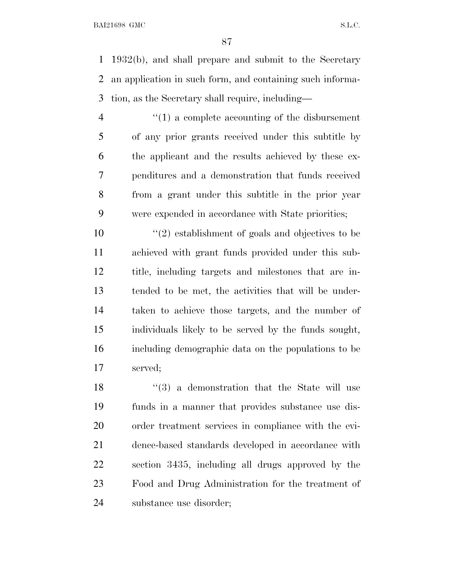1932(b), and shall prepare and submit to the Secretary an application in such form, and containing such informa-tion, as the Secretary shall require, including—

 ''(1) a complete accounting of the disbursement of any prior grants received under this subtitle by the applicant and the results achieved by these ex- penditures and a demonstration that funds received from a grant under this subtitle in the prior year were expended in accordance with State priorities;

 $\binom{10}{2}$  establishment of goals and objectives to be achieved with grant funds provided under this sub- title, including targets and milestones that are in- tended to be met, the activities that will be under- taken to achieve those targets, and the number of individuals likely to be served by the funds sought, including demographic data on the populations to be served;

18 ''(3) a demonstration that the State will use funds in a manner that provides substance use dis- order treatment services in compliance with the evi- dence-based standards developed in accordance with section 3435, including all drugs approved by the Food and Drug Administration for the treatment of substance use disorder;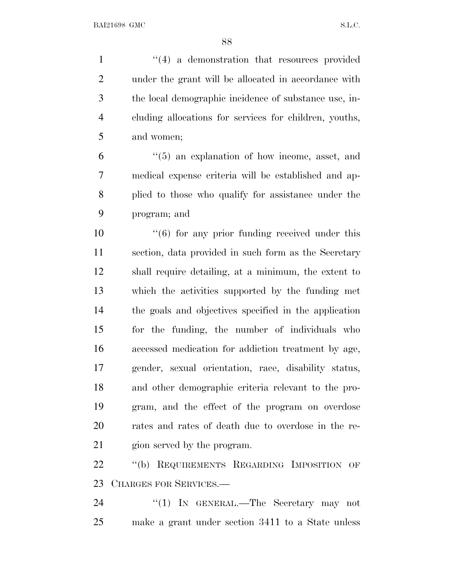1 ''(4) a demonstration that resources provided under the grant will be allocated in accordance with the local demographic incidence of substance use, in- cluding allocations for services for children, youths, and women;

 ''(5) an explanation of how income, asset, and medical expense criteria will be established and ap- plied to those who qualify for assistance under the program; and

10 ''(6) for any prior funding received under this section, data provided in such form as the Secretary shall require detailing, at a minimum, the extent to which the activities supported by the funding met the goals and objectives specified in the application for the funding, the number of individuals who accessed medication for addiction treatment by age, gender, sexual orientation, race, disability status, and other demographic criteria relevant to the pro- gram, and the effect of the program on overdose rates and rates of death due to overdose in the re-gion served by the program.

22 "(b) REQUIREMENTS REGARDING IMPOSITION OF CHARGES FOR SERVICES.—

24 "(1) IN GENERAL.—The Secretary may not make a grant under section 3411 to a State unless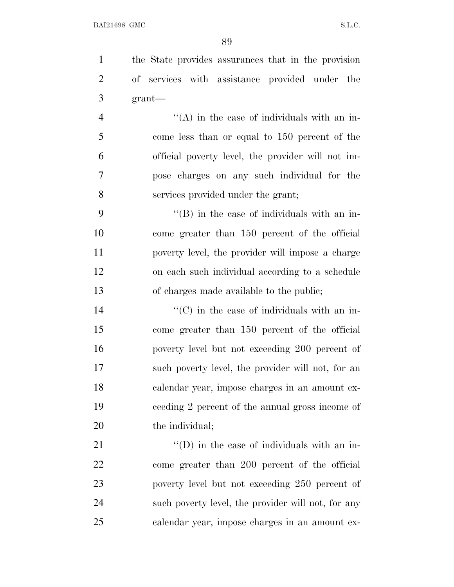the State provides assurances that in the provision of services with assistance provided under the grant—  $\mathcal{L}$   $\mathcal{L}(\mathbf{A})$  in the case of individuals with an in- come less than or equal to 150 percent of the official poverty level, the provider will not im-

pose charges on any such individual for the

services provided under the grant;

 $"$ (B) in the case of individuals with an in- come greater than 150 percent of the official poverty level, the provider will impose a charge on each such individual according to a schedule of charges made available to the public;

 $\langle ^{\prime}(C) \rangle$  in the case of individuals with an in- come greater than 150 percent of the official poverty level but not exceeding 200 percent of such poverty level, the provider will not, for an calendar year, impose charges in an amount ex- ceeding 2 percent of the annual gross income of 20 the individual;

 $\langle (D)$  in the case of individuals with an in- come greater than 200 percent of the official poverty level but not exceeding 250 percent of such poverty level, the provider will not, for any calendar year, impose charges in an amount ex-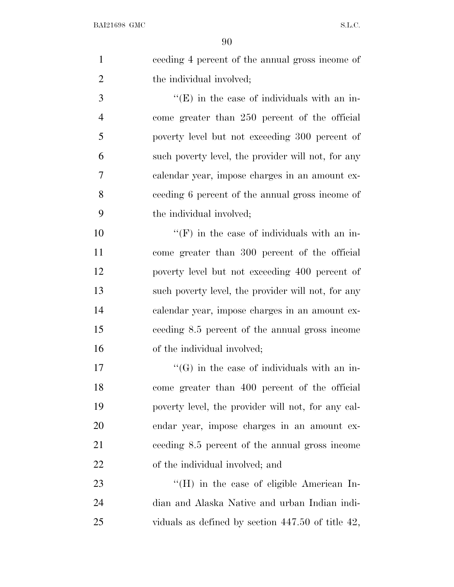| $\mathbf{1}$   | ceeding 4 percent of the annual gross income of        |
|----------------|--------------------------------------------------------|
| $\overline{2}$ | the individual involved;                               |
| 3              | $\lq\lq(E)$ in the case of individuals with an in-     |
| $\overline{4}$ | come greater than 250 percent of the official          |
| 5              | poverty level but not exceeding 300 percent of         |
| 6              | such poverty level, the provider will not, for any     |
| 7              | calendar year, impose charges in an amount ex-         |
| 8              | ceeding 6 percent of the annual gross income of        |
| 9              | the individual involved;                               |
| 10             | $\lq\lq(F)$ in the case of individuals with an in-     |
| 11             | come greater than 300 percent of the official          |
| 12             | poverty level but not exceeding 400 percent of         |
| 13             | such poverty level, the provider will not, for any     |
| 14             | calendar year, impose charges in an amount ex-         |
| 15             | ceeding 8.5 percent of the annual gross income         |
| 16             | of the individual involved;                            |
| 17             | $\lq\lq(G)$ in the case of individuals with an in-     |
| 18             | come greater than 400 percent of the official          |
| 19             | poverty level, the provider will not, for any cal-     |
| 20             | endar year, impose charges in an amount ex-            |
| 21             | ceeding 8.5 percent of the annual gross income         |
| 22             | of the individual involved; and                        |
| 23             | $\rm{``(H)}$ in the case of eligible American In-      |
| 24             | dian and Alaska Native and urban Indian indi-          |
| 25             | viduals as defined by section $447.50$ of title $42$ , |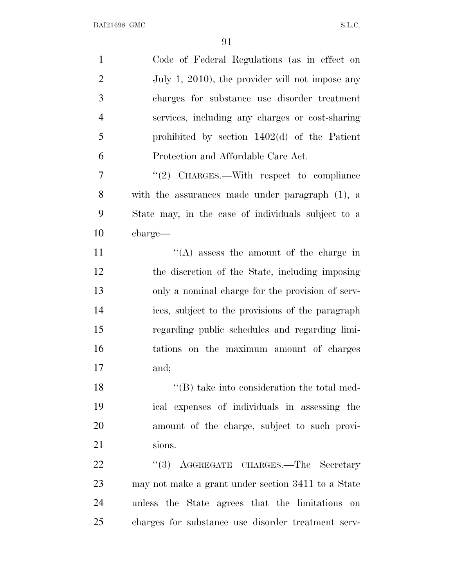| Code of Federal Regulations (as in effect on       |
|----------------------------------------------------|
| July 1, 2010), the provider will not impose any    |
| charges for substance use disorder treatment       |
| services, including any charges or cost-sharing    |
| prohibited by section $1402(d)$ of the Patient     |
| Protection and Affordable Care Act.                |
| "(2) CHARGES.—With respect to compliance           |
| with the assurances made under paragraph $(1)$ , a |
| State may, in the case of individuals subject to a |
| charge—                                            |
| $\lq\lq$ assess the amount of the charge in        |
| the discretion of the State, including imposing    |
| only a nominal charge for the provision of serv-   |
| ices, subject to the provisions of the paragraph   |
| regarding public schedules and regarding limi-     |
| tations on the maximum amount of charges           |
| and;                                               |
| $\lq\lq$ take into consideration the total med-    |
| ical expenses of individuals in assessing the      |
| amount of the charge, subject to such provi-       |
| sions.                                             |
| AGGREGATE CHARGES.-The Secretary<br>(3)            |
| may not make a grant under section 3411 to a State |
| unless the State agrees that the limitations on    |
| charges for substance use disorder treatment serv- |
|                                                    |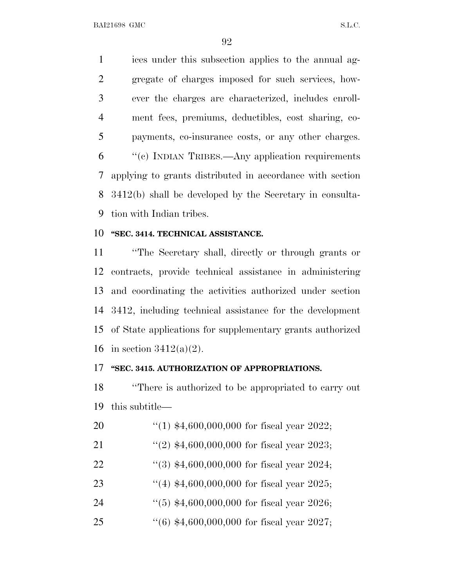ices under this subsection applies to the annual ag- gregate of charges imposed for such services, how- ever the charges are characterized, includes enroll- ment fees, premiums, deductibles, cost sharing, co- payments, co-insurance costs, or any other charges. ''(c) INDIAN TRIBES.—Any application requirements applying to grants distributed in accordance with section 3412(b) shall be developed by the Secretary in consulta-tion with Indian tribes.

## **''SEC. 3414. TECHNICAL ASSISTANCE.**

 ''The Secretary shall, directly or through grants or contracts, provide technical assistance in administering and coordinating the activities authorized under section 3412, including technical assistance for the development of State applications for supplementary grants authorized 16 in section  $3412(a)(2)$ .

## **''SEC. 3415. AUTHORIZATION OF APPROPRIATIONS.**

 ''There is authorized to be appropriated to carry out this subtitle—

- ''(1) \$4,600,000,000 for fiscal year 2022;
- 21 ''(2) \$4,600,000,000 for fiscal year 2023;
- ''(3) \$4,600,000,000 for fiscal year 2024;
- ''(4) \$4,600,000,000 for fiscal year 2025;
- 24 ''(5) \$4,600,000,000 for fiscal year 2026;
- ''(6) \$4,600,000,000 for fiscal year 2027;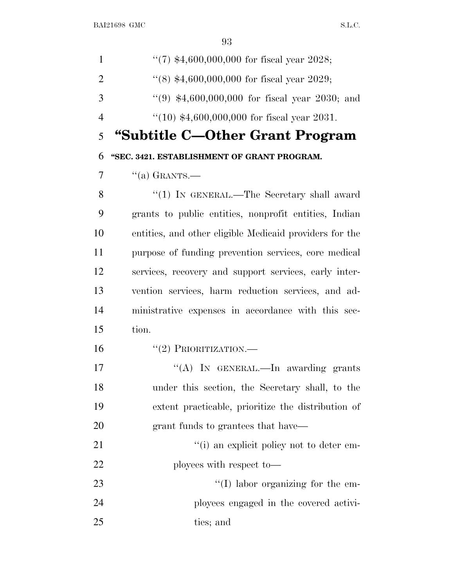| $\mathbf{1}$   | "(7) $*4,600,000,000$ for fiscal year 2028;             |
|----------------|---------------------------------------------------------|
| $\overline{2}$ | $(8)$ \$4,600,000,000 for fiscal year 2029;             |
| 3              | $(9)$ \$4,600,000,000 for fiscal year 2030; and         |
| $\overline{4}$ | $(10)$ \$4,600,000,000 for fiscal year 2031.            |
| 5              | "Subtitle C—Other Grant Program                         |
| 6              | "SEC. 3421. ESTABLISHMENT OF GRANT PROGRAM.             |
| $\overline{7}$ | $\lq(a)$ GRANTS.—                                       |
| 8              | "(1) IN GENERAL.—The Secretary shall award              |
| 9              | grants to public entities, nonprofit entities, Indian   |
| 10             | entities, and other eligible Medicaid providers for the |
| 11             | purpose of funding prevention services, core medical    |
| 12             | services, recovery and support services, early inter-   |
| 13             | vention services, harm reduction services, and ad-      |
| 14             | ministrative expenses in accordance with this sec-      |
| 15             | tion.                                                   |
| 16             | $``(2)$ PRIORITIZATION.—                                |
| 17             | "(A) IN GENERAL.—In awarding grants                     |
| 18             | under this section, the Secretary shall, to the         |
| 19             | extent practicable, prioritize the distribution of      |
| 20             | grant funds to grantees that have—                      |
| 21             | "(i) an explicit policy not to deter em-                |
| 22             | ployees with respect to-                                |
| 23             | $\lq\lq$ (I) labor organizing for the em-               |
| 24             | ployees engaged in the covered activi-                  |
| 25             | ties; and                                               |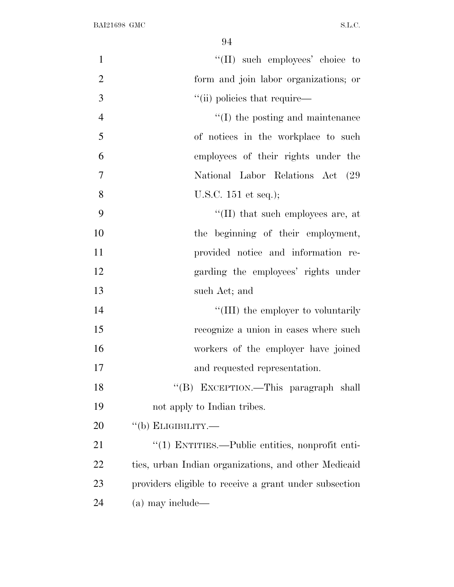| $\mathbf{1}$   | "(II) such employees' choice to                        |
|----------------|--------------------------------------------------------|
| $\overline{2}$ | form and join labor organizations; or                  |
| 3              | "(ii) policies that require—                           |
| $\overline{4}$ | $\lq\lq$ (I) the posting and maintenance               |
| 5              | of notices in the workplace to such                    |
| 6              | employees of their rights under the                    |
| 7              | National Labor Relations Act (29)                      |
| 8              | U.S.C. $151$ et seq.);                                 |
| 9              | "(II) that such employees are, at                      |
| 10             | the beginning of their employment,                     |
| 11             | provided notice and information re-                    |
| 12             | garding the employees' rights under                    |
| 13             | such Act; and                                          |
| 14             | "(III) the employer to voluntarily                     |
| 15             | recognize a union in cases where such                  |
| 16             | workers of the employer have joined                    |
| 17             | and requested representation.                          |
| 18             | "(B) EXCEPTION.—This paragraph shall                   |
| 19             | not apply to Indian tribes.                            |
| 20             | $``$ (b) ELIGIBILITY.—                                 |
| 21             | $\lq(1)$ ENTITIES.—Public entities, nonprofit enti-    |
| 22             | ties, urban Indian organizations, and other Medicaid   |
| 23             | providers eligible to receive a grant under subsection |
| 24             | (a) may include—                                       |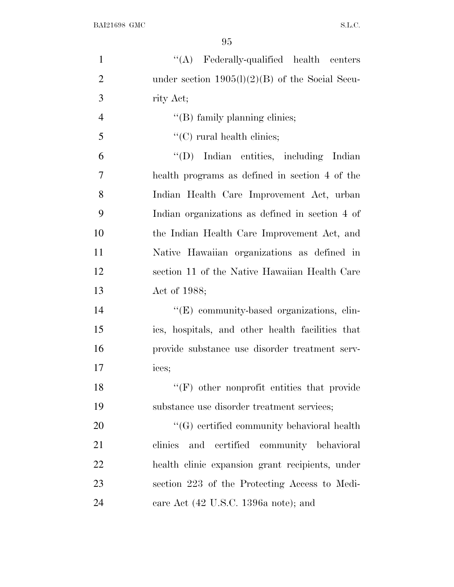| $\mathbf{1}$   | "(A) Federally-qualified health centers           |
|----------------|---------------------------------------------------|
| $\overline{2}$ | under section $1905(l)(2)(B)$ of the Social Secu- |
| 3              | rity Act;                                         |
| $\overline{4}$ | "(B) family planning clinics;                     |
| 5              | $\lq\lq$ (C) rural health clinics;                |
| 6              | "(D) Indian entities, including Indian            |
| 7              | health programs as defined in section 4 of the    |
| 8              | Indian Health Care Improvement Act, urban         |
| 9              | Indian organizations as defined in section 4 of   |
| 10             | the Indian Health Care Improvement Act, and       |
| 11             | Native Hawaiian organizations as defined in       |
| 12             | section 11 of the Native Hawaiian Health Care     |
| 13             | Act of 1988;                                      |
| 14             | "(E) community-based organizations, clin-         |
| 15             | ics, hospitals, and other health facilities that  |
| 16             | provide substance use disorder treatment serv-    |
| 17             | ices;                                             |
| 18             | $\lq\lq(F)$ other nonprofit entities that provide |
| 19             | substance use disorder treatment services;        |
| 20             | $\lq\lq(G)$ certified community behavioral health |
| 21             | and certified community behavioral<br>clinics     |
| 22             | health clinic expansion grant recipients, under   |
| 23             | section 223 of the Protecting Access to Medi-     |
| 24             | care Act (42 U.S.C. 1396a note); and              |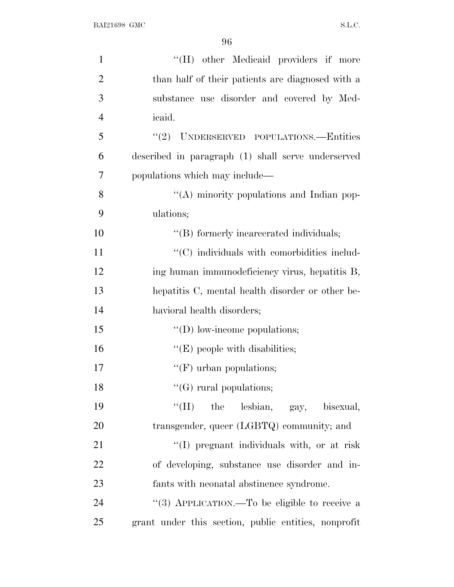| $\mathbf{1}$   | "(H) other Medicaid providers if more                |
|----------------|------------------------------------------------------|
| $\overline{2}$ | than half of their patients are diagnosed with a     |
| 3              | substance use disorder and covered by Med-           |
| $\overline{4}$ | <i>icaid.</i>                                        |
| 5              | "(2) UNDERSERVED POPULATIONS.—Entities               |
| 6              | described in paragraph (1) shall serve underserved   |
| 7              | populations which may include—                       |
| 8              | "(A) minority populations and Indian pop-            |
| 9              | ulations;                                            |
| 10             | "(B) formerly incarcerated individuals;              |
| 11             | $\cdot$ (C) individuals with comorbidities includ-   |
| 12             | ing human immunodeficiency virus, hepatitis B,       |
| 13             | hepatitis C, mental health disorder or other be-     |
| 14             | havioral health disorders;                           |
| 15             | $\lq\lq$ (D) low-income populations;                 |
| 16             | $\lq\lq$ (E) people with disabilities;               |
| 17             | $\lq\lq(F)$ urban populations;                       |
| 18             | $\lq\lq(G)$ rural populations;                       |
| 19             | "(H) the lesbian, gay, bisexual,                     |
| 20             | transgender, queer (LGBTQ) community; and            |
| 21             | "(I) pregnant individuals with, or at risk           |
| 22             | of developing, substance use disorder and in-        |
| 23             | fants with neonatal abstinence syndrome.             |
| 24             | "(3) APPLICATION.—To be eligible to receive a        |
| 25             | grant under this section, public entities, nonprofit |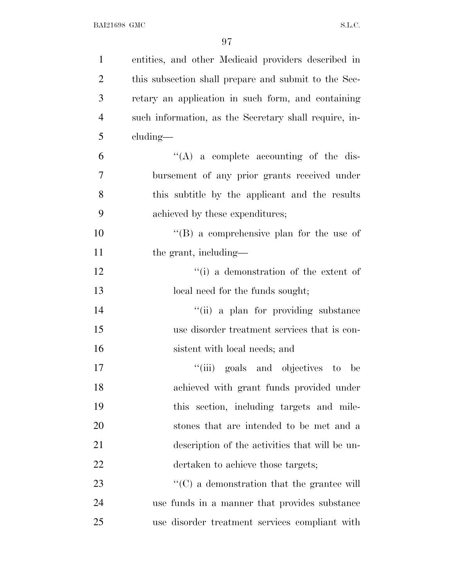| $\mathbf{1}$   | entities, and other Medicaid providers described in    |
|----------------|--------------------------------------------------------|
| $\overline{2}$ | this subsection shall prepare and submit to the Sec-   |
| 3              | retary an application in such form, and containing     |
| $\overline{4}$ | such information, as the Secretary shall require, in-  |
| 5              | cluding—                                               |
| 6              | $\lq\lq$ a complete accounting of the dis-             |
| 7              | bursement of any prior grants received under           |
| 8              | this subtitle by the applicant and the results         |
| 9              | achieved by these expenditures;                        |
| 10             | $\lq\lq$ (B) a comprehensive plan for the use of       |
| 11             | the grant, including—                                  |
| 12             | "(i) a demonstration of the extent of                  |
| 13             | local need for the funds sought;                       |
| 14             | "(ii) a plan for providing substance                   |
| 15             | use disorder treatment services that is con-           |
| 16             | sistent with local needs; and                          |
| 17             | "(iii) goals and objectives<br>to<br>be                |
| 18             | achieved with grant funds provided under               |
| 19             | this section, including targets and mile-              |
| 20             | stones that are intended to be met and a               |
| 21             | description of the activities that will be un-         |
| 22             | dertaken to achieve those targets;                     |
| 23             | $\cdot\cdot$ (C) a demonstration that the grantee will |
| 24             | use funds in a manner that provides substance          |
| 25             | use disorder treatment services compliant with         |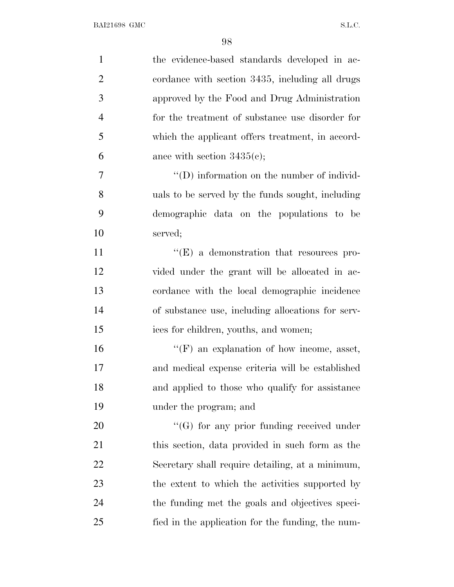| $\mathbf{1}$   | the evidence-based standards developed in ac-      |
|----------------|----------------------------------------------------|
| $\overline{2}$ | cordance with section 3435, including all drugs    |
| 3              | approved by the Food and Drug Administration       |
| $\overline{4}$ | for the treatment of substance use disorder for    |
| 5              | which the applicant offers treatment, in accord-   |
| 6              | ance with section $3435(c)$ ;                      |
| 7              | $\lq\lq$ (D) information on the number of individ- |
| 8              | uals to be served by the funds sought, including   |
| 9              | demographic data on the populations to be          |
| 10             | served;                                            |
| 11             | $\lq\lq(E)$ a demonstration that resources pro-    |
| 12             | vided under the grant will be allocated in ac-     |
| 13             | cordance with the local demographic incidence      |
| 14             | of substance use, including allocations for serv-  |
| 15             | ices for children, youths, and women;              |
| 16             | $\lq\lq(F)$ an explanation of how income, asset,   |
| 17             | and medical expense criteria will be established   |
| 18             | and applied to those who qualify for assistance    |
| 19             | under the program; and                             |
| 20             | $\lq\lq(G)$ for any prior funding received under   |
| 21             | this section, data provided in such form as the    |
| 22             | Secretary shall require detailing, at a minimum,   |
| 23             | the extent to which the activities supported by    |
| 24             | the funding met the goals and objectives speci-    |
| 25             | fied in the application for the funding, the num-  |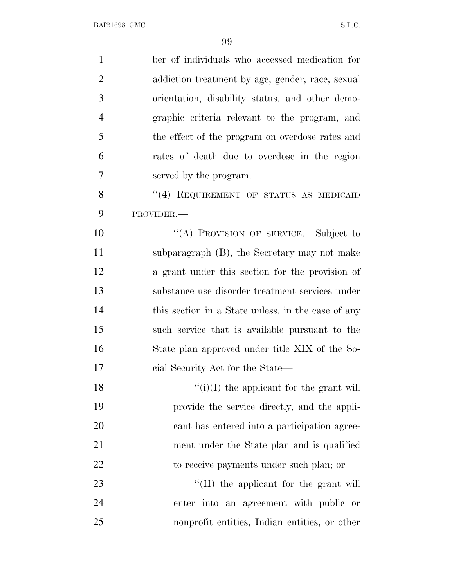| $\mathbf{1}$   | ber of individuals who accessed medication for     |
|----------------|----------------------------------------------------|
| $\overline{2}$ | addiction treatment by age, gender, race, sexual   |
| 3              | orientation, disability status, and other demo-    |
| $\overline{4}$ | graphic criteria relevant to the program, and      |
| 5              | the effect of the program on overdose rates and    |
| 6              | rates of death due to overdose in the region       |
| 7              | served by the program.                             |
| 8              | "(4) REQUIREMENT OF STATUS AS MEDICAID             |
| 9              | PROVIDER.-                                         |
| 10             | "(A) PROVISION OF SERVICE.-Subject to              |
| 11             | subparagraph $(B)$ , the Secretary may not make    |
| 12             | a grant under this section for the provision of    |
| 13             | substance use disorder treatment services under    |
| 14             | this section in a State unless, in the case of any |
| 15             | such service that is available pursuant to the     |
| 16             | State plan approved under title XIX of the So-     |
| 17             | cial Security Act for the State—                   |
| 18             | $f'(i)(I)$ the applicant for the grant will        |
| 19             | provide the service directly, and the appli-       |
| 20             | cant has entered into a participation agree-       |
| 21             | ment under the State plan and is qualified         |
| 22             | to receive payments under such plan; or            |
| 23             | $\lq$ (II) the applicant for the grant will        |
| 24             | enter into an agreement with public or             |
| 25             | nonprofit entities, Indian entities, or other      |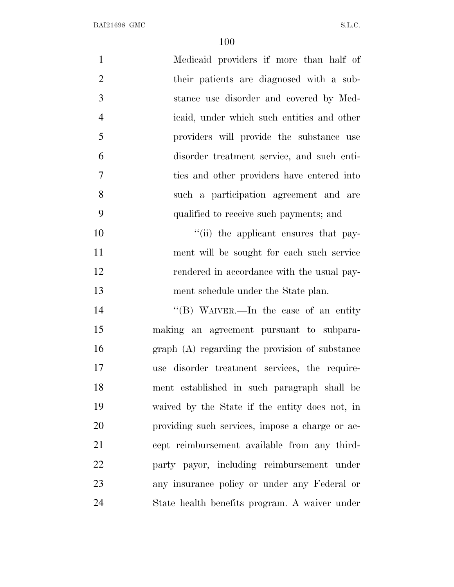| $\mathbf{1}$   | Medicaid providers if more than half of         |
|----------------|-------------------------------------------------|
| $\overline{2}$ | their patients are diagnosed with a sub-        |
| 3              | stance use disorder and covered by Med-         |
| $\overline{4}$ | icaid, under which such entities and other      |
| 5              | providers will provide the substance use        |
| 6              | disorder treatment service, and such enti-      |
| $\overline{7}$ | ties and other providers have entered into      |
| 8              | such a participation agreement and are          |
| 9              | qualified to receive such payments; and         |
| 10             | "(ii) the applicant ensures that pay-           |
| 11             | ment will be sought for each such service       |
| 12             | rendered in accordance with the usual pay-      |
| 13             | ment schedule under the State plan.             |
| 14             | "(B) WAIVER.—In the case of an entity           |
| 15             | making an agreement pursuant to subpara-        |
| 16             | graph (A) regarding the provision of substance  |
| 17             | use disorder treatment services, the require-   |
| 18             | ment established in such paragraph shall be     |
| 19             | waived by the State if the entity does not, in  |
| <b>20</b>      | providing such services, impose a charge or ac- |
| 21             | cept reimbursement available from any third-    |
| 22             | party payor, including reimbursement under      |
| 23             | any insurance policy or under any Federal or    |
| 24             | State health benefits program. A waiver under   |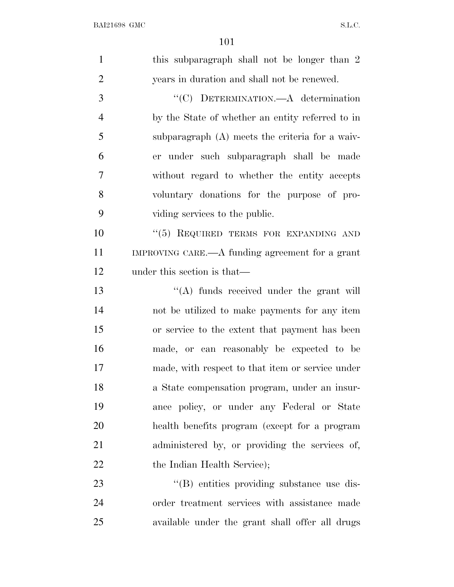| $\mathbf{1}$   | this subparagraph shall not be longer than 2     |
|----------------|--------------------------------------------------|
| $\overline{2}$ | years in duration and shall not be renewed.      |
| $\mathfrak{Z}$ | "(C) DETERMINATION.—A determination              |
| $\overline{4}$ | by the State of whether an entity referred to in |
| 5              | subparagraph (A) meets the criteria for a waiv-  |
| 6              | er under such subparagraph shall be made         |
| $\overline{7}$ | without regard to whether the entity accepts     |
| 8              | voluntary donations for the purpose of pro-      |
| 9              | viding services to the public.                   |
| 10             | "(5) REQUIRED TERMS FOR EXPANDING AND            |
| 11             | IMPROVING CARE.—A funding agreement for a grant  |
| 12             | under this section is that—                      |
| 13             | $\lq\lq$ funds received under the grant will     |
| 14             | not be utilized to make payments for any item    |
| 15             | or service to the extent that payment has been   |
| 16             | made, or can reasonably be expected to be        |
| 17             | made, with respect to that item or service under |
| 18             | a State compensation program, under an insur-    |
| 19             | ance policy, or under any Federal or State       |
| 20             | health benefits program (except for a program    |
| 21             | administered by, or providing the services of,   |
| 22             | the Indian Health Service);                      |
| 23             | "(B) entities providing substance use dis-       |
| 24             | order treatment services with assistance made    |
| 25             | available under the grant shall offer all drugs  |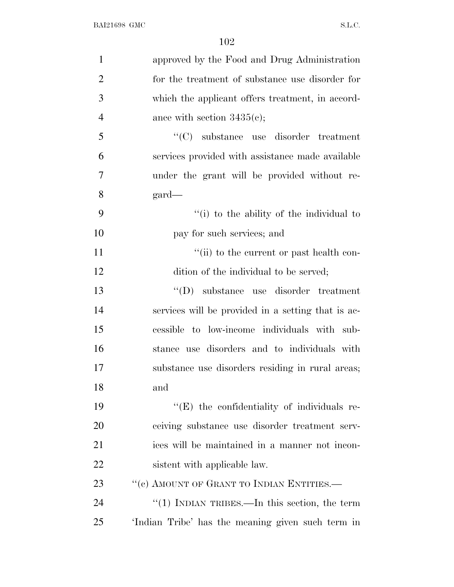| $\mathbf{1}$   | approved by the Food and Drug Administration        |
|----------------|-----------------------------------------------------|
| $\overline{2}$ | for the treatment of substance use disorder for     |
| 3              | which the applicant offers treatment, in accord-    |
| $\overline{4}$ | ance with section $3435(c)$ ;                       |
| 5              | $\lq\lq$ substance use disorder treatment           |
| 6              | services provided with assistance made available    |
| 7              | under the grant will be provided without re-        |
| 8              | $\text{gard}$                                       |
| 9              | "(i) to the ability of the individual to            |
| 10             | pay for such services; and                          |
| 11             | "(ii) to the current or past health con-            |
| 12             | dition of the individual to be served;              |
| 13             | "(D) substance use disorder treatment               |
| 14             | services will be provided in a setting that is ac-  |
| 15             | cessible to low-income individuals with sub-        |
| 16             | stance use disorders and to individuals with        |
| 17             | substance use disorders residing in rural areas;    |
| 18             | and                                                 |
| 19             | $\lq\lq$ (E) the confidentiality of individuals re- |
| 20             | ceiving substance use disorder treatment serv-      |
| 21             | ices will be maintained in a manner not incon-      |
| 22             | sistent with applicable law.                        |
| 23             | "(c) AMOUNT OF GRANT TO INDIAN ENTITIES.—           |
| 24             | "(1) INDIAN TRIBES.—In this section, the term       |
| 25             | 'Indian Tribe' has the meaning given such term in   |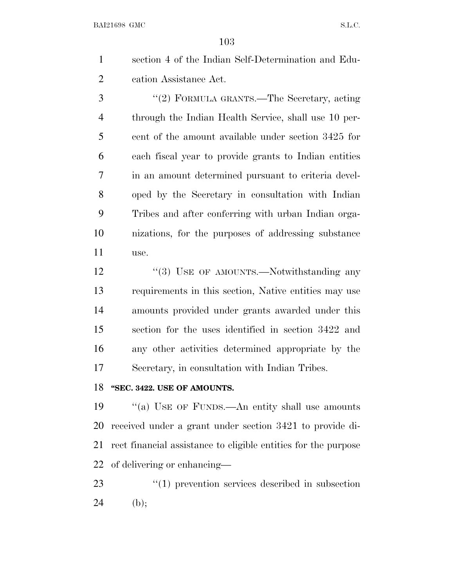| section 4 of the Indian Self-Determination and Edu- |
|-----------------------------------------------------|
| cation Assistance Act.                              |

 ''(2) FORMULA GRANTS.—The Secretary, acting through the Indian Health Service, shall use 10 per- cent of the amount available under section 3425 for each fiscal year to provide grants to Indian entities in an amount determined pursuant to criteria devel- oped by the Secretary in consultation with Indian Tribes and after conferring with urban Indian orga- nizations, for the purposes of addressing substance use.

12 "(3) USE OF AMOUNTS.—Notwithstanding any requirements in this section, Native entities may use amounts provided under grants awarded under this section for the uses identified in section 3422 and any other activities determined appropriate by the Secretary, in consultation with Indian Tribes.

## **''SEC. 3422. USE OF AMOUNTS.**

 ''(a) USE OF FUNDS.—An entity shall use amounts received under a grant under section 3421 to provide di- rect financial assistance to eligible entities for the purpose of delivering or enhancing—

23  $\frac{1}{2}$  (1) prevention services described in subsection 24 (b);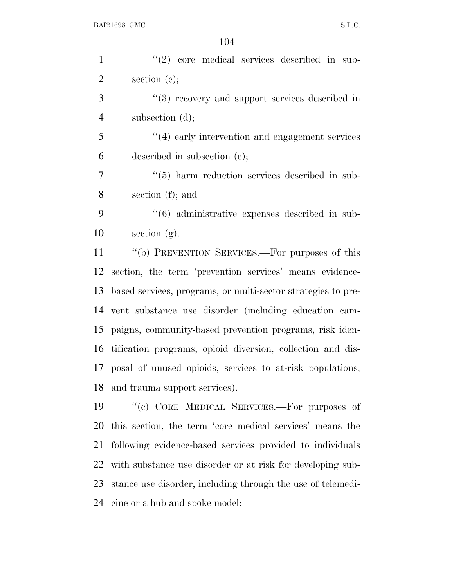| $\mathbf{1}$   | $\lq(2)$ core medical services described in sub-                |
|----------------|-----------------------------------------------------------------|
| $\overline{2}$ | section $(e)$ ;                                                 |
| 3              | $"$ (3) recovery and support services described in              |
| $\overline{4}$ | subsection $(d)$ ;                                              |
| 5              | $\cdot$ (4) early intervention and engagement services          |
| 6              | described in subsection (e);                                    |
| 7              | $\cdot\cdot$ (5) harm reduction services described in sub-      |
| 8              | section $(f)$ ; and                                             |
| 9              | $\cdot\cdot\cdot$ (6) administrative expenses described in sub- |
| 10             | section $(g)$ .                                                 |
| 11             | "(b) PREVENTION SERVICES.—For purposes of this                  |
| 12             | section, the term 'prevention services' means evidence-         |
| 13             | based services, programs, or multi-sector strategies to pre-    |
| 14             | vent substance use disorder (including education cam-           |
| 15             | paigns, community-based prevention programs, risk iden-         |
| 16             | tification programs, opioid diversion, collection and dis-      |
|                | 17 posal of unused opioids, services to at-risk populations,    |
| 18             | and trauma support services).                                   |
| 19             | "(c) CORE MEDICAL SERVICES.—For purposes of                     |
| 20             | this section, the term 'core medical services' means the        |
| 21             | following evidence-based services provided to individuals       |
| 22             | with substance use disorder or at risk for developing sub-      |
| 23             | stance use disorder, including through the use of telemedi-     |
| 24             | cine or a hub and spoke model:                                  |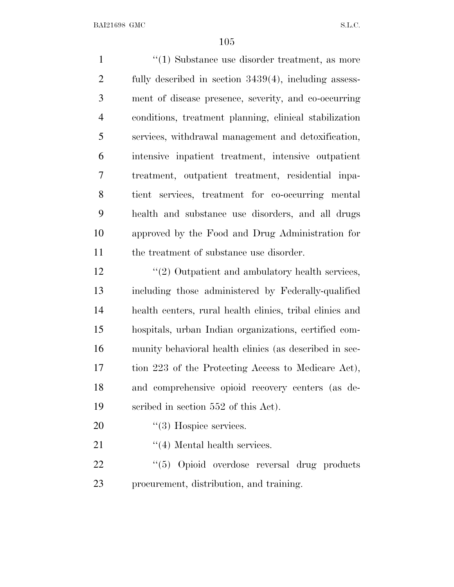1 ''(1) Substance use disorder treatment, as more fully described in section 3439(4), including assess- ment of disease presence, severity, and co-occurring conditions, treatment planning, clinical stabilization services, withdrawal management and detoxification, intensive inpatient treatment, intensive outpatient treatment, outpatient treatment, residential inpa- tient services, treatment for co-occurring mental health and substance use disorders, and all drugs approved by the Food and Drug Administration for 11 the treatment of substance use disorder. 12 ''(2) Outpatient and ambulatory health services, including those administered by Federally-qualified health centers, rural health clinics, tribal clinics and

 hospitals, urban Indian organizations, certified com- munity behavioral health clinics (as described in sec- tion 223 of the Protecting Access to Medicare Act), and comprehensive opioid recovery centers (as de-scribed in section 552 of this Act).

20  $\frac{1}{2}$  (3) Hospice services.

21 ''(4) Mental health services.

22 "(5) Opioid overdose reversal drug products procurement, distribution, and training.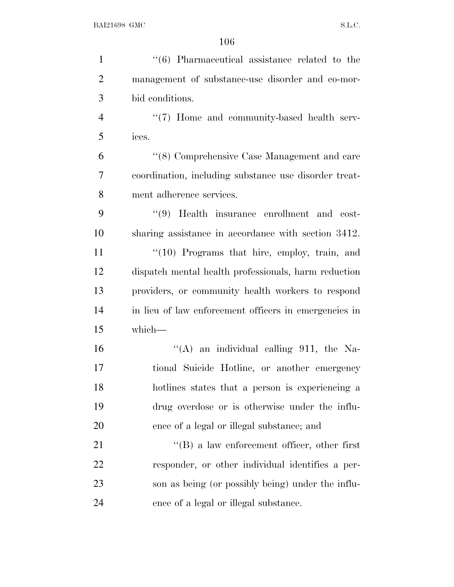| $\mathbf{1}$   | $\cdot\cdot\cdot$ (6) Pharmaceutical assistance related to the |
|----------------|----------------------------------------------------------------|
| $\overline{2}$ | management of substance-use disorder and co-mor-               |
| 3              | bid conditions.                                                |
| $\overline{4}$ | $\lq(7)$ Home and community-based health serv-                 |
| 5              | ices.                                                          |
| 6              | "(8) Comprehensive Case Management and care                    |
| $\tau$         | coordination, including substance use disorder treat-          |
| 8              | ment adherence services.                                       |
| 9              | $(9)$ Health insurance enrollment and cost-                    |
| 10             | sharing assistance in accordance with section 3412.            |
| 11             | $\lq(10)$ Programs that hire, employ, train, and               |
| 12             | dispatch mental health professionals, harm reduction           |
| 13             | providers, or community health workers to respond              |
| 14             | in lieu of law enforcement officers in emergencies in          |
| 15             | which-                                                         |
| 16             | "(A) an individual calling 911, the Na-                        |
| 17             | tional Suicide Hotline, or another emergency                   |
| 18             | hotlines states that a person is experiencing a                |
| 19             | drug overdose or is otherwise under the influ-                 |
| 20             | ence of a legal or illegal substance; and                      |
| 21             | $\lq\lq (B)$ a law enforcement officer, other first            |
| 22             | responder, or other individual identifies a per-               |
| 23             | son as being (or possibly being) under the influ-              |
| 24             | ence of a legal or illegal substance.                          |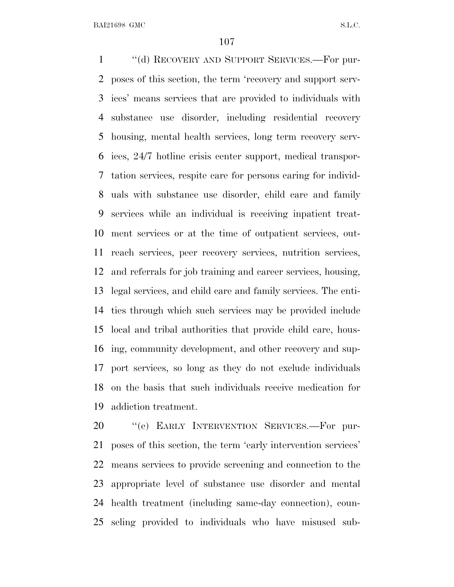''(d) RECOVERY AND SUPPORT SERVICES.—For pur- poses of this section, the term 'recovery and support serv- ices' means services that are provided to individuals with substance use disorder, including residential recovery housing, mental health services, long term recovery serv- ices, 24/7 hotline crisis center support, medical transpor- tation services, respite care for persons caring for individ- uals with substance use disorder, child care and family services while an individual is receiving inpatient treat- ment services or at the time of outpatient services, out- reach services, peer recovery services, nutrition services, and referrals for job training and career services, housing, legal services, and child care and family services. The enti- ties through which such services may be provided include local and tribal authorities that provide child care, hous- ing, community development, and other recovery and sup- port services, so long as they do not exclude individuals on the basis that such individuals receive medication for addiction treatment.

20 "(e) EARLY INTERVENTION SERVICES.-For pur- poses of this section, the term 'early intervention services' means services to provide screening and connection to the appropriate level of substance use disorder and mental health treatment (including same-day connection), coun-seling provided to individuals who have misused sub-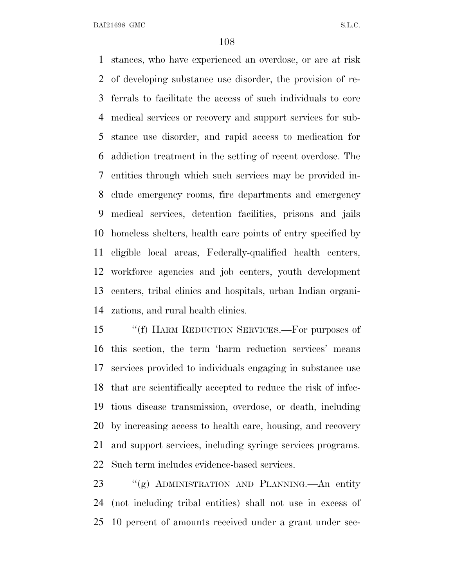stances, who have experienced an overdose, or are at risk of developing substance use disorder, the provision of re- ferrals to facilitate the access of such individuals to core medical services or recovery and support services for sub- stance use disorder, and rapid access to medication for addiction treatment in the setting of recent overdose. The entities through which such services may be provided in- clude emergency rooms, fire departments and emergency medical services, detention facilities, prisons and jails homeless shelters, health care points of entry specified by eligible local areas, Federally-qualified health centers, workforce agencies and job centers, youth development centers, tribal clinics and hospitals, urban Indian organi-zations, and rural health clinics.

15 "(f) HARM REDUCTION SERVICES.—For purposes of this section, the term 'harm reduction services' means services provided to individuals engaging in substance use that are scientifically accepted to reduce the risk of infec- tious disease transmission, overdose, or death, including by increasing access to health care, housing, and recovery and support services, including syringe services programs. Such term includes evidence-based services.

 ''(g) ADMINISTRATION AND PLANNING.—An entity (not including tribal entities) shall not use in excess of 10 percent of amounts received under a grant under sec-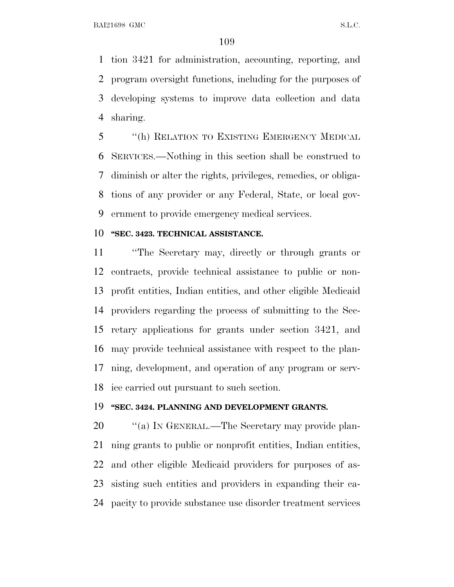tion 3421 for administration, accounting, reporting, and program oversight functions, including for the purposes of developing systems to improve data collection and data sharing.

 ''(h) RELATION TO EXISTING EMERGENCY MEDICAL SERVICES.—Nothing in this section shall be construed to diminish or alter the rights, privileges, remedies, or obliga- tions of any provider or any Federal, State, or local gov-ernment to provide emergency medical services.

## **''SEC. 3423. TECHNICAL ASSISTANCE.**

 ''The Secretary may, directly or through grants or contracts, provide technical assistance to public or non- profit entities, Indian entities, and other eligible Medicaid providers regarding the process of submitting to the Sec- retary applications for grants under section 3421, and may provide technical assistance with respect to the plan- ning, development, and operation of any program or serv-ice carried out pursuant to such section.

## **''SEC. 3424. PLANNING AND DEVELOPMENT GRANTS.**

20 "(a) In GENERAL.—The Secretary may provide plan- ning grants to public or nonprofit entities, Indian entities, and other eligible Medicaid providers for purposes of as- sisting such entities and providers in expanding their ca-pacity to provide substance use disorder treatment services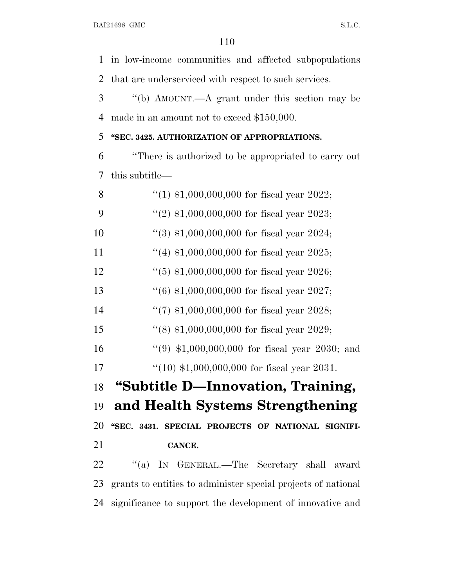in low-income communities and affected subpopulations that are underserviced with respect to such services.

3 ''(b) AMOUNT.—A grant under this section may be made in an amount not to exceed \$150,000.

## **''SEC. 3425. AUTHORIZATION OF APPROPRIATIONS.**

 ''There is authorized to be appropriated to carry out this subtitle—

| 8  | "(1) $$1,000,000,000$ for fiscal year 2022;                   |
|----|---------------------------------------------------------------|
| 9  | "(2) $$1,000,000,000$ for fiscal year 2023;                   |
| 10 | $(3)$ \$1,000,000,000 for fiscal year 2024;                   |
| 11 | "(4) $$1,000,000,000$ for fiscal year 2025;                   |
| 12 | $(5)$ \$1,000,000,000 for fiscal year 2026;                   |
| 13 | $(6)$ \$1,000,000,000 for fiscal year 2027;                   |
| 14 | "(7) $$1,000,000,000$ for fiscal year 2028;                   |
| 15 | $(8)$ \$1,000,000,000 for fiscal year 2029;                   |
| 16 | "(9) $$1,000,000,000$ for fiscal year 2030; and               |
| 17 | $(10)$ \$1,000,000,000 for fiscal year 2031.                  |
| 18 | "Subtitle D—Innovation, Training,                             |
| 19 | and Health Systems Strengthening                              |
| 20 | "SEC. 3431. SPECIAL PROJECTS OF NATIONAL SIGNIFI-             |
| 21 | CANCE.                                                        |
| 22 | ``(a)<br>IN GENERAL.—The Secretary shall award                |
| 23 | grants to entities to administer special projects of national |
| 24 | significance to support the development of innovative and     |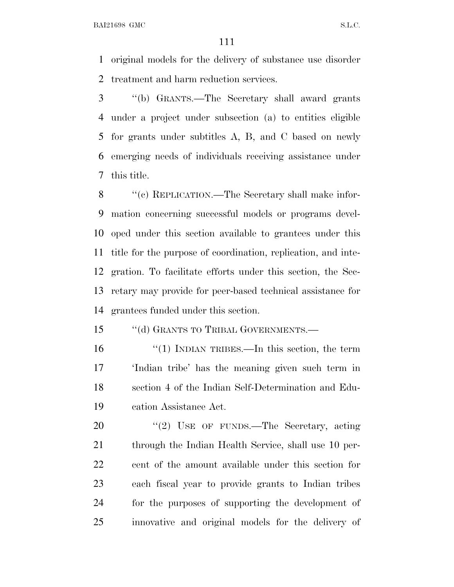original models for the delivery of substance use disorder treatment and harm reduction services.

 ''(b) GRANTS.—The Secretary shall award grants under a project under subsection (a) to entities eligible for grants under subtitles A, B, and C based on newly emerging needs of individuals receiving assistance under this title.

 ''(c) REPLICATION.—The Secretary shall make infor- mation concerning successful models or programs devel- oped under this section available to grantees under this title for the purpose of coordination, replication, and inte- gration. To facilitate efforts under this section, the Sec- retary may provide for peer-based technical assistance for grantees funded under this section.

15 "(d) GRANTS TO TRIBAL GOVERNMENTS.—

 ''(1) INDIAN TRIBES.—In this section, the term 'Indian tribe' has the meaning given such term in section 4 of the Indian Self-Determination and Edu-cation Assistance Act.

20 "(2) USE OF FUNDS.—The Secretary, acting 21 through the Indian Health Service, shall use 10 per- cent of the amount available under this section for each fiscal year to provide grants to Indian tribes for the purposes of supporting the development of innovative and original models for the delivery of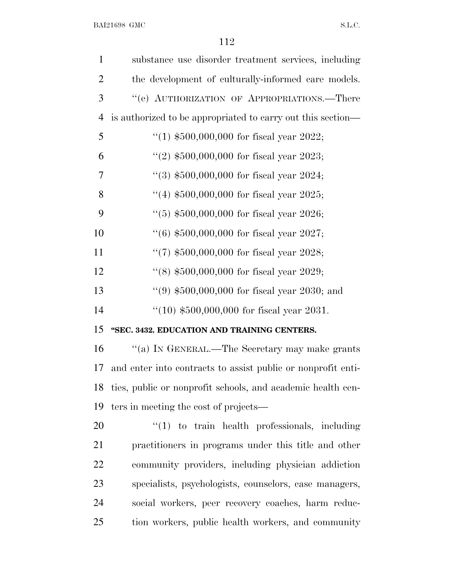| $\mathbf{1}$   | substance use disorder treatment services, including         |
|----------------|--------------------------------------------------------------|
| $\overline{2}$ | the development of culturally-informed care models.          |
| 3              | "(e) AUTHORIZATION OF APPROPRIATIONS.—There                  |
| $\overline{4}$ | is authorized to be appropriated to carry out this section—  |
| 5              | "(1) $$500,000,000$ for fiscal year 2022;                    |
| 6              | "(2) $$500,000,000$ for fiscal year 2023;                    |
| 7              | $(3)$ \$500,000,000 for fiscal year 2024;                    |
| 8              | "(4) $$500,000,000$ for fiscal year 2025;                    |
| 9              | $(5)$ \$500,000,000 for fiscal year 2026;                    |
| 10             | $(6)$ \$500,000,000 for fiscal year 2027;                    |
| 11             | $(7)$ \$500,000,000 for fiscal year 2028;                    |
| 12             | $(8)$ \$500,000,000 for fiscal year 2029;                    |
| 13             | $(9)$ \$500,000,000 for fiscal year 2030; and                |
| 14             | $(10)$ \$500,000,000 for fiscal year 2031.                   |
| 15             | "SEC. 3432. EDUCATION AND TRAINING CENTERS.                  |
| 16             | "(a) IN GENERAL.—The Secretary may make grants               |
| 17             | and enter into contracts to assist public or nonprofit enti- |
| 18             | ties, public or nonprofit schools, and academic health cen-  |
| 19             | ters in meeting the cost of projects—                        |
| 20             | $\lq(1)$ to train health professionals, including            |
| 21             | practitioners in programs under this title and other         |
| 22             | community providers, including physician addiction           |
| 23             | specialists, psychologists, counselors, case managers,       |
| 24             | social workers, peer recovery coaches, harm reduc-           |
| 25             | tion workers, public health workers, and community           |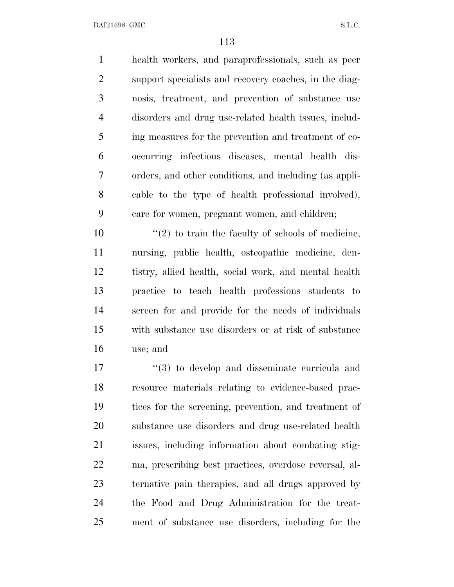health workers, and paraprofessionals, such as peer support specialists and recovery coaches, in the diag- nosis, treatment, and prevention of substance use disorders and drug use-related health issues, includ- ing measures for the prevention and treatment of co- occurring infectious diseases, mental health dis- orders, and other conditions, and including (as appli- cable to the type of health professional involved), care for women, pregnant women, and children;

 $\frac{10}{2}$  to train the faculty of schools of medicine, nursing, public health, osteopathic medicine, den- tistry, allied health, social work, and mental health practice to teach health professions students to screen for and provide for the needs of individuals with substance use disorders or at risk of substance use; and

 $\frac{17}{2}$   $\frac{17}{2}$  to develop and disseminate curricula and resource materials relating to evidence-based prac- tices for the screening, prevention, and treatment of substance use disorders and drug use-related health issues, including information about combating stig- ma, prescribing best practices, overdose reversal, al- ternative pain therapies, and all drugs approved by the Food and Drug Administration for the treat-ment of substance use disorders, including for the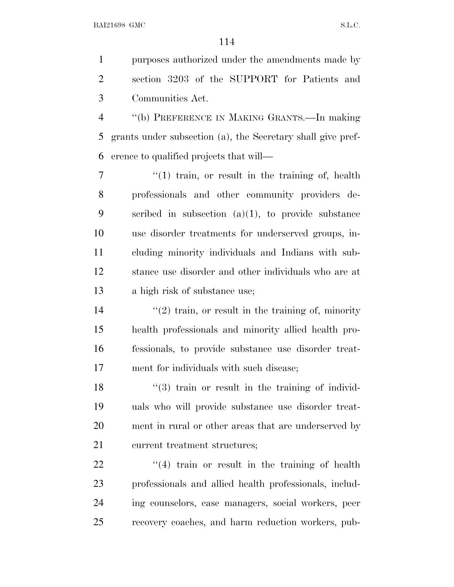purposes authorized under the amendments made by section 3203 of the SUPPORT for Patients and Communities Act.

 ''(b) PREFERENCE IN MAKING GRANTS.—In making grants under subsection (a), the Secretary shall give pref-erence to qualified projects that will—

7 ''(1) train, or result in the training of, health professionals and other community providers de- scribed in subsection (a)(1), to provide substance use disorder treatments for underserved groups, in- cluding minority individuals and Indians with sub- stance use disorder and other individuals who are at a high risk of substance use;

 $\frac{1}{4}$  ''(2) train, or result in the training of, minority health professionals and minority allied health pro- fessionals, to provide substance use disorder treat-ment for individuals with such disease;

 ''(3) train or result in the training of individ- uals who will provide substance use disorder treat- ment in rural or other areas that are underserved by current treatment structures;

22 ''(4) train or result in the training of health professionals and allied health professionals, includ- ing counselors, case managers, social workers, peer recovery coaches, and harm reduction workers, pub-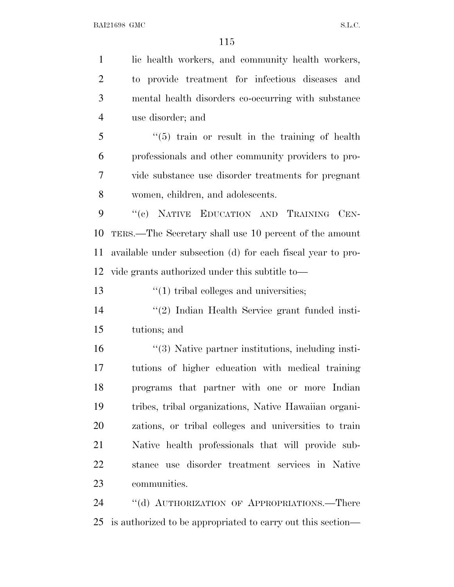lic health workers, and community health workers, to provide treatment for infectious diseases and mental health disorders co-occurring with substance use disorder; and ''(5) train or result in the training of health professionals and other community providers to pro- vide substance use disorder treatments for pregnant women, children, and adolescents. 9 "(e) NATIVE EDUCATION AND TRAINING CEN- TERS.—The Secretary shall use 10 percent of the amount available under subsection (d) for each fiscal year to pro- vide grants authorized under this subtitle to—  $\frac{1}{2}$   $\frac{1}{2}$  tribal colleges and universities; ''(2) Indian Health Service grant funded insti- tutions; and 16 ''(3) Native partner institutions, including insti- tutions of higher education with medical training programs that partner with one or more Indian tribes, tribal organizations, Native Hawaiian organi- zations, or tribal colleges and universities to train Native health professionals that will provide sub- stance use disorder treatment services in Native communities. 24 "(d) AUTHORIZATION OF APPROPRIATIONS.—There is authorized to be appropriated to carry out this section—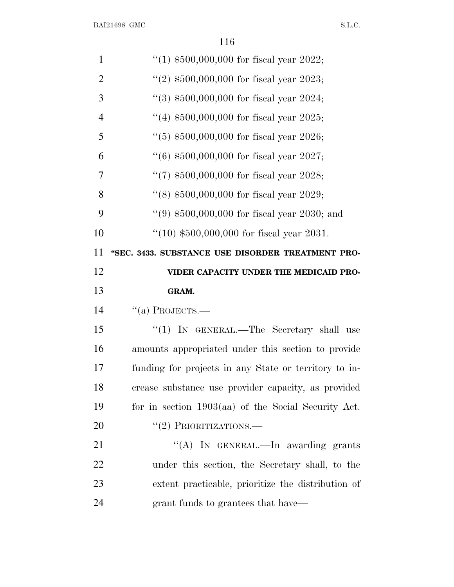| $\mathbf{1}$   | "(1) $$500,000,000$ for fiscal year 2022;             |
|----------------|-------------------------------------------------------|
| $\overline{2}$ | "(2) $$500,000,000$ for fiscal year 2023;             |
| 3              | $(3)$ \$500,000,000 for fiscal year 2024;             |
| $\overline{4}$ | "(4) $$500,000,000$ for fiscal year 2025;             |
| 5              | $(5)$ \$500,000,000 for fiscal year 2026;             |
| 6              | $(6)$ \$500,000,000 for fiscal year 2027;             |
| 7              | $(7)$ \$500,000,000 for fiscal year 2028;             |
| 8              | $(8)$ \$500,000,000 for fiscal year 2029;             |
| 9              | $(9)$ \$500,000,000 for fiscal year 2030; and         |
| 10             | $(10)$ \$500,000,000 for fiscal year 2031.            |
| 11             | "SEC. 3433. SUBSTANCE USE DISORDER TREATMENT PRO-     |
| 12             | VIDER CAPACITY UNDER THE MEDICAID PRO-                |
|                |                                                       |
| 13             | GRAM.                                                 |
| 14             | $``(a)$ PROJECTS.—                                    |
| 15             | "(1) IN GENERAL.—The Secretary shall use              |
| 16             | amounts appropriated under this section to provide    |
| 17             | funding for projects in any State or territory to in- |
| 18             | crease substance use provider capacity, as provided   |
| 19             | for in section $1903(aa)$ of the Social Security Act. |
| 20             | $``(2)$ PRIORITIZATIONS.—                             |
| 21             | "(A) IN GENERAL.—In awarding grants                   |
| 22             | under this section, the Secretary shall, to the       |
| 23             | extent practicable, prioritize the distribution of    |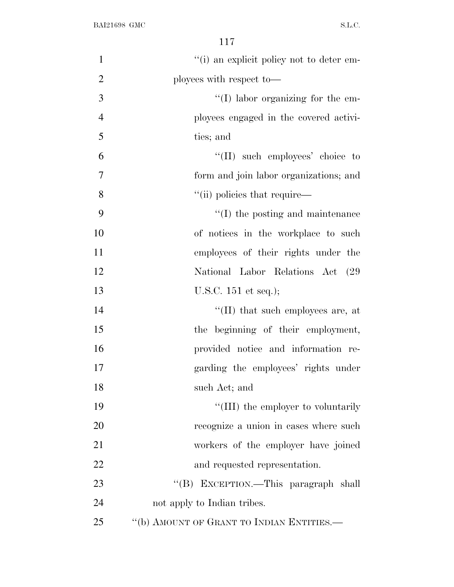| $\mathbf{1}$   | "(i) an explicit policy not to deter em-  |
|----------------|-------------------------------------------|
| $\overline{2}$ | ployees with respect to-                  |
| 3              | $\lq\lq$ (I) labor organizing for the em- |
| $\overline{4}$ | ployees engaged in the covered activi-    |
| 5              | ties; and                                 |
| 6              | "(II) such employees' choice to           |
| $\overline{7}$ | form and join labor organizations; and    |
| 8              | "(ii) policies that require—              |
| 9              | $\lq\lq$ (I) the posting and maintenance  |
| 10             | of notices in the workplace to such       |
| 11             | employees of their rights under the       |
| 12             | National Labor Relations Act (29          |
| 13             | U.S.C. $151$ et seq.);                    |
| 14             | "(II) that such employees are, at         |
| 15             | the beginning of their employment,        |
| 16             | provided notice and information re-       |
| 17             | garding the employees' rights under       |
| 18             | such Act; and                             |
| 19             | "(III) the employer to voluntarily        |
| 20             | recognize a union in cases where such     |
| 21             | workers of the employer have joined       |
| 22             | and requested representation.             |
| 23             | "(B) EXCEPTION.—This paragraph shall      |
| 24             | not apply to Indian tribes.               |
| 25             | "(b) AMOUNT OF GRANT TO INDIAN ENTITIES.- |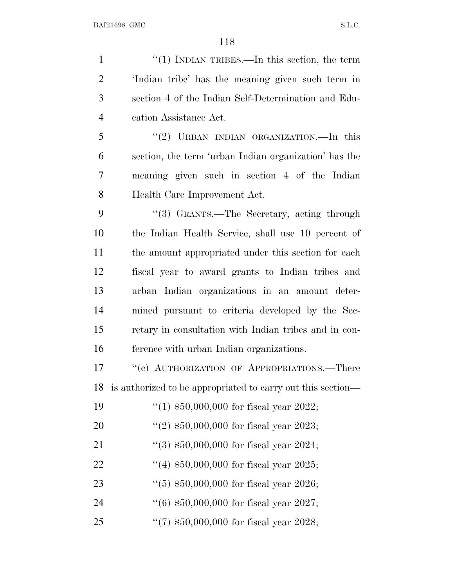1 ''(1) INDIAN TRIBES.—In this section, the term 'Indian tribe' has the meaning given such term in section 4 of the Indian Self-Determination and Edu- cation Assistance Act. ''(2) URBAN INDIAN ORGANIZATION.—In this section, the term 'urban Indian organization' has the

 meaning given such in section 4 of the Indian Health Care Improvement Act.

 ''(3) GRANTS.—The Secretary, acting through the Indian Health Service, shall use 10 percent of the amount appropriated under this section for each fiscal year to award grants to Indian tribes and urban Indian organizations in an amount deter- mined pursuant to criteria developed by the Sec- retary in consultation with Indian tribes and in con-ference with urban Indian organizations.

17 ''(c) AUTHORIZATION OF APPROPRIATIONS.—There is authorized to be appropriated to carry out this section—

| 19 | "(1) $$50,000,000$ for fiscal year 2022;    |
|----|---------------------------------------------|
| 20 | $(2)$ \$50,000,000 for fiscal year 2023;    |
| 21 | $\lq(3)$ \$50,000,000 for fiscal year 2024; |
| 22 | "(4) $$50,000,000$ for fiscal year 2025;    |
| 23 | $(5)$ \$50,000,000 for fiscal year 2026;    |
| 24 | $(6)$ \$50,000,000 for fiscal year 2027;    |
| 25 | $\lq(7)$ \$50,000,000 for fiscal year 2028; |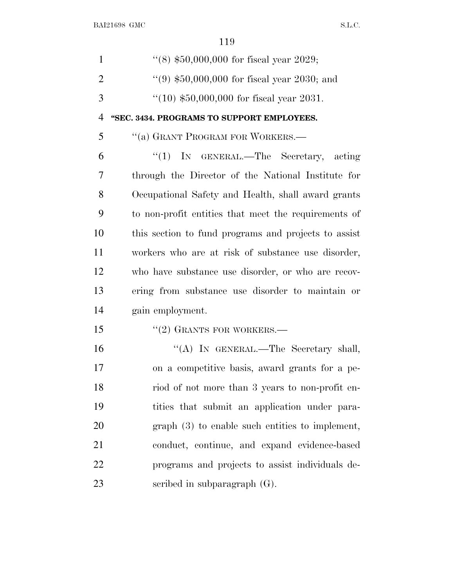| $\mathbf{1}$   | "(8) $$50,000,000$ for fiscal year 2029;             |
|----------------|------------------------------------------------------|
| $\overline{2}$ | $(9)$ \$50,000,000 for fiscal year 2030; and         |
| 3              | $(10)$ \$50,000,000 for fiscal year 2031.            |
| $\overline{4}$ | "SEC. 3434. PROGRAMS TO SUPPORT EMPLOYEES.           |
| 5              | "(a) GRANT PROGRAM FOR WORKERS.-                     |
| 6              | " $(1)$ In GENERAL.—The Secretary, acting            |
| 7              | through the Director of the National Institute for   |
| 8              | Occupational Safety and Health, shall award grants   |
| 9              | to non-profit entities that meet the requirements of |
| 10             | this section to fund programs and projects to assist |
| 11             | workers who are at risk of substance use disorder,   |
| 12             | who have substance use disorder, or who are recov-   |
| 13             | ering from substance use disorder to maintain or     |
| 14             | gain employment.                                     |
| 15             | $"(2)$ GRANTS FOR WORKERS.—                          |
| 16             | "(A) IN GENERAL.—The Secretary shall,                |
| 17             | on a competitive basis, award grants for a pe-       |
| 18             | riod of not more than 3 years to non-profit en-      |
| 19             | tities that submit an application under para-        |
| 20             | $graph(3)$ to enable such entities to implement,     |
| 21             | conduct, continue, and expand evidence-based         |
| 22             | programs and projects to assist individuals de-      |
| 23             | scribed in subparagraph $(G)$ .                      |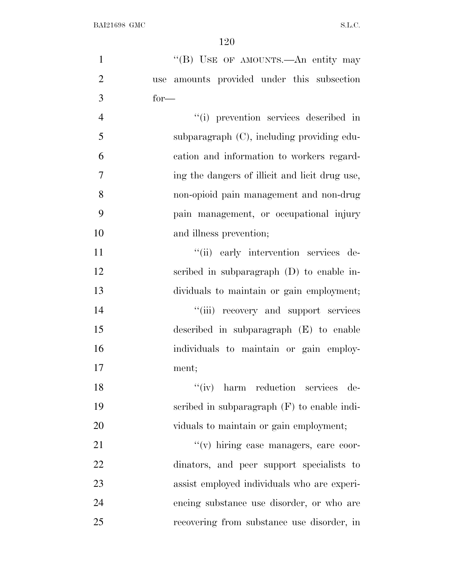| $\mathbf{1}$   | "(B) USE OF AMOUNTS.—An entity may             |
|----------------|------------------------------------------------|
| $\overline{2}$ | use amounts provided under this subsection     |
| 3              | $for-$                                         |
| $\overline{4}$ | "(i) prevention services described in          |
| 5              | subparagraph (C), including providing edu-     |
| 6              | cation and information to workers regard-      |
| 7              | ing the dangers of illicit and licit drug use, |
| 8              | non-opioid pain management and non-drug        |
| 9              | pain management, or occupational injury        |
| 10             | and illness prevention;                        |
| 11             | "(ii) early intervention services de-          |
| 12             | scribed in subparagraph (D) to enable in-      |
| 13             | dividuals to maintain or gain employment;      |
| 14             | "(iii) recovery and support services           |
| 15             | described in subparagraph $(E)$ to enable      |
| 16             | individuals to maintain or gain employ-        |
| 17             | ment;                                          |
| 18             | "(iv) harm reduction services de-              |
| 19             | scribed in subparagraph $(F)$ to enable indi-  |
| 20             | viduals to maintain or gain employment;        |
| 21             | "(v) hiring case managers, care coor-          |
| 22             | dinators, and peer support specialists to      |
| 23             | assist employed individuals who are experi-    |
| 24             | encing substance use disorder, or who are      |
| 25             | recovering from substance use disorder, in     |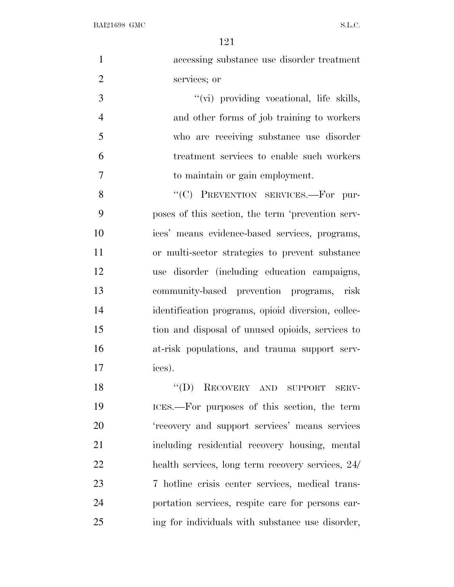| $\mathbf{1}$   | accessing substance use disorder treatment         |
|----------------|----------------------------------------------------|
| $\overline{2}$ | services; or                                       |
| 3              | "(vi) providing vocational, life skills,           |
| $\overline{4}$ | and other forms of job training to workers         |
| 5              | who are receiving substance use disorder           |
| 6              | treatment services to enable such workers          |
| 7              | to maintain or gain employment.                    |
| 8              | "(C) PREVENTION SERVICES.-For pur-                 |
| 9              | poses of this section, the term 'prevention serv-  |
| 10             | ices' means evidence-based services, programs,     |
| 11             | or multi-sector strategies to prevent substance    |
| 12             | use disorder (including education campaigns,       |
| 13             | community-based prevention programs, risk          |
| 14             | identification programs, opioid diversion, collec- |
| 15             | tion and disposal of unused opioids, services to   |
| 16             | at-risk populations, and trauma support serv-      |
| 17             | ices).                                             |
| 18             | $\lq\lq (D)$<br>RECOVERY AND SUPPORT SERV-         |
| 19             | ICES.—For purposes of this section, the term       |
| 20             | 'recovery and support services' means services     |
| 21             | including residential recovery housing, mental     |
| 22             | health services, long term recovery services, 24/  |
| 23             | 7 hotline crisis center services, medical trans-   |
| 24             | portation services, respite care for persons car-  |
| 25             | ing for individuals with substance use disorder,   |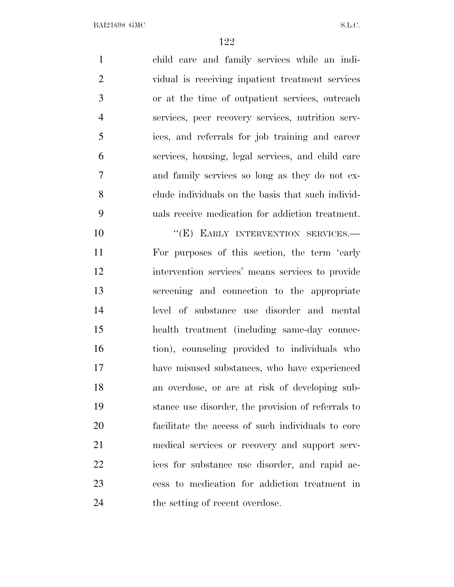child care and family services while an indi- vidual is receiving inpatient treatment services or at the time of outpatient services, outreach services, peer recovery services, nutrition serv- ices, and referrals for job training and career services, housing, legal services, and child care and family services so long as they do not ex- clude individuals on the basis that such individ- uals receive medication for addiction treatment. 10 "(E) EARLY INTERVENTION SERVICES. For purposes of this section, the term 'early intervention services' means services to provide screening and connection to the appropriate level of substance use disorder and mental health treatment (including same-day connec- tion), counseling provided to individuals who have misused substances, who have experienced an overdose, or are at risk of developing sub- stance use disorder, the provision of referrals to facilitate the access of such individuals to core medical services or recovery and support serv- ices for substance use disorder, and rapid ac- cess to medication for addiction treatment in 24 the setting of recent overdose.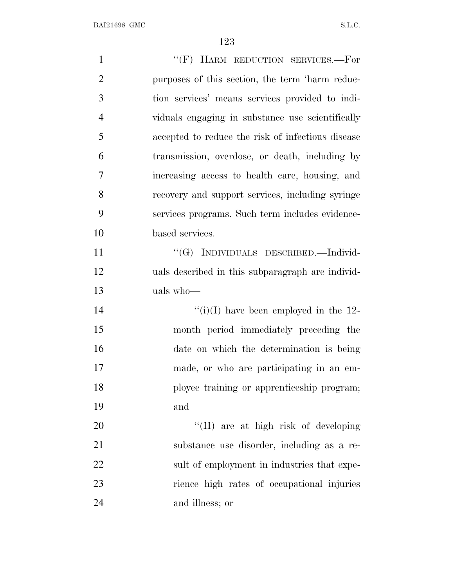| $\mathbf{1}$   | "(F) HARM REDUCTION SERVICES.-For                 |
|----------------|---------------------------------------------------|
| $\overline{2}$ | purposes of this section, the term 'harm reduc-   |
| 3              | tion services' means services provided to indi-   |
| $\overline{4}$ | viduals engaging in substance use scientifically  |
| 5              | accepted to reduce the risk of infectious disease |
| 6              | transmission, overdose, or death, including by    |
| 7              | increasing access to health care, housing, and    |
| 8              | recovery and support services, including syringe  |
| 9              | services programs. Such term includes evidence-   |
| 10             | based services.                                   |
| 11             | "(G) INDIVIDUALS DESCRIBED.—Individ-              |
| 12             | uals described in this subparagraph are individ-  |
| 13             | uals who-                                         |
| 14             | "(i)(I) have been employed in the $12$ -          |
| 15             | month period immediately preceding the            |
| 16             | date on which the determination is being          |
| 17             | made, or who are participating in an em-          |
| 18             | ployee training or apprenticeship program;        |
| 19             | and                                               |
| 20             | "(II) are at high risk of developing              |
| 21             | substance use disorder, including as a re-        |
| 22             | sult of employment in industries that expe-       |
| 23             | rience high rates of occupational injuries        |
| 24             | and illness; or                                   |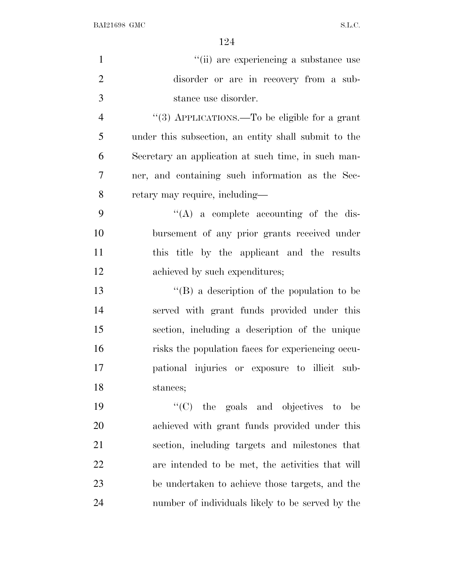| $\mathbf{1}$   | "(ii) are experiencing a substance use               |
|----------------|------------------------------------------------------|
| $\overline{2}$ | disorder or are in recovery from a sub-              |
| 3              | stance use disorder.                                 |
| $\overline{4}$ | "(3) APPLICATIONS.—To be eligible for a grant        |
| 5              | under this subsection, an entity shall submit to the |
| 6              | Secretary an application at such time, in such man-  |
| 7              | ner, and containing such information as the Sec-     |
| 8              | retary may require, including—                       |
| 9              | $\lq\lq$ a complete accounting of the dis-           |
| 10             | bursement of any prior grants received under         |
| 11             | this title by the applicant and the results          |
| 12             | achieved by such expenditures;                       |
| 13             | $\lq\lq (B)$ a description of the population to be   |
| 14             | served with grant funds provided under this          |
| 15             | section, including a description of the unique       |
| 16             | risks the population faces for experiencing occu-    |
| 17             | pational injuries or exposure to illicit sub-        |
| 18             | stances;                                             |
| 19             | "(C) the goals and objectives to be                  |
| 20             | achieved with grant funds provided under this        |
| 21             | section, including targets and milestones that       |
| 22             | are intended to be met, the activities that will     |
| 23             | be undertaken to achieve those targets, and the      |
| 24             | number of individuals likely to be served by the     |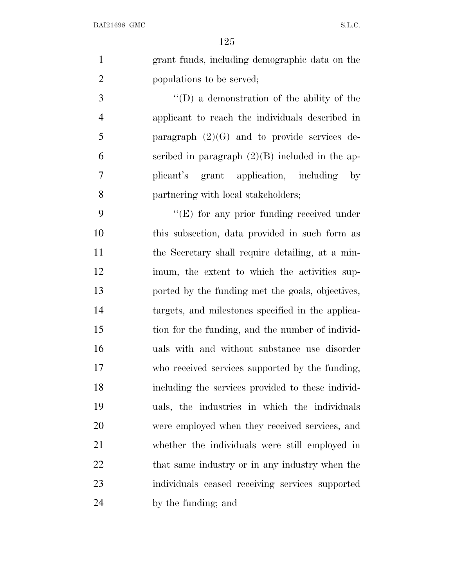grant funds, including demographic data on the populations to be served;

 ''(D) a demonstration of the ability of the applicant to reach the individuals described in paragraph (2)(G) and to provide services de- scribed in paragraph (2)(B) included in the ap- plicant's grant application, including by partnering with local stakeholders;

9 ''(E) for any prior funding received under this subsection, data provided in such form as the Secretary shall require detailing, at a min- imum, the extent to which the activities sup- ported by the funding met the goals, objectives, targets, and milestones specified in the applica- tion for the funding, and the number of individ- uals with and without substance use disorder who received services supported by the funding, including the services provided to these individ- uals, the industries in which the individuals were employed when they received services, and whether the individuals were still employed in 22 that same industry or in any industry when the individuals ceased receiving services supported by the funding; and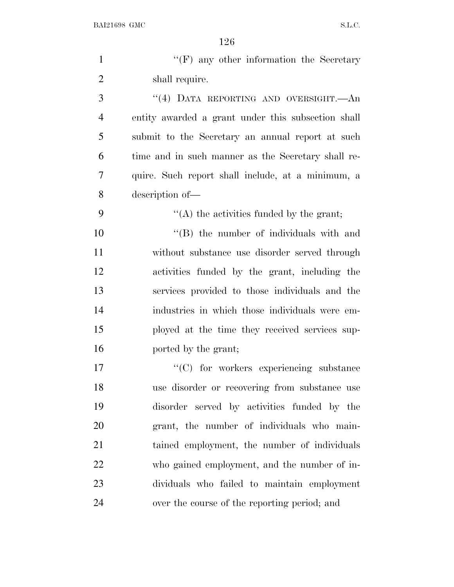| $\mathbf{1}$   | $\lq\lq(F)$ any other information the Secretary    |
|----------------|----------------------------------------------------|
| $\overline{2}$ | shall require.                                     |
| 3              | "(4) DATA REPORTING AND OVERSIGHT.—An              |
| $\overline{4}$ | entity awarded a grant under this subsection shall |
| 5              | submit to the Secretary an annual report at such   |
| 6              | time and in such manner as the Secretary shall re- |
| 7              | quire. Such report shall include, at a minimum, a  |
| 8              | description of-                                    |
| 9              | $\lq\lq$ the activities funded by the grant;       |
| 10             | "(B) the number of individuals with and            |
| 11             | without substance use disorder served through      |
| 12             | activities funded by the grant, including the      |
| 13             | services provided to those individuals and the     |
| 14             | industries in which those individuals were em-     |
| 15             | ployed at the time they received services sup-     |
| 16             | ported by the grant;                               |
| 17             | $\lq\lq$ (C) for workers experiencing substance    |
| 18             | use disorder or recovering from substance use      |
| 19             | disorder served by activities funded by the        |
| 20             | grant, the number of individuals who main-         |
| 21             | tained employment, the number of individuals       |
| 22             | who gained employment, and the number of in-       |
| 23             | dividuals who failed to maintain employment        |
| 24             | over the course of the reporting period; and       |
|                |                                                    |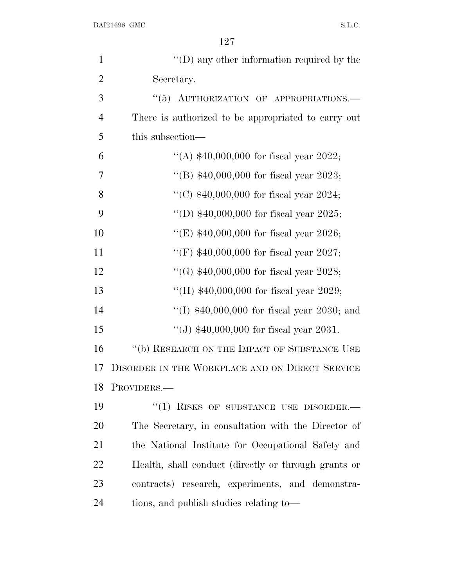| $\mathbf{1}$   | $\lq\lq$ (D) any other information required by the   |
|----------------|------------------------------------------------------|
| $\overline{2}$ | Secretary.                                           |
| 3              | "(5) AUTHORIZATION OF APPROPRIATIONS.-               |
| $\overline{4}$ | There is authorized to be appropriated to carry out  |
| 5              | this subsection—                                     |
| 6              | "(A) $$40,000,000$ for fiscal year 2022;             |
| 7              | "(B) $$40,000,000$ for fiscal year 2023;             |
| 8              | "(C) $$40,000,000$ for fiscal year 2024;             |
| 9              | "(D) $$40,000,000$ for fiscal year 2025;             |
| 10             | "(E) $$40,000,000$ for fiscal year 2026;             |
| 11             | "(F) $$40,000,000$ for fiscal year 2027;             |
| 12             | "(G) $$40,000,000$ for fiscal year 2028;             |
| 13             | "(H) $$40,000,000$ for fiscal year 2029;             |
| 14             | "(I) $$40,000,000$ for fiscal year 2030; and         |
| 15             | "(J) $$40,000,000$ for fiscal year 2031.             |
| 16             | "(b) RESEARCH ON THE IMPACT OF SUBSTANCE USE         |
| 17             | DISORDER IN THE WORKPLACE AND ON DIRECT SERVICE      |
| 18             | PROVIDERS.                                           |
| 19             | $``(1)$ RISKS OF SUBSTANCE USE DISORDER.-            |
| 20             | The Secretary, in consultation with the Director of  |
| 21             | the National Institute for Occupational Safety and   |
| 22             | Health, shall conduct (directly or through grants or |
| 23             | contracts) research, experiments, and demonstra-     |
| 24             | tions, and publish studies relating to—              |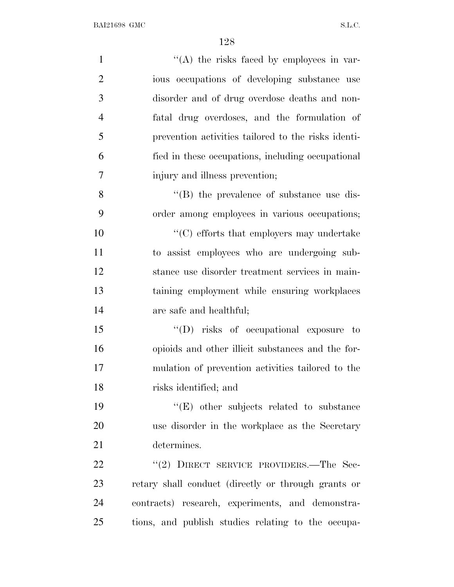| $\mathbf{1}$   | "(A) the risks faced by employees in var-           |
|----------------|-----------------------------------------------------|
| $\overline{2}$ | ious occupations of developing substance use        |
| 3              | disorder and of drug overdose deaths and non-       |
| $\overline{4}$ | fatal drug overdoses, and the formulation of        |
| 5              | prevention activities tailored to the risks identi- |
| 6              | fied in these occupations, including occupational   |
| $\overline{7}$ | injury and illness prevention;                      |
| 8              | $\lq\lq$ the prevalence of substance use dis-       |
| 9              | order among employees in various occupations;       |
| 10             | $\lq\lq$ efforts that employers may undertake       |
| 11             | to assist employees who are undergoing sub-         |
| 12             | stance use disorder treatment services in main-     |
| 13             | taining employment while ensuring workplaces        |
| 14             | are safe and healthful;                             |
| 15             | $\lq\lq$ (D) risks of occupational exposure to      |
| 16             | opioids and other illicit substances and the for-   |
| 17             | mulation of prevention activities tailored to the   |
| 18             | risks identified; and                               |
| 19             | $\lq\lq(E)$ other subjects related to substance     |
| 20             | use disorder in the workplace as the Secretary      |
| 21             | determines.                                         |
| 22             | "(2) DIRECT SERVICE PROVIDERS.—The Sec-             |
| 23             | retary shall conduct (directly or through grants or |
| 24             | contracts) research, experiments, and demonstra-    |
| 25             | tions, and publish studies relating to the occupa-  |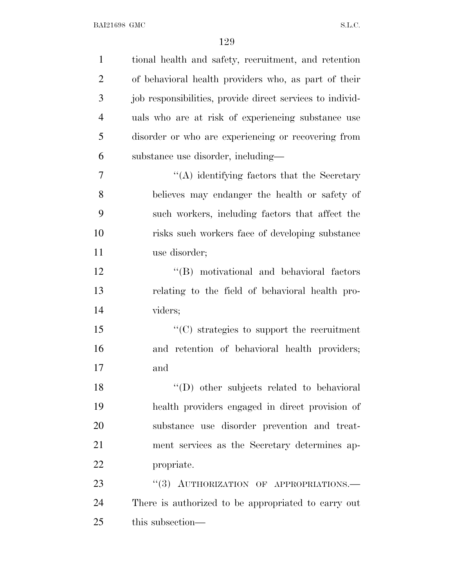| $\mathbf{1}$   | tional health and safety, recruitment, and retention      |
|----------------|-----------------------------------------------------------|
| $\overline{2}$ | of behavioral health providers who, as part of their      |
| 3              | job responsibilities, provide direct services to individ- |
| $\overline{4}$ | uals who are at risk of experiencing substance use        |
| 5              | disorder or who are experiencing or recovering from       |
| 6              | substance use disorder, including-                        |
| 7              | "(A) identifying factors that the Secretary               |
| 8              | believes may endanger the health or safety of             |
| 9              | such workers, including factors that affect the           |
| 10             | risks such workers face of developing substance           |
| 11             | use disorder;                                             |
| 12             | "(B) motivational and behavioral factors                  |
| 13             | relating to the field of behavioral health pro-           |
| 14             | viders;                                                   |
| 15             | $\cdot$ (C) strategies to support the recruitment         |
| 16             | and retention of behavioral health providers;             |
| 17             | and                                                       |
| 18             | "(D) other subjects related to behavioral                 |
| 19             | health providers engaged in direct provision of           |
| 20             | substance use disorder prevention and treat-              |
| 21             | ment services as the Secretary determines ap-             |
| 22             | propriate.                                                |
| 23             | "(3) AUTHORIZATION OF APPROPRIATIONS.-                    |
| 24             | There is authorized to be appropriated to carry out       |
| 25             | this subsection—                                          |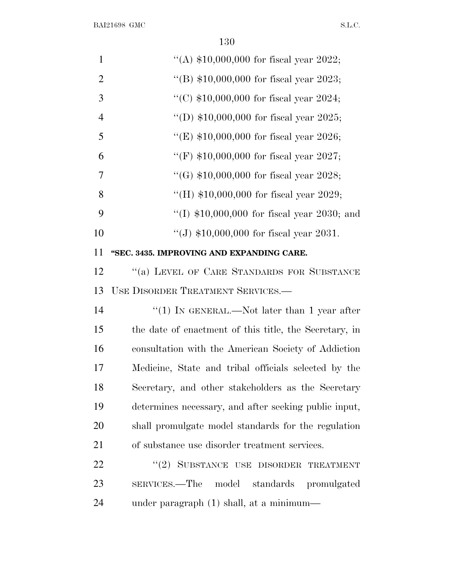| $\mathbf{1}$   | "(A) $$10,000,000$ for fiscal year 2022;               |
|----------------|--------------------------------------------------------|
| $\overline{2}$ | "(B) $$10,000,000$ for fiscal year 2023;               |
| 3              | "(C) $$10,000,000$ for fiscal year 2024;               |
| $\overline{4}$ | "(D) $$10,000,000$ for fiscal year 2025;               |
| 5              | "(E) $$10,000,000$ for fiscal year 2026;               |
| 6              | "(F) $$10,000,000$ for fiscal year 2027;               |
| $\tau$         | "(G) $$10,000,000$ for fiscal year 2028;               |
| 8              | "(H) $$10,000,000$ for fiscal year 2029;               |
| 9              | "(I) $$10,000,000$ for fiscal year 2030; and           |
| 10             | "(J) $$10,000,000$ for fiscal year 2031.               |
| 11             | "SEC. 3435. IMPROVING AND EXPANDING CARE.              |
| 12             | "(a) LEVEL OF CARE STANDARDS FOR SUBSTANCE             |
| 13             | USE DISORDER TREATMENT SERVICES.—                      |
| 14             | "(1) IN GENERAL.—Not later than 1 year after           |
| 15             | the date of enactment of this title, the Secretary, in |
| 16             | consultation with the American Society of Addiction    |
| 17             | Medicine, State and tribal officials selected by the   |
| 18             | Secretary, and other stakeholders as the Secretary     |
| 19             | determines necessary, and after seeking public input,  |
| 20             | shall promulgate model standards for the regulation    |
| 21             | of substance use disorder treatment services.          |
| 22             | "(2) SUBSTANCE USE DISORDER TREATMENT                  |
| 23             | model standards promulgated<br>SERVICES.—The           |
| 24             | under paragraph (1) shall, at a minimum—               |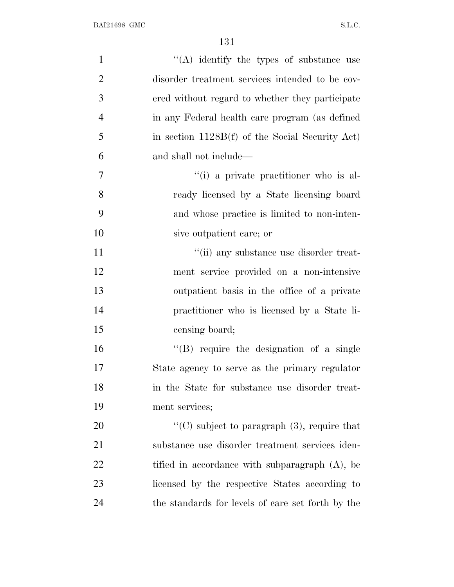| $\mathbf{1}$   | $\lq\lq$ identify the types of substance use      |
|----------------|---------------------------------------------------|
| $\overline{2}$ | disorder treatment services intended to be cov-   |
| 3              | ered without regard to whether they participate   |
| $\overline{4}$ | in any Federal health care program (as defined    |
| 5              | in section 1128B(f) of the Social Security Act)   |
| 6              | and shall not include—                            |
| 7              | "(i) a private practitioner who is al-            |
| 8              | ready licensed by a State licensing board         |
| 9              | and whose practice is limited to non-inten-       |
| 10             | sive outpatient care; or                          |
| 11             | "(ii) any substance use disorder treat-           |
| 12             | ment service provided on a non-intensive          |
| 13             | outpatient basis in the office of a private       |
| 14             | practitioner who is licensed by a State li-       |
| 15             | censing board;                                    |
| 16             | $\lq\lq (B)$ require the designation of a single  |
| 17             | State agency to serve as the primary regulator    |
| 18             | in the State for substance use disorder treat-    |
| 19             | ment services;                                    |
| 20             | "(C) subject to paragraph $(3)$ , require that    |
| 21             | substance use disorder treatment services iden-   |
| 22             | tified in accordance with subparagraph $(A)$ , be |
| 23             | licensed by the respective States according to    |
| 24             | the standards for levels of care set forth by the |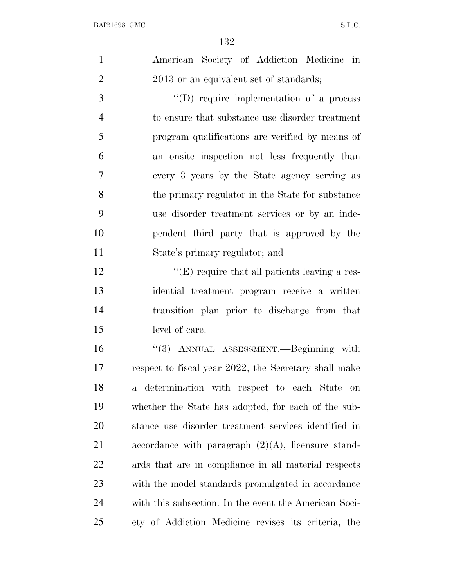| $\mathbf{1}$   | American Society of Addiction Medicine in             |
|----------------|-------------------------------------------------------|
| $\overline{2}$ | 2013 or an equivalent set of standards;               |
| 3              | $\lq\lq$ require implementation of a process          |
| $\overline{4}$ | to ensure that substance use disorder treatment       |
| 5              | program qualifications are verified by means of       |
| 6              | an onsite inspection not less frequently than         |
| 7              | every 3 years by the State agency serving as          |
| 8              | the primary regulator in the State for substance      |
| 9              | use disorder treatment services or by an inde-        |
| 10             | pendent third party that is approved by the           |
| 11             | State's primary regulator; and                        |
| 12             | $\lq\lq$ (E) require that all patients leaving a res- |
| 13             | idential treatment program receive a written          |
| 14             | transition plan prior to discharge from that          |
| 15             | level of care.                                        |
| 16             | "(3) ANNUAL ASSESSMENT.—Beginning with                |
| 17             | respect to fiscal year 2022, the Secretary shall make |
| 18             | determination with respect to each State on<br>a -    |
| 19             | whether the State has adopted, for each of the sub-   |
| 20             | stance use disorder treatment services identified in  |
| 21             | accordance with paragraph $(2)(A)$ , licensure stand- |
| 22             | ards that are in compliance in all material respects  |
| 23             | with the model standards promulgated in accordance    |
| 24             | with this subsection. In the event the American Soci- |
| 25             | ety of Addiction Medicine revises its criteria, the   |
|                |                                                       |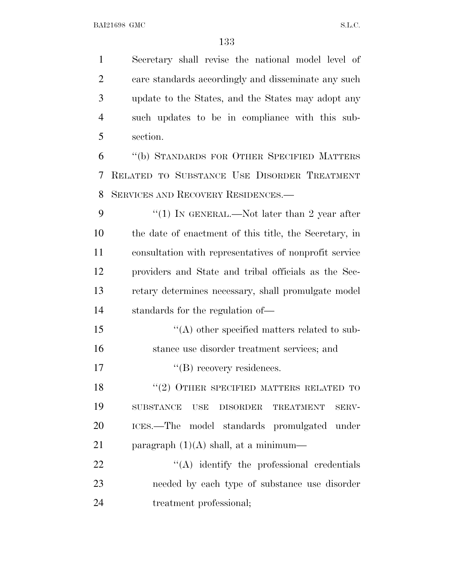| $\mathbf{1}$   | Secretary shall revise the national model level of                      |
|----------------|-------------------------------------------------------------------------|
| $\overline{2}$ | care standards accordingly and disseminate any such                     |
| 3              | update to the States, and the States may adopt any                      |
| $\overline{4}$ | such updates to be in compliance with this sub-                         |
| 5              | section.                                                                |
| 6              | "(b) STANDARDS FOR OTHER SPECIFIED MATTERS                              |
| 7              | RELATED TO SUBSTANCE USE DISORDER TREATMENT                             |
| 8              | SERVICES AND RECOVERY RESIDENCES.-                                      |
| 9              | "(1) IN GENERAL.—Not later than 2 year after                            |
| 10             | the date of enactment of this title, the Secretary, in                  |
| 11             | consultation with representatives of nonprofit service                  |
| 12             | providers and State and tribal officials as the Sec-                    |
| 13             | retary determines necessary, shall promulgate model                     |
| 14             | standards for the regulation of—                                        |
| 15             | "(A) other specified matters related to sub-                            |
| 16             | stance use disorder treatment services; and                             |
| 17             | "(B) recovery residences.                                               |
| 18             | $``(2)$ OTHER SPECIFIED MATTERS RELATED TO                              |
| 19             | <b>SUBSTANCE</b><br>DISORDER<br><b>TREATMENT</b><br><b>USE</b><br>SERV- |
| 20             | ICES.—The model standards promulgated under                             |
| 21             | paragraph $(1)(A)$ shall, at a minimum—                                 |
| 22             | $\lq\lq$ identify the professional credentials                          |
| 23             | needed by each type of substance use disorder                           |
| 24             | treatment professional;                                                 |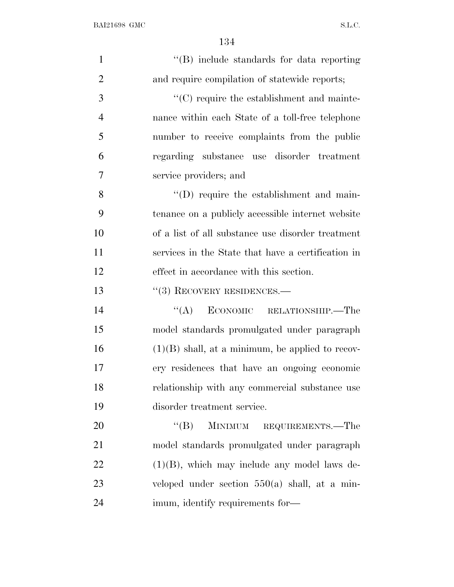| $\mathbf{1}$   | "(B) include standards for data reporting          |
|----------------|----------------------------------------------------|
| $\overline{2}$ | and require compilation of statewide reports;      |
| 3              | $\lq\lq$ require the establishment and mainte-     |
| $\overline{4}$ | nance within each State of a toll-free telephone   |
| 5              | number to receive complaints from the public       |
| 6              | regarding substance use disorder treatment         |
| $\tau$         | service providers; and                             |
| $8\,$          | $\lq\lq$ require the establishment and main-       |
| 9              | tenance on a publicly accessible internet website  |
| 10             | of a list of all substance use disorder treatment  |
| 11             | services in the State that have a certification in |
| 12             | effect in accordance with this section.            |
| 13             | $(3)$ RECOVERY RESIDENCES.—                        |
| 14             | ECONOMIC RELATIONSHIP.—The<br>``(A)                |
| 15             | model standards promulgated under paragraph        |
| 16             | $(1)(B)$ shall, at a minimum, be applied to recov- |
| 17             | ery residences that have an ongoing economic       |
| 18             | relationship with any commercial substance use     |
| 19             | disorder treatment service.                        |
| 20             | $\lq\lq (B)$<br>MINIMUM REQUIREMENTS.—The          |
| 21             | model standards promulgated under paragraph        |
| 22             | $(1)(B)$ , which may include any model laws de-    |
| 23             | veloped under section $550(a)$ shall, at a min-    |
| 24             | imum, identify requirements for-                   |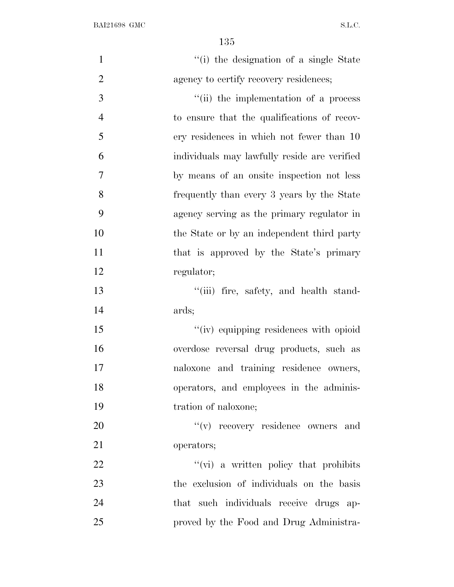| $\mathbf{1}$   | "(i) the designation of a single State        |
|----------------|-----------------------------------------------|
| $\overline{2}$ | agency to certify recovery residences;        |
| 3              | "(ii) the implementation of a process         |
| $\overline{4}$ | to ensure that the qualifications of recov-   |
| 5              | ery residences in which not fewer than 10     |
| 6              | individuals may lawfully reside are verified  |
| 7              | by means of an onsite inspection not less     |
| 8              | frequently than every 3 years by the State    |
| 9              | agency serving as the primary regulator in    |
| 10             | the State or by an independent third party    |
| 11             | that is approved by the State's primary       |
| 12             | regulator;                                    |
| 13             | "(iii) fire, safety, and health stand-        |
| 14             | ards;                                         |
| 15             | "(iv) equipping residences with opioid        |
| 16             | overdose reversal drug products, such as      |
| 17             | naloxone and training residence owners,       |
| 18             | operators, and employees in the adminis-      |
| 19             | tration of naloxone;                          |
| 20             | "(v) recovery residence owners and            |
| 21             | operators;                                    |
| 22             | $\lq\lq$ (vi) a written policy that prohibits |
| 23             | the exclusion of individuals on the basis     |
| 24             | that such individuals receive drugs ap-       |
| 25             | proved by the Food and Drug Administra-       |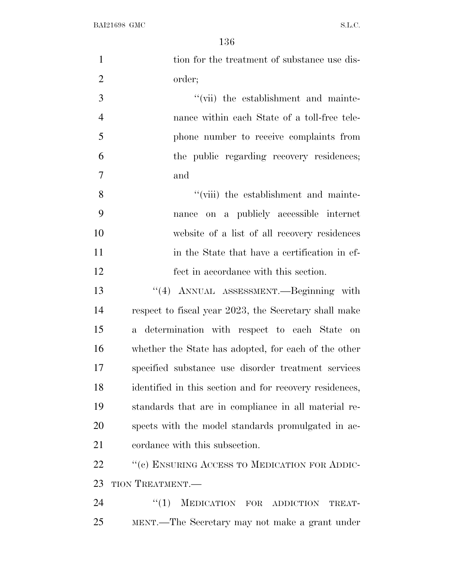| $\mathbf{1}$   | tion for the treatment of substance use dis-            |
|----------------|---------------------------------------------------------|
| $\overline{2}$ | order;                                                  |
| $\mathfrak{Z}$ | "(vii) the establishment and mainte-                    |
| $\overline{4}$ | nance within each State of a toll-free tele-            |
| 5              | phone number to receive complaints from                 |
| 6              | the public regarding recovery residences;               |
| 7              | and                                                     |
| 8              | "(viii) the establishment and mainte-                   |
| 9              | on a publicly accessible internet<br>nance              |
| 10             | website of a list of all recovery residences            |
| 11             | in the State that have a certification in ef-           |
| 12             | fect in accordance with this section.                   |
| 13             | "(4) ANNUAL ASSESSMENT.—Beginning with                  |
| 14             | respect to fiscal year 2023, the Secretary shall make   |
| 15             | a determination with respect to each State on           |
| 16             | whether the State has adopted, for each of the other    |
| 17             | specified substance use disorder treatment services     |
| 18             | identified in this section and for recovery residences, |
| 19             | standards that are in compliance in all material re-    |
| 20             | spects with the model standards promulgated in ac-      |
| 21             | cordance with this subsection.                          |
| 22             | "(c) ENSURING ACCESS TO MEDICATION FOR ADDIC-           |
| 23             | TION TREATMENT.                                         |
| 24             | MEDICATION FOR ADDICTION<br>``(1)<br>TREAT-             |
| 25             | MENT.—The Secretary may not make a grant under          |
|                |                                                         |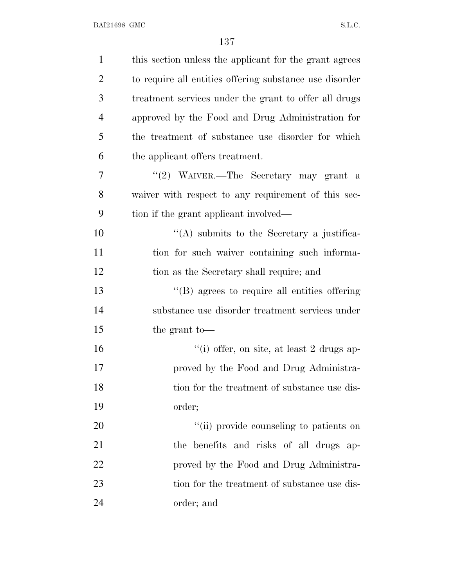| $\mathbf{1}$   | this section unless the applicant for the grant agrees  |
|----------------|---------------------------------------------------------|
| $\overline{2}$ | to require all entities offering substance use disorder |
| 3              | treatment services under the grant to offer all drugs   |
| $\overline{4}$ | approved by the Food and Drug Administration for        |
| 5              | the treatment of substance use disorder for which       |
| 6              | the applicant offers treatment.                         |
| 7              | "(2) WAIVER.—The Secretary may grant a                  |
| 8              | waiver with respect to any requirement of this sec-     |
| 9              | tion if the grant applicant involved—                   |
| 10             | $\lq\lq$ submits to the Secretary a justifica-          |
| 11             | tion for such waiver containing such informa-           |
| 12             | tion as the Secretary shall require; and                |
| 13             | "(B) agrees to require all entities offering            |
| 14             | substance use disorder treatment services under         |
| 15             | the grant to-                                           |
| 16             | "(i) offer, on site, at least 2 drugs ap-               |
| 17             | proved by the Food and Drug Administra-                 |
| 18             | tion for the treatment of substance use dis-            |
| 19             | order;                                                  |
| 20             | "(ii) provide counseling to patients on                 |
| 21             | the benefits and risks of all drugs ap-                 |
| 22             | proved by the Food and Drug Administra-                 |
| 23             | tion for the treatment of substance use dis-            |
| 24             | order; and                                              |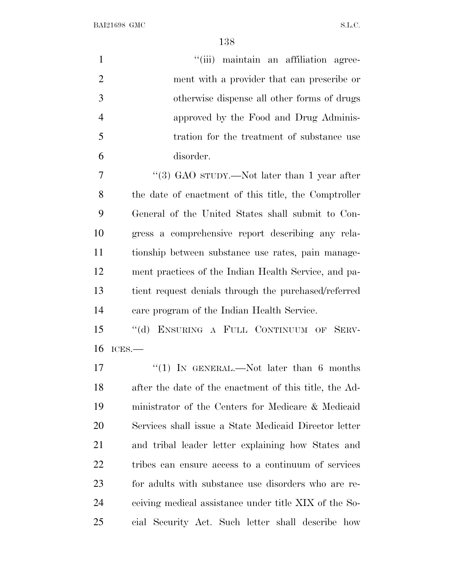| $\mathbf{1}$   | "(iii) maintain an affiliation agree-                  |
|----------------|--------------------------------------------------------|
| $\overline{2}$ | ment with a provider that can prescribe or             |
| 3              | otherwise dispense all other forms of drugs            |
| $\overline{4}$ | approved by the Food and Drug Adminis-                 |
| 5              | tration for the treatment of substance use             |
| 6              | disorder.                                              |
| 7              | "(3) GAO sTUDY.—Not later than 1 year after            |
| 8              | the date of enactment of this title, the Comptroller   |
| 9              | General of the United States shall submit to Con-      |
| 10             | gress a comprehensive report describing any rela-      |
| 11             | tionship between substance use rates, pain manage-     |
| 12             | ment practices of the Indian Health Service, and pa-   |
| 13             | tient request denials through the purchased/referred   |
| 14             | care program of the Indian Health Service.             |
| 15             | "(d) ENSURING A FULL CONTINUUM OF SERV-                |
| 16             | $ICES$ .                                               |
| 17             | "(1) IN GENERAL.—Not later than $6$ months             |
| 18             | after the date of the enactment of this title, the Ad- |
| 19             | ministrator of the Centers for Medicare & Medicaid     |
| 20             | Services shall issue a State Medicaid Director letter  |
| 21             | and tribal leader letter explaining how States and     |
| <u>22</u>      | tribes can ensure access to a continuum of services    |
| 23             | for adults with substance use disorders who are re-    |
| 24             | ceiving medical assistance under title XIX of the So-  |
| 25             | cial Security Act. Such letter shall describe how      |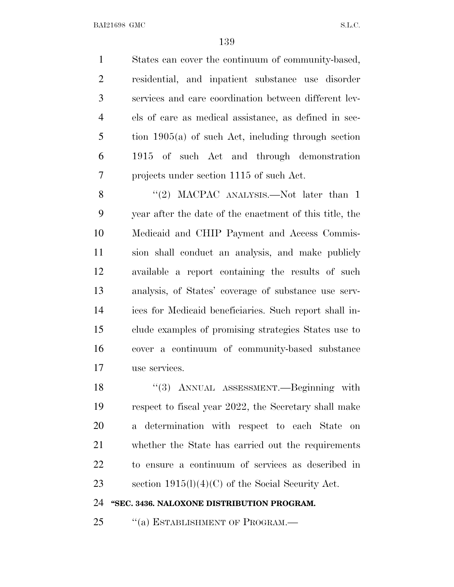States can cover the continuum of community-based, residential, and inpatient substance use disorder services and care coordination between different lev- els of care as medical assistance, as defined in sec- tion 1905(a) of such Act, including through section 1915 of such Act and through demonstration projects under section 1115 of such Act.

8 "(2) MACPAC ANALYSIS.—Not later than 1 year after the date of the enactment of this title, the Medicaid and CHIP Payment and Access Commis- sion shall conduct an analysis, and make publicly available a report containing the results of such analysis, of States' coverage of substance use serv- ices for Medicaid beneficiaries. Such report shall in- clude examples of promising strategies States use to cover a continuum of community-based substance use services.

18 "(3) ANNUAL ASSESSMENT.—Beginning with respect to fiscal year 2022, the Secretary shall make a determination with respect to each State on whether the State has carried out the requirements to ensure a continuum of services as described in section 1915(l)(4)(C) of the Social Security Act.

## **''SEC. 3436. NALOXONE DISTRIBUTION PROGRAM.**

25 "(a) ESTABLISHMENT OF PROGRAM.—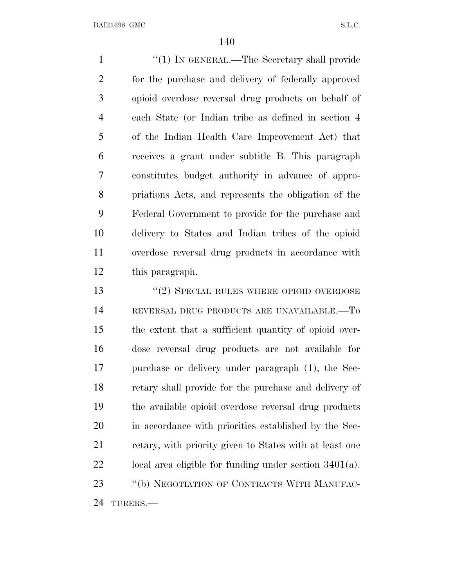1 ''(1) IN GENERAL.—The Secretary shall provide for the purchase and delivery of federally approved opioid overdose reversal drug products on behalf of each State (or Indian tribe as defined in section 4 of the Indian Health Care Improvement Act) that receives a grant under subtitle B. This paragraph constitutes budget authority in advance of appro- priations Acts, and represents the obligation of the Federal Government to provide for the purchase and delivery to States and Indian tribes of the opioid overdose reversal drug products in accordance with this paragraph.

13 "(2) SPECIAL RULES WHERE OPIOID OVERDOSE REVERSAL DRUG PRODUCTS ARE UNAVAILABLE.—To the extent that a sufficient quantity of opioid over- dose reversal drug products are not available for purchase or delivery under paragraph (1), the Sec- retary shall provide for the purchase and delivery of the available opioid overdose reversal drug products in accordance with priorities established by the Sec-21 retary, with priority given to States with at least one local area eligible for funding under section 3401(a). 23 "(b) NEGOTIATION OF CONTRACTS WITH MANUFAC-TURERS.—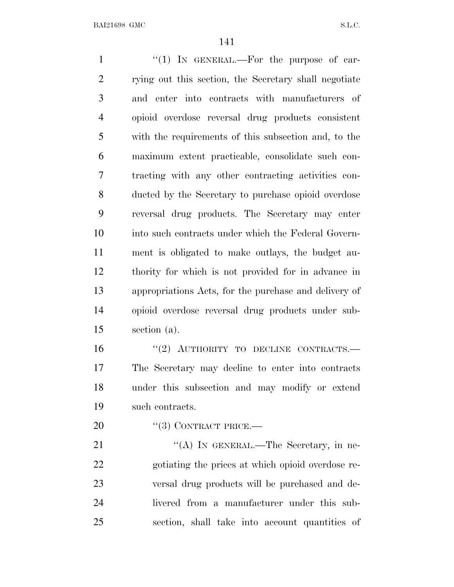1 "(1) IN GENERAL.—For the purpose of car- rying out this section, the Secretary shall negotiate and enter into contracts with manufacturers of opioid overdose reversal drug products consistent with the requirements of this subsection and, to the maximum extent practicable, consolidate such con- tracting with any other contracting activities con- ducted by the Secretary to purchase opioid overdose reversal drug products. The Secretary may enter into such contracts under which the Federal Govern- ment is obligated to make outlays, the budget au- thority for which is not provided for in advance in appropriations Acts, for the purchase and delivery of opioid overdose reversal drug products under sub- section (a). 16 "(2) AUTHORITY TO DECLINE CONTRACTS.— The Secretary may decline to enter into contracts under this subsection and may modify or extend such contracts. 20 "(3) CONTRACT PRICE.— 21 ""(A) IN GENERAL.—The Secretary, in ne-

 gotiating the prices at which opioid overdose re- versal drug products will be purchased and de- livered from a manufacturer under this sub-section, shall take into account quantities of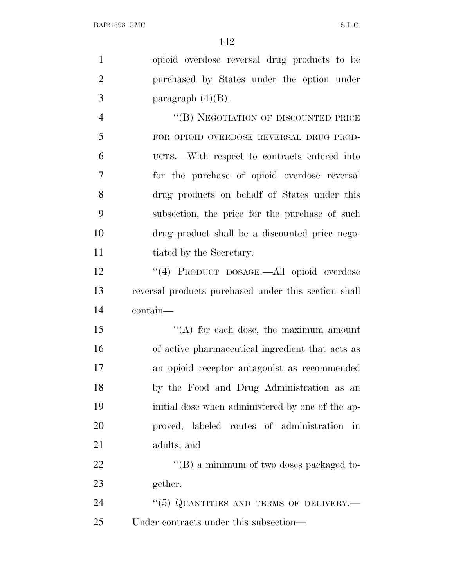| $\mathbf{1}$   | opioid overdose reversal drug products to be         |
|----------------|------------------------------------------------------|
| $\overline{2}$ | purchased by States under the option under           |
| 3              | paragraph $(4)(B)$ .                                 |
| $\overline{4}$ | "(B) NEGOTIATION OF DISCOUNTED PRICE                 |
| 5              | FOR OPIOID OVERDOSE REVERSAL DRUG PROD-              |
| 6              | UCTS.—With respect to contracts entered into         |
| 7              | for the purchase of opioid overdose reversal         |
| 8              | drug products on behalf of States under this         |
| 9              | subsection, the price for the purchase of such       |
| 10             | drug product shall be a discounted price nego-       |
| 11             | tiated by the Secretary.                             |
| 12             | "(4) PRODUCT DOSAGE.-All opioid overdose             |
| 13             | reversal products purchased under this section shall |
| 14             | contain-                                             |
| 15             | $\lq\lq$ for each dose, the maximum amount           |
| 16             | of active pharmaceutical ingredient that acts as     |
| 17             | an opioid receptor antagonist as recommended         |
| 18             | by the Food and Drug Administration as an            |
| 19             | initial dose when administered by one of the ap-     |
| 20             | proved, labeled routes of administration<br>in       |
| 21             | adults; and                                          |
| 22             | "(B) a minimum of two doses packaged to-             |
| 23             | gether.                                              |
| 24             | $``(5)$ QUANTITIES AND TERMS OF DELIVERY.—           |
| 25             | Under contracts under this subsection—               |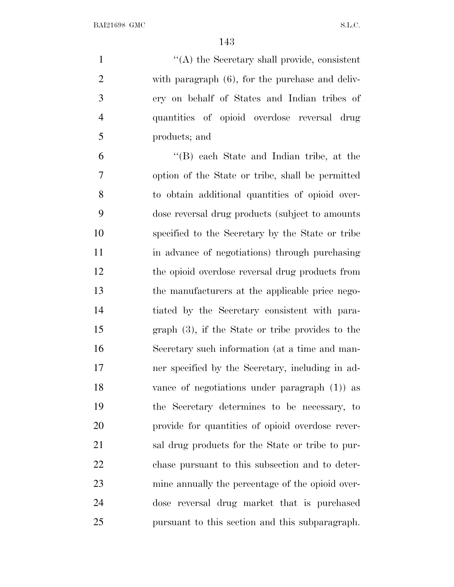$\langle (A) \rangle$  the Secretary shall provide, consistent with paragraph (6), for the purchase and deliv- ery on behalf of States and Indian tribes of quantities of opioid overdose reversal drug products; and

 ''(B) each State and Indian tribe, at the option of the State or tribe, shall be permitted to obtain additional quantities of opioid over- dose reversal drug products (subject to amounts specified to the Secretary by the State or tribe in advance of negotiations) through purchasing the opioid overdose reversal drug products from the manufacturers at the applicable price nego- tiated by the Secretary consistent with para- graph (3), if the State or tribe provides to the Secretary such information (at a time and man- ner specified by the Secretary, including in ad- vance of negotiations under paragraph (1)) as the Secretary determines to be necessary, to provide for quantities of opioid overdose rever- sal drug products for the State or tribe to pur- chase pursuant to this subsection and to deter- mine annually the percentage of the opioid over- dose reversal drug market that is purchased pursuant to this section and this subparagraph.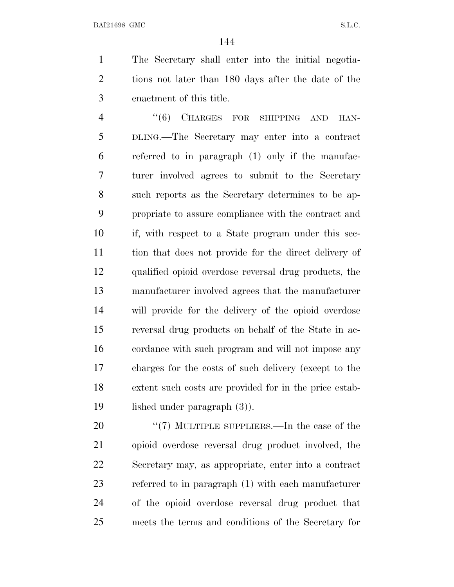The Secretary shall enter into the initial negotia- tions not later than 180 days after the date of the enactment of this title.

4 "(6) CHARGES FOR SHIPPING AND HAN- DLING.—The Secretary may enter into a contract referred to in paragraph (1) only if the manufac- turer involved agrees to submit to the Secretary such reports as the Secretary determines to be ap- propriate to assure compliance with the contract and if, with respect to a State program under this sec- tion that does not provide for the direct delivery of qualified opioid overdose reversal drug products, the manufacturer involved agrees that the manufacturer will provide for the delivery of the opioid overdose reversal drug products on behalf of the State in ac- cordance with such program and will not impose any charges for the costs of such delivery (except to the extent such costs are provided for in the price estab-lished under paragraph (3)).

20 "(7) MULTIPLE SUPPLIERS.—In the case of the opioid overdose reversal drug product involved, the Secretary may, as appropriate, enter into a contract referred to in paragraph (1) with each manufacturer of the opioid overdose reversal drug product that meets the terms and conditions of the Secretary for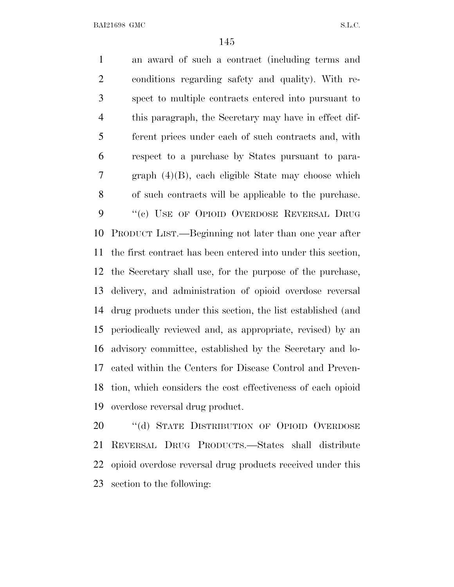an award of such a contract (including terms and conditions regarding safety and quality). With re- spect to multiple contracts entered into pursuant to this paragraph, the Secretary may have in effect dif- ferent prices under each of such contracts and, with respect to a purchase by States pursuant to para- graph (4)(B), each eligible State may choose which of such contracts will be applicable to the purchase. 9 "(c) USE OF OPIOID OVERDOSE REVERSAL DRUG PRODUCT LIST.—Beginning not later than one year after the first contract has been entered into under this section, the Secretary shall use, for the purpose of the purchase, delivery, and administration of opioid overdose reversal drug products under this section, the list established (and periodically reviewed and, as appropriate, revised) by an advisory committee, established by the Secretary and lo- cated within the Centers for Disease Control and Preven- tion, which considers the cost effectiveness of each opioid overdose reversal drug product.

20 "(d) STATE DISTRIBUTION OF OPIOID OVERDOSE REVERSAL DRUG PRODUCTS.—States shall distribute opioid overdose reversal drug products received under this section to the following: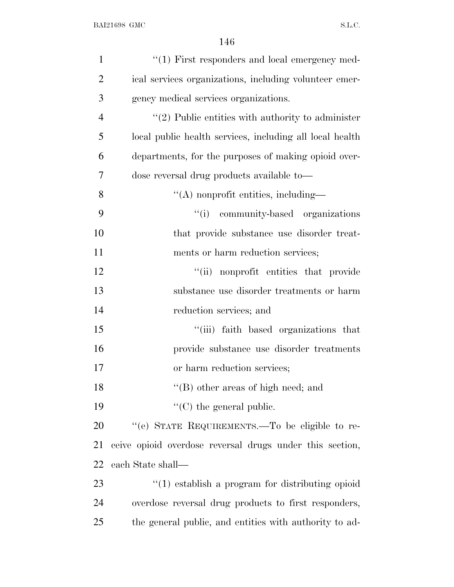| $\mathbf{1}$   | $"(1)$ First responders and local emergency med-         |
|----------------|----------------------------------------------------------|
| $\overline{2}$ | ical services organizations, including volunteer emer-   |
| 3              | gency medical services organizations.                    |
| $\overline{4}$ | $\lq(2)$ Public entities with authority to administer    |
| 5              | local public health services, including all local health |
| 6              | departments, for the purposes of making opioid over-     |
| 7              | dose reversal drug products available to—                |
| 8              | $\lq\lq$ nonprofit entities, including—                  |
| 9              | "(i) community-based organizations                       |
| 10             | that provide substance use disorder treat-               |
| 11             | ments or harm reduction services;                        |
| 12             | ``(ii)<br>nonprofit entities that provide                |
| 13             | substance use disorder treatments or harm                |
| 14             | reduction services; and                                  |
| 15             | "(iii) faith based organizations that                    |
| 16             | provide substance use disorder treatments                |
| 17             | or harm reduction services;                              |
| 18             | $\lq\lq$ other areas of high need; and                   |
| 19             | $\lq\lq$ (C) the general public.                         |
| 20             | "(e) STATE REQUIREMENTS.—To be eligible to re-           |
| 21             | ceive opioid overdose reversal drugs under this section, |
| 22             | each State shall—                                        |
| 23             | $\cdot$ (1) establish a program for distributing opioid  |
| 24             | overdose reversal drug products to first responders,     |
| 25             | the general public, and entities with authority to ad-   |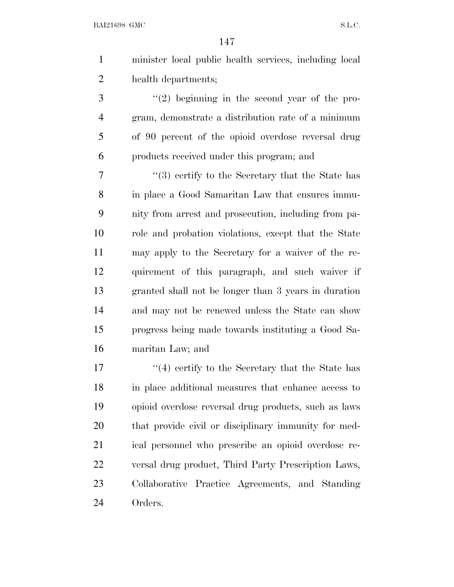minister local public health services, including local health departments;

 ''(2) beginning in the second year of the pro- gram, demonstrate a distribution rate of a minimum of 90 percent of the opioid overdose reversal drug products received under this program; and

 ''(3) certify to the Secretary that the State has in place a Good Samaritan Law that ensures immu- nity from arrest and prosecution, including from pa- role and probation violations, except that the State may apply to the Secretary for a waiver of the re- quirement of this paragraph, and such waiver if granted shall not be longer than 3 years in duration and may not be renewed unless the State can show progress being made towards instituting a Good Sa-maritan Law; and

17 ''(4) certify to the Secretary that the State has in place additional measures that enhance access to opioid overdose reversal drug products, such as laws that provide civil or disciplinary immunity for med- ical personnel who prescribe an opioid overdose re- versal drug product, Third Party Prescription Laws, Collaborative Practice Agreements, and Standing Orders.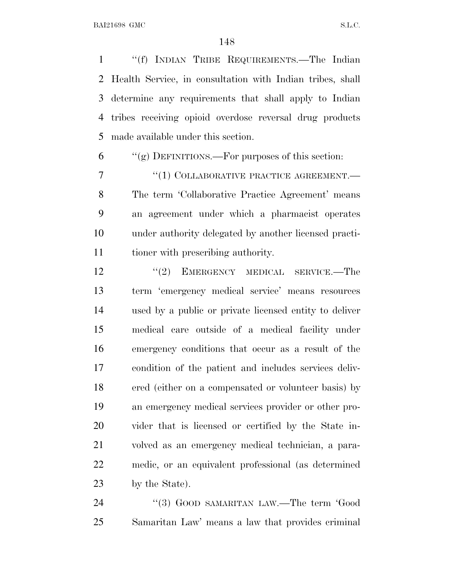''(f) INDIAN TRIBE REQUIREMENTS.—The Indian Health Service, in consultation with Indian tribes, shall determine any requirements that shall apply to Indian tribes receiving opioid overdose reversal drug products made available under this section.

"(g) DEFINITIONS.—For purposes of this section:

7 <sup>"(1)</sup> COLLABORATIVE PRACTICE AGREEMENT. The term 'Collaborative Practice Agreement' means an agreement under which a pharmacist operates under authority delegated by another licensed practi-tioner with prescribing authority.

12 "(2) EMERGENCY MEDICAL SERVICE.—The term 'emergency medical service' means resources used by a public or private licensed entity to deliver medical care outside of a medical facility under emergency conditions that occur as a result of the condition of the patient and includes services deliv- ered (either on a compensated or volunteer basis) by an emergency medical services provider or other pro- vider that is licensed or certified by the State in- volved as an emergency medical technician, a para- medic, or an equivalent professional (as determined 23 by the State).

24 "(3) GOOD SAMARITAN LAW.—The term 'Good Samaritan Law' means a law that provides criminal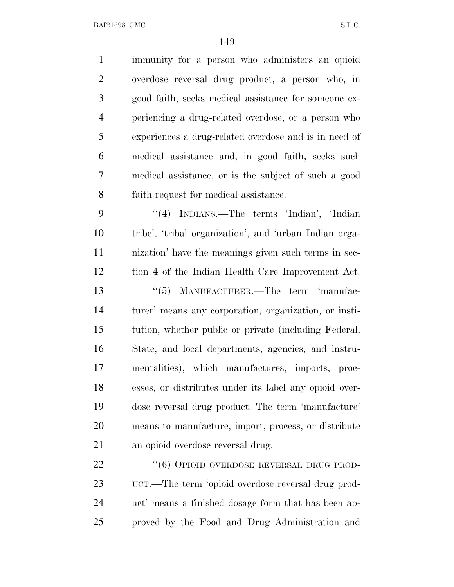immunity for a person who administers an opioid overdose reversal drug product, a person who, in good faith, seeks medical assistance for someone ex- periencing a drug-related overdose, or a person who experiences a drug-related overdose and is in need of medical assistance and, in good faith, seeks such medical assistance, or is the subject of such a good faith request for medical assistance. ''(4) INDIANS.—The terms 'Indian', 'Indian tribe', 'tribal organization', and 'urban Indian orga- nization' have the meanings given such terms in sec- tion 4 of the Indian Health Care Improvement Act. 13 "(5) MANUFACTURER.—The term 'manufac- turer' means any corporation, organization, or insti- tution, whether public or private (including Federal, State, and local departments, agencies, and instru- mentalities), which manufactures, imports, proc- esses, or distributes under its label any opioid over- dose reversal drug product. The term 'manufacture' means to manufacture, import, process, or distribute an opioid overdose reversal drug. 22 "(6) OPIOID OVERDOSE REVERSAL DRUG PROD-

 UCT.—The term 'opioid overdose reversal drug prod- uct' means a finished dosage form that has been ap-proved by the Food and Drug Administration and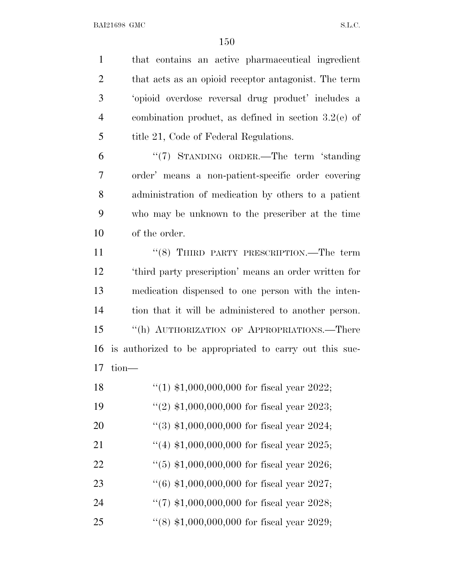that contains an active pharmaceutical ingredient that acts as an opioid receptor antagonist. The term 'opioid overdose reversal drug product' includes a combination product, as defined in section 3.2(e) of 5 title 21, Code of Federal Regulations.

 ''(7) STANDING ORDER.—The term 'standing order' means a non-patient-specific order covering administration of medication by others to a patient who may be unknown to the prescriber at the time of the order.

11 ''(8) THIRD PARTY PRESCRIPTION.—The term 'third party prescription' means an order written for medication dispensed to one person with the inten- tion that it will be administered to another person. ''(h) AUTHORIZATION OF APPROPRIATIONS.—There is authorized to be appropriated to carry out this suc-tion—

| 18 | "(1) $$1,000,000,000$ for fiscal year 2022; |
|----|---------------------------------------------|
| 19 | "(2) $$1,000,000,000$ for fiscal year 2023; |
| 20 | $(3)$ \$1,000,000,000 for fiscal year 2024; |
| 21 | "(4) $$1,000,000,000$ for fiscal year 2025; |
| 22 | $(5)$ \$1,000,000,000 for fiscal year 2026; |
| 23 | $(6)$ \$1,000,000,000 for fiscal year 2027; |
| 24 | "(7) $$1,000,000,000$ for fiscal year 2028; |
| 25 | $(8)$ \$1,000,000,000 for fiscal year 2029; |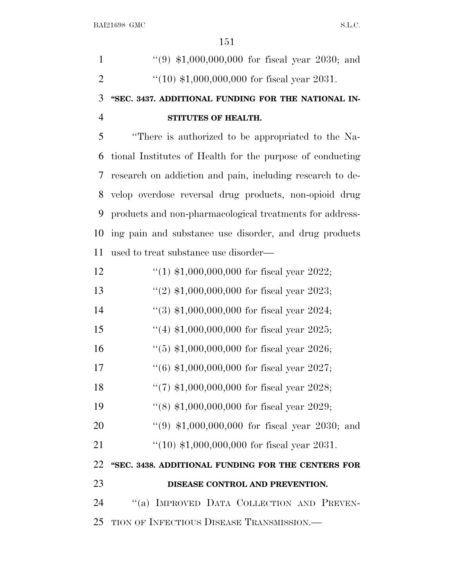| $\mathbf{1}$   | $(9)$ \$1,000,000,000 for fiscal year 2030; and           |
|----------------|-----------------------------------------------------------|
| $\overline{2}$ | " $(10)$ \$1,000,000,000 for fiscal year 2031.            |
| 3              | "SEC. 3437. ADDITIONAL FUNDING FOR THE NATIONAL IN-       |
| $\overline{4}$ | STITUTES OF HEALTH.                                       |
| 5              | "There is authorized to be appropriated to the Na-        |
| 6              | tional Institutes of Health for the purpose of conducting |
| 7              | research on addiction and pain, including research to de- |
| 8              | velop overdose reversal drug products, non-opioid drug    |
| 9              | products and non-pharmacological treatments for address-  |
| 10             | ing pain and substance use disorder, and drug products    |
| 11             | used to treat substance use disorder—                     |
| 12             | "(1) $$1,000,000,000$ for fiscal year 2022;               |
| 13             | "(2) $$1,000,000,000$ for fiscal year 2023;               |
| 14             | $(3)$ \$1,000,000,000 for fiscal year 2024;               |
| 15             | "(4) $$1,000,000,000$ for fiscal year 2025;               |
| 16             | $(5)$ \$1,000,000,000 for fiscal year 2026;               |
| 17             | $(6)$ \$1,000,000,000 for fiscal year 2027;               |
| 18             | $(7)$ \$1,000,000,000 for fiscal year 2028;               |
| 19             | "(8) $$1,000,000,000$ for fiscal year 2029;               |
| 20             | $(9, 1,000,000,000)$ for fiscal year 2030; and            |
| 21             | $(10)$ \$1,000,000,000 for fiscal year 2031.              |
| 22             | "SEC. 3438. ADDITIONAL FUNDING FOR THE CENTERS FOR        |
| 23             | DISEASE CONTROL AND PREVENTION.                           |
| 24             | "(a) IMPROVED DATA COLLECTION AND PREVEN-                 |
| 25             | TION OF INFECTIOUS DISEASE TRANSMISSION.—                 |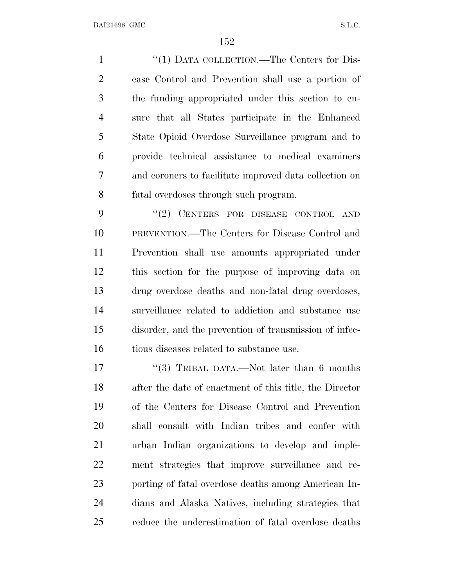1 "(1) DATA COLLECTION.—The Centers for Dis- ease Control and Prevention shall use a portion of the funding appropriated under this section to en- sure that all States participate in the Enhanced State Opioid Overdose Surveillance program and to provide technical assistance to medical examiners and coroners to facilitate improved data collection on fatal overdoses through such program.

9 "(2) CENTERS FOR DISEASE CONTROL AND PREVENTION.—The Centers for Disease Control and Prevention shall use amounts appropriated under this section for the purpose of improving data on drug overdose deaths and non-fatal drug overdoses, surveillance related to addiction and substance use disorder, and the prevention of transmission of infec-tious diseases related to substance use.

17 ''(3) TRIBAL DATA.—Not later than 6 months after the date of enactment of this title, the Director of the Centers for Disease Control and Prevention shall consult with Indian tribes and confer with urban Indian organizations to develop and imple- ment strategies that improve surveillance and re- porting of fatal overdose deaths among American In- dians and Alaska Natives, including strategies that reduce the underestimation of fatal overdose deaths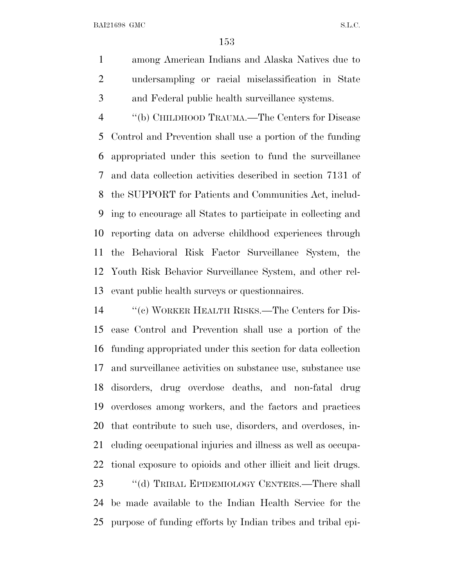among American Indians and Alaska Natives due to undersampling or racial misclassification in State and Federal public health surveillance systems.

 ''(b) CHILDHOOD TRAUMA.—The Centers for Disease Control and Prevention shall use a portion of the funding appropriated under this section to fund the surveillance and data collection activities described in section 7131 of the SUPPORT for Patients and Communities Act, includ- ing to encourage all States to participate in collecting and reporting data on adverse childhood experiences through the Behavioral Risk Factor Surveillance System, the Youth Risk Behavior Surveillance System, and other rel-evant public health surveys or questionnaires.

 ''(c) WORKER HEALTH RISKS.—The Centers for Dis- ease Control and Prevention shall use a portion of the funding appropriated under this section for data collection and surveillance activities on substance use, substance use disorders, drug overdose deaths, and non-fatal drug overdoses among workers, and the factors and practices that contribute to such use, disorders, and overdoses, in- cluding occupational injuries and illness as well as occupa- tional exposure to opioids and other illicit and licit drugs. 23 "(d) TRIBAL EPIDEMIOLOGY CENTERS.—There shall

 be made available to the Indian Health Service for the purpose of funding efforts by Indian tribes and tribal epi-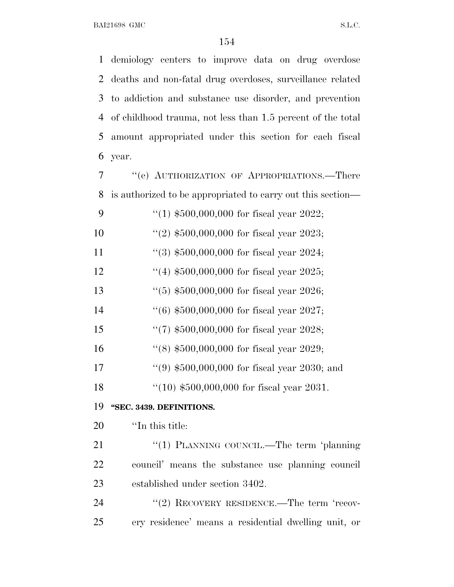demiology centers to improve data on drug overdose deaths and non-fatal drug overdoses, surveillance related to addiction and substance use disorder, and prevention of childhood trauma, not less than 1.5 percent of the total amount appropriated under this section for each fiscal year.

| 7  | "(e) AUTHORIZATION OF APPROPRIATIONS.—There                 |
|----|-------------------------------------------------------------|
| 8  | is authorized to be appropriated to carry out this section— |
| 9  | "(1) $$500,000,000$ for fiscal year 2022;                   |
| 10 | $(2)$ \$500,000,000 for fiscal year 2023;                   |
| 11 | $(3)$ \$500,000,000 for fiscal year 2024;                   |
| 12 | "(4) $$500,000,000$ for fiscal year 2025;                   |
| 13 | $(5)$ \$500,000,000 for fiscal year 2026;                   |
| 14 | $(6)$ \$500,000,000 for fiscal year 2027;                   |
| 15 | $\lq(7)$ \$500,000,000 for fiscal year 2028;                |
| 16 | "(8) $$500,000,000$ for fiscal year 2029;                   |
| 17 | $(9)$ \$500,000,000 for fiscal year 2030; and               |
| 18 | $(10)$ \$500,000,000 for fiscal year 2031.                  |
| 19 | "SEC. 3439. DEFINITIONS.                                    |
| 20 | "In this title:                                             |
|    | $\sqrt{2}$                                                  |

21 "(1) PLANNING COUNCIL.—The term 'planning council' means the substance use planning council established under section 3402.

24 "(2) RECOVERY RESIDENCE.—The term 'recov-ery residence' means a residential dwelling unit, or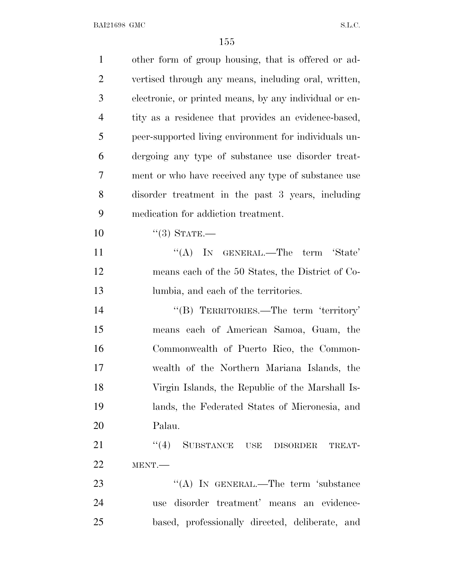| $\mathbf{1}$   | other form of group housing, that is offered or ad-    |
|----------------|--------------------------------------------------------|
| $\overline{2}$ | vertised through any means, including oral, written,   |
| 3              | electronic, or printed means, by any individual or en- |
| $\overline{4}$ | tity as a residence that provides an evidence-based,   |
| 5              | peer-supported living environment for individuals un-  |
| 6              | dergoing any type of substance use disorder treat-     |
| 7              | ment or who have received any type of substance use    |
| 8              | disorder treatment in the past 3 years, including      |
| 9              | medication for addiction treatment.                    |
| 10             | $``(3)$ STATE.—                                        |
| 11             | "(A) IN GENERAL.—The term 'State'                      |
| 12             | means each of the 50 States, the District of Co-       |
| 13             | lumbia, and each of the territories.                   |
| 14             | "(B) TERRITORIES.—The term 'territory'                 |
| 15             | means each of American Samoa, Guam, the                |
| 16             | Commonwealth of Puerto Rico, the Common-               |
| 17             | wealth of the Northern Mariana Islands, the            |
| 18             | Virgin Islands, the Republic of the Marshall Is-       |
| 19             | lands, the Federated States of Micronesia, and         |
| 20             | Palau.                                                 |
| 21             | "(4) SUBSTANCE USE DISORDER<br>TREAT-                  |
| 22             | MENT.                                                  |
| 23             | "(A) IN GENERAL.—The term 'substance                   |
| 24             | use disorder treatment' means an evidence-             |
| 25             | based, professionally directed, deliberate, and        |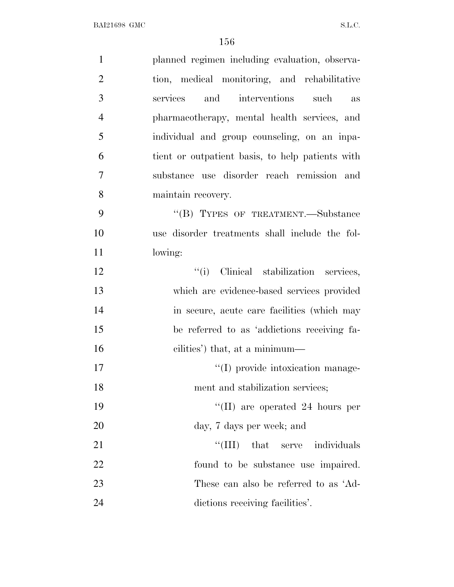| $\mathbf{1}$   | planned regimen including evaluation, observa-   |
|----------------|--------------------------------------------------|
| $\overline{2}$ | tion, medical monitoring, and rehabilitative     |
| 3              | and<br>interventions such<br>services<br>as      |
| $\overline{4}$ | pharmacotherapy, mental health services, and     |
| 5              | individual and group counseling, on an inpa-     |
| 6              | tient or outpatient basis, to help patients with |
| $\overline{7}$ | substance use disorder reach remission and       |
| 8              | maintain recovery.                               |
| 9              | "(B) TYPES OF TREATMENT.—Substance               |
| 10             | use disorder treatments shall include the fol-   |
| 11             | lowing:                                          |
| 12             | "(i) Clinical stabilization services,            |
| 13             | which are evidence-based services provided       |
| 14             | in secure, acute care facilities (which may      |
| 15             | be referred to as 'addictions receiving fa-      |
| 16             | cilities') that, at a minimum—                   |
| 17             | "(I) provide intoxication manage-                |
| 18             | ment and stabilization services;                 |
| 19             | "(II) are operated 24 hours per                  |
| 20             | day, 7 days per week; and                        |
| 21             | "(III) that serve individuals                    |
| 22             | found to be substance use impaired.              |
| 23             | These can also be referred to as 'Ad-            |
| 24             | dictions receiving facilities'.                  |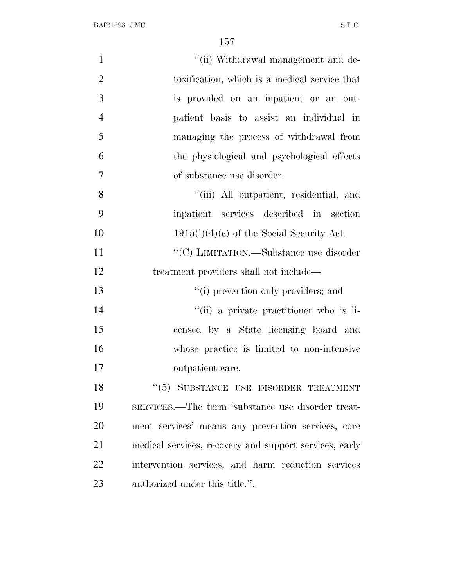| $\mathbf{1}$   | "(ii) Withdrawal management and de-                    |
|----------------|--------------------------------------------------------|
| $\overline{2}$ | toxification, which is a medical service that          |
| 3              | is provided on an inpatient or an out-                 |
| $\overline{4}$ | patient basis to assist an individual in               |
| 5              | managing the process of withdrawal from                |
| 6              | the physiological and psychological effects            |
| $\overline{7}$ | of substance use disorder.                             |
| 8              | "(iii) All outpatient, residential, and                |
| 9              | inpatient services described in section                |
| 10             | $1915(l)(4)(e)$ of the Social Security Act.            |
| 11             | "(C) LIMITATION.—Substance use disorder                |
| 12             | treatment providers shall not include—                 |
| 13             | "(i) prevention only providers; and                    |
| 14             | "(ii) a private practitioner who is li-                |
| 15             | censed by a State licensing board and                  |
| 16             | whose practice is limited to non-intensive             |
| 17             | outpatient care.                                       |
| 18             | "(5) SUBSTANCE USE DISORDER TREATMENT                  |
| 19             | SERVICES.—The term 'substance use disorder treat-      |
| 20             | ment services' means any prevention services, core     |
| 21             | medical services, recovery and support services, early |
| 22             | intervention services, and harm reduction services     |
| 23             | authorized under this title.".                         |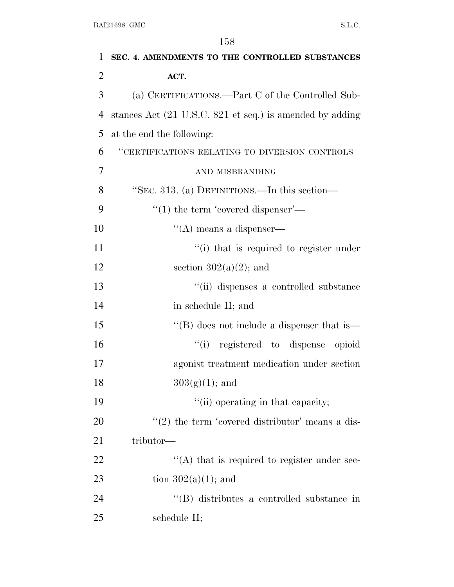| 1              | SEC. 4. AMENDMENTS TO THE CONTROLLED SUBSTANCES          |
|----------------|----------------------------------------------------------|
| $\overline{2}$ | ACT.                                                     |
| 3              | (a) CERTIFICATIONS.—Part C of the Controlled Sub-        |
| $\overline{4}$ | stances Act (21 U.S.C. 821 et seq.) is amended by adding |
| 5              | at the end the following:                                |
| 6              | "CERTIFICATIONS RELATING TO DIVERSION CONTROLS           |
| 7              | AND MISBRANDING                                          |
| 8              | "SEC. 313. (a) DEFINITIONS.—In this section—             |
| 9              | $\cdot\cdot(1)$ the term 'covered dispenser'—            |
| 10             | $\lq\lq$ means a dispenser—                              |
| 11             | "(i) that is required to register under                  |
| 12             | section $302(a)(2)$ ; and                                |
| 13             | "(ii) dispenses a controlled substance                   |
| 14             | in schedule II; and                                      |
| 15             | $\lq\lq (B)$ does not include a dispenser that is —      |
| 16             | "(i) registered to dispense opioid                       |
| 17             | agonist treatment medication under section               |
| 18             | $303(g)(1);$ and                                         |
| 19             | "(ii) operating in that capacity;                        |
| 20             | $\lq(2)$ the term 'covered distributor' means a dis-     |
| 21             | tributor—                                                |
| <u>22</u>      | $\cdot$ (A) that is required to register under sec-      |
| 23             | tion $302(a)(1)$ ; and                                   |
| 24             | "(B) distributes a controlled substance in               |
| 25             | schedule II;                                             |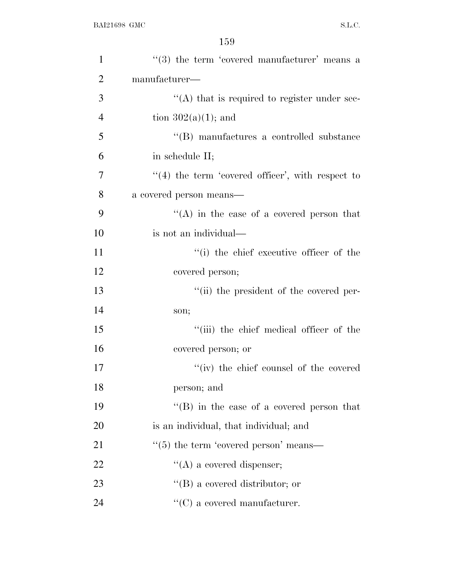| $\mathbf{1}$   | $(3)$ the term 'covered manufacturer' means a        |
|----------------|------------------------------------------------------|
| $\overline{2}$ | $manufacturer-$                                      |
| 3              | $\lq\lq$ that is required to register under sec-     |
| $\overline{4}$ | tion $302(a)(1)$ ; and                               |
| 5              | "(B) manufactures a controlled substance             |
| 6              | in schedule II;                                      |
| 7              | $\lq(4)$ the term 'covered officer', with respect to |
| 8              | a covered person means—                              |
| 9              | "(A) in the case of a covered person that            |
| 10             | is not an individual—                                |
| 11             | "(i) the chief executive officer of the              |
| 12             | covered person;                                      |
| 13             | "(ii) the president of the covered per-              |
| 14             | son;                                                 |
| 15             | "(iii) the chief medical officer of the              |
| 16             | covered person; or                                   |
| 17             | "(iv) the chief counsel of the covered               |
| 18             | person; and                                          |
| 19             | "(B) in the case of a covered person that            |
| 20             | is an individual, that individual; and               |
| 21             | $\cdot$ (5) the term 'covered person' means—         |
| 22             | $\lq\lq$ (A) a covered dispenser;                    |
| 23             | $\lq\lq (B)$ a covered distributor; or               |
| 24             | $\lq\lq$ (C) a covered manufacturer.                 |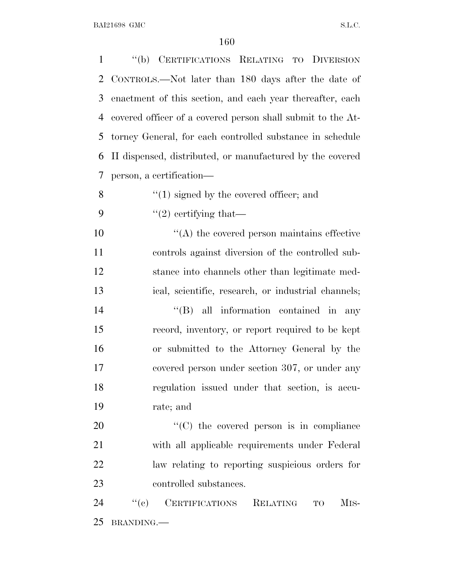''(b) CERTIFICATIONS RELATING TO DIVERSION CONTROLS.—Not later than 180 days after the date of enactment of this section, and each year thereafter, each covered officer of a covered person shall submit to the At- torney General, for each controlled substance in schedule II dispensed, distributed, or manufactured by the covered person, a certification—  $\mathcal{S}$  ''(1) signed by the covered officer; and  $\frac{1}{2}$  certifying that— ''(A) the covered person maintains effective controls against diversion of the controlled sub- stance into channels other than legitimate med- ical, scientific, research, or industrial channels;  $''(B)$  all information contained in any record, inventory, or report required to be kept or submitted to the Attorney General by the covered person under section 307, or under any regulation issued under that section, is accu- rate; and  $\cdot$  (C) the covered person is in compliance with all applicable requirements under Federal law relating to reporting suspicious orders for controlled substances. 24 "(c) CERTIFICATIONS RELATING TO MIS-

BRANDING.—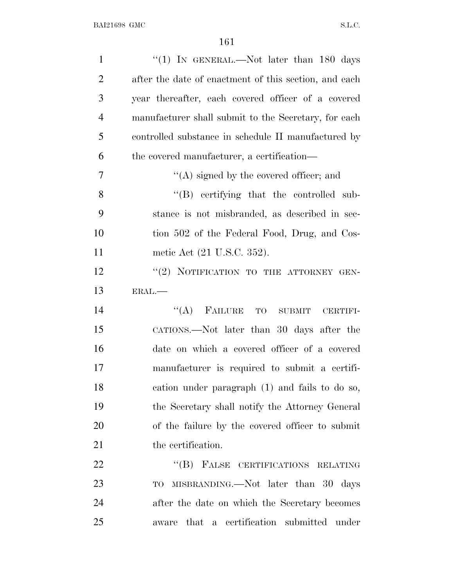| $\mathbf{1}$   | "(1) IN GENERAL.—Not later than $180$ days            |
|----------------|-------------------------------------------------------|
| $\overline{2}$ | after the date of enactment of this section, and each |
| 3              | year thereafter, each covered officer of a covered    |
| $\overline{4}$ | manufacturer shall submit to the Secretary, for each  |
| 5              | controlled substance in schedule II manufactured by   |
| 6              | the covered manufacturer, a certification—            |
| 7              | $\lq\lq$ signed by the covered officer; and           |
| 8              | $\lq\lq (B)$ certifying that the controlled sub-      |
| 9              | stance is not misbranded, as described in sec-        |
| 10             | tion 502 of the Federal Food, Drug, and Cos-          |
| 11             | metic Act (21 U.S.C. 352).                            |
| 12             | "(2) NOTIFICATION TO THE ATTORNEY GEN-                |
| 13             | ERAL.-                                                |
| 14             | FAILURE TO SUBMIT<br>``(A)<br>CERTIFI-                |
| 15             | CATIONS.—Not later than 30 days after the             |
| 16             | date on which a covered officer of a covered          |
| 17             | manufacturer is required to submit a certifi-         |
| 18             | cation under paragraph (1) and fails to do so,        |
| 19             | the Secretary shall notify the Attorney General       |
| 20             | of the failure by the covered officer to submit       |
| 21             | the certification.                                    |
| 22             | $\lq\lq (B)$<br>FALSE CERTIFICATIONS RELATING         |
| 23             | MISBRANDING.—Not later than 30 days<br>TO             |
| 24             | after the date on which the Secretary becomes         |
| 25             | a certification submitted under<br>that<br>aware      |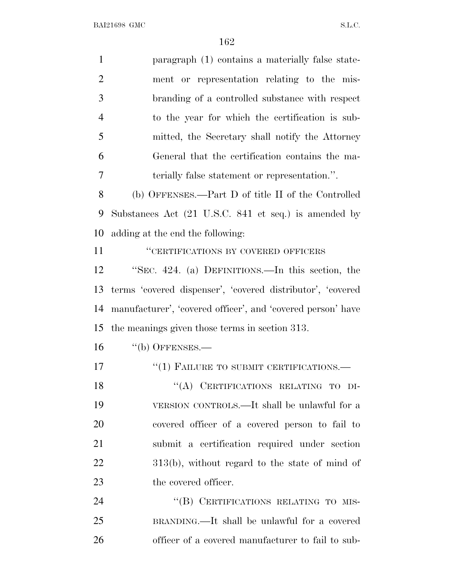| $\mathbf{1}$   | paragraph (1) contains a materially false state-            |
|----------------|-------------------------------------------------------------|
| $\overline{2}$ | ment or representation relating to the mis-                 |
| 3              | branding of a controlled substance with respect             |
| $\overline{4}$ | to the year for which the certification is sub-             |
| 5              | mitted, the Secretary shall notify the Attorney             |
| 6              | General that the certification contains the ma-             |
| 7              | terially false statement or representation.".               |
| 8              | (b) OFFENSES.—Part D of title II of the Controlled          |
| 9              | Substances Act (21 U.S.C. 841 et seq.) is amended by        |
| 10             | adding at the end the following:                            |
| 11             | "CERTIFICATIONS BY COVERED OFFICERS                         |
| 12             | "SEC. 424. (a) DEFINITIONS.—In this section, the            |
| 13             | terms 'covered dispenser', 'covered distributor', 'covered  |
| 14             | manufacturer', 'covered officer', and 'covered person' have |
| 15             | the meanings given those terms in section 313.              |
| 16             | $``$ (b) OFFENSES.—                                         |
| 17             | "(1) FAILURE TO SUBMIT CERTIFICATIONS.-                     |
| 18             | "(A) CERTIFICATIONS RELATING TO DI-                         |
| 19             | VERSION CONTROLS.—It shall be unlawful for a                |
| 20             | covered officer of a covered person to fail to              |
| 21             | submit a certification required under section               |
| <u>22</u>      | $313(b)$ , without regard to the state of mind of           |
| 23             | the covered officer.                                        |
| 24             | "(B) CERTIFICATIONS RELATING TO MIS-                        |
| 25             | BRANDING.—It shall be unlawful for a covered                |
| 26             | officer of a covered manufacturer to fail to sub-           |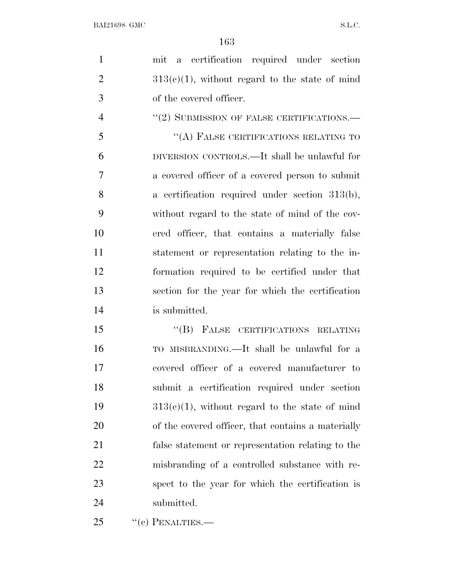| -1 | mit a certification required under section        |
|----|---------------------------------------------------|
| 2  | $313(e)(1)$ , without regard to the state of mind |
| -3 | of the covered officer.                           |
|    | $''(2)$ SUBMISSION OF FALSE CERTIFICATIONS.—      |

 ''(A) FALSE CERTIFICATIONS RELATING TO DIVERSION CONTROLS.—It shall be unlawful for a covered officer of a covered person to submit a certification required under section 313(b), without regard to the state of mind of the cov- ered officer, that contains a materially false statement or representation relating to the in- formation required to be certified under that section for the year for which the certification is submitted.

15 "(B) FALSE CERTIFICATIONS RELATING TO MISBRANDING.—It shall be unlawful for a covered officer of a covered manufacturer to submit a certification required under section  $313(e)(1)$ , without regard to the state of mind of the covered officer, that contains a materially false statement or representation relating to the misbranding of a controlled substance with re- spect to the year for which the certification is submitted.

25 "(c) PENALTIES.—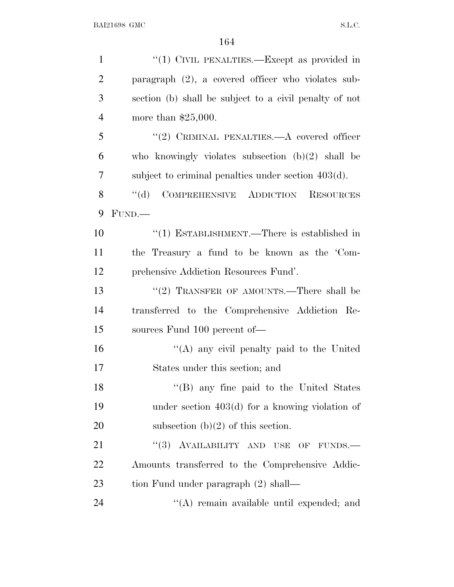| $\mathbf{1}$   | " $(1)$ CIVIL PENALTIES.—Except as provided in              |
|----------------|-------------------------------------------------------------|
| $\overline{2}$ | paragraph $(2)$ , a covered officer who violates sub-       |
| 3              | section (b) shall be subject to a civil penalty of not      |
| $\overline{4}$ | more than $$25,000$ .                                       |
| 5              | "(2) CRIMINAL PENALTIES.—A covered officer                  |
| 6              | who knowingly violates subsection $(b)(2)$ shall be         |
| 7              | subject to criminal penalties under section $403(d)$ .      |
| 8              | COMPREHENSIVE ADDICTION<br>$\lq\lq (d)$<br><b>RESOURCES</b> |
| 9              | FUND.                                                       |
| 10             | $\lq(1)$ ESTABLISHMENT.—There is established in             |
| 11             | the Treasury a fund to be known as the 'Com-                |
| 12             | prehensive Addiction Resources Fund'.                       |
| 13             | "(2) TRANSFER OF AMOUNTS.—There shall be                    |
| 14             | transferred to the Comprehensive Addiction Re-              |
| 15             | sources Fund 100 percent of-                                |
| 16             | "(A) any civil penalty paid to the United                   |
| 17             | States under this section; and                              |
| 18             | "(B) any fine paid to the United States                     |
| 19             | under section $403(d)$ for a knowing violation of           |
| 20             | subsection $(b)(2)$ of this section.                        |
| 21             | "(3) AVAILABILITY AND USE OF FUNDS.-                        |
| 22             | Amounts transferred to the Comprehensive Addic-             |
| 23             | tion Fund under paragraph (2) shall—                        |
| 24             | "(A) remain available until expended; and                   |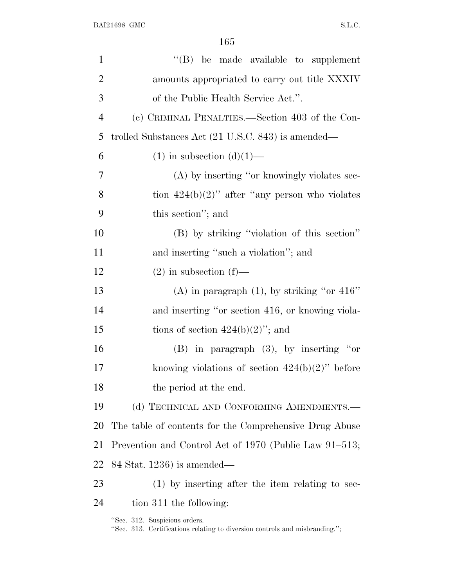| $\mathbf{1}$   | $\lq\lq$ be made available to supplement                                                                     |
|----------------|--------------------------------------------------------------------------------------------------------------|
| $\overline{2}$ | amounts appropriated to carry out title XXXIV                                                                |
| 3              | of the Public Health Service Act.".                                                                          |
| $\overline{4}$ | (c) CRIMINAL PENALTIES.—Section 403 of the Con-                                                              |
| 5              | trolled Substances Act (21 U.S.C. 843) is amended—                                                           |
| 6              | $(1)$ in subsection $(d)(1)$ —                                                                               |
| 7              | (A) by inserting "or knowingly violates sec-                                                                 |
| 8              | tion $424(b)(2)$ " after "any person who violates"                                                           |
| 9              | this section"; and                                                                                           |
| 10             | (B) by striking "violation of this section"                                                                  |
| 11             | and inserting "such a violation"; and                                                                        |
| 12             | $(2)$ in subsection $(f)$ —                                                                                  |
| 13             | (A) in paragraph $(1)$ , by striking "or 416"                                                                |
| 14             | and inserting "or section 416, or knowing viola-                                                             |
| 15             | tions of section $424(b)(2)$ "; and                                                                          |
| 16             | $(B)$ in paragraph $(3)$ , by inserting "or                                                                  |
| 17             | knowing violations of section $424(b)(2)$ " before                                                           |
| 18             | the period at the end.                                                                                       |
| 19             | (d) TECHNICAL AND CONFORMING AMENDMENTS.-                                                                    |
| 20             | The table of contents for the Comprehensive Drug Abuse                                                       |
| 21             | Prevention and Control Act of 1970 (Public Law 91–513;                                                       |
| 22             | $84$ Stat. 1236) is amended—                                                                                 |
| 23             | $(1)$ by inserting after the item relating to sec-                                                           |
| 24             | tion 311 the following:                                                                                      |
|                | "Sec. 312. Suspicious orders.<br>"Sec. 313. Certifications relating to diversion controls and misbranding."; |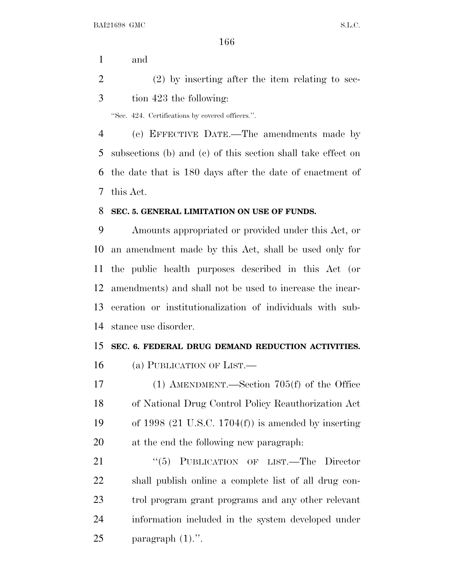and

 (2) by inserting after the item relating to sec-tion 423 the following:

''Sec. 424. Certifications by covered officers.''.

 (e) EFFECTIVE DATE.—The amendments made by subsections (b) and (c) of this section shall take effect on the date that is 180 days after the date of enactment of this Act.

## **SEC. 5. GENERAL LIMITATION ON USE OF FUNDS.**

 Amounts appropriated or provided under this Act, or an amendment made by this Act, shall be used only for the public health purposes described in this Act (or amendments) and shall not be used to increase the incar- ceration or institutionalization of individuals with sub-stance use disorder.

## **SEC. 6. FEDERAL DRUG DEMAND REDUCTION ACTIVITIES.**

(a) PUBLICATION OF LIST.—

 (1) AMENDMENT.—Section 705(f) of the Office of National Drug Control Policy Reauthorization Act of 1998 (21 U.S.C. 1704(f)) is amended by inserting at the end the following new paragraph:

21 "(5) PUBLICATION OF LIST.—The Director shall publish online a complete list of all drug con- trol program grant programs and any other relevant information included in the system developed under paragraph (1).''.